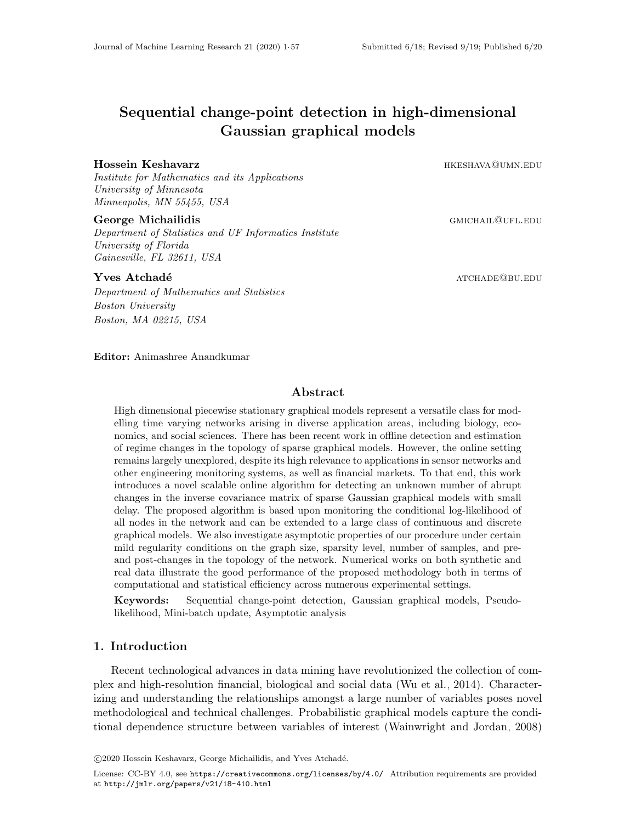# Sequential change-point detection in high-dimensional Gaussian graphical models

#### Hossein Keshavarz **heroelike also assets and keshava** heroelike also heroelike also heroelike also heroelike als

Institute for Mathematics and its Applications University of Minnesota Minneapolis, MN 55455, USA

#### George Michailidis George Michailidis and the state of the state of the state of the state of the state of the state of the state of the state of the state of the state of the state of the state of the state of the state o

Department of Statistics and UF Informatics Institute University of Florida Gainesville, FL 32611, USA

#### $\bf Y$ ves  $\bf A$ tchadé $\bf$

Department of Mathematics and Statistics Boston University Boston, MA 02215, USA

Editor: Animashree Anandkumar

#### Abstract

High dimensional piecewise stationary graphical models represent a versatile class for modelling time varying networks arising in diverse application areas, including biology, economics, and social sciences. There has been recent work in offline detection and estimation of regime changes in the topology of sparse graphical models. However, the online setting remains largely unexplored, despite its high relevance to applications in sensor networks and other engineering monitoring systems, as well as financial markets. To that end, this work introduces a novel scalable online algorithm for detecting an unknown number of abrupt changes in the inverse covariance matrix of sparse Gaussian graphical models with small delay. The proposed algorithm is based upon monitoring the conditional log-likelihood of all nodes in the network and can be extended to a large class of continuous and discrete graphical models. We also investigate asymptotic properties of our procedure under certain mild regularity conditions on the graph size, sparsity level, number of samples, and preand post-changes in the topology of the network. Numerical works on both synthetic and real data illustrate the good performance of the proposed methodology both in terms of computational and statistical efficiency across numerous experimental settings.

Keywords: Sequential change-point detection, Gaussian graphical models, Pseudolikelihood, Mini-batch update, Asymptotic analysis

### 1. Introduction

Recent technological advances in data mining have revolutionized the collection of complex and high-resolution financial, biological and social data [\(Wu et al., 2014\)](#page-56-1). Characterizing and understanding the relationships amongst a large number of variables poses novel methodological and technical challenges. Probabilistic graphical models capture the conditional dependence structure between variables of interest [\(Wainwright and Jordan, 2008\)](#page-56-2)

c 2020 Hossein Keshavarz, George Michailidis, and Yves Atchad´e.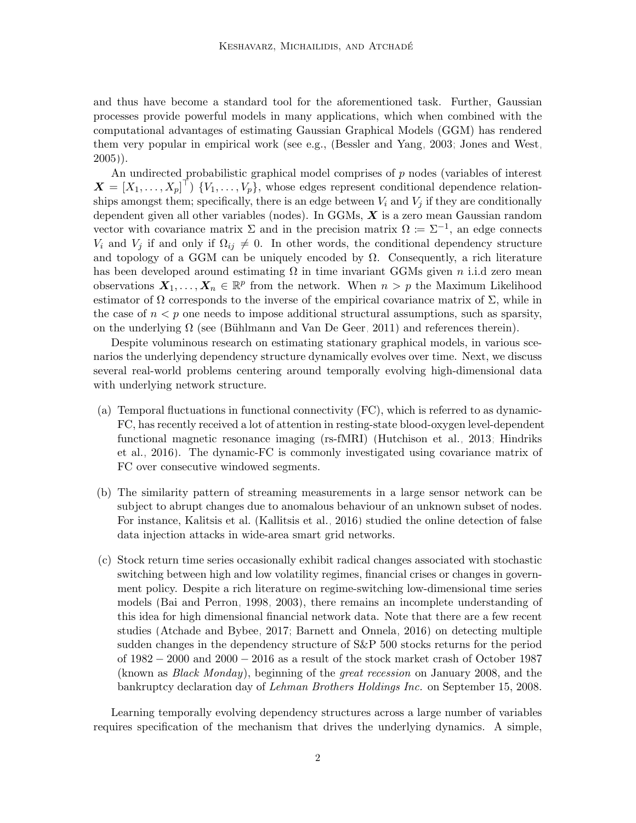and thus have become a standard tool for the aforementioned task. Further, Gaussian processes provide powerful models in many applications, which when combined with the computational advantages of estimating Gaussian Graphical Models (GGM) has rendered them very popular in empirical work (see e.g., [\(Bessler and Yang, 2003;](#page-55-0) [Jones and West,](#page-56-3) [2005\)](#page-56-3)).

An undirected probabilistic graphical model comprises of  $p$  nodes (variables of interest  $\boldsymbol{X} = [X_1, \ldots, X_p]^\top$  { $V_1, \ldots, V_p$ }, whose edges represent conditional dependence relationships amongst them; specifically, there is an edge between  $V_i$  and  $V_j$  if they are conditionally dependent given all other variables (nodes). In GGMs,  $\boldsymbol{X}$  is a zero mean Gaussian random vector with covariance matrix  $\Sigma$  and in the precision matrix  $\Omega := \Sigma^{-1}$ , an edge connects  $V_i$  and  $V_j$  if and only if  $\Omega_{ij} \neq 0$ . In other words, the conditional dependency structure and topology of a GGM can be uniquely encoded by  $\Omega$ . Consequently, a rich literature has been developed around estimating  $\Omega$  in time invariant GGMs given n i.i.d zero mean observations  $X_1, \ldots, X_n \in \mathbb{R}^p$  from the network. When  $n > p$  the Maximum Likelihood estimator of  $\Omega$  corresponds to the inverse of the empirical covariance matrix of  $\Sigma$ , while in the case of  $n < p$  one needs to impose additional structural assumptions, such as sparsity, on the underlying  $\Omega$  (see (Bühlmann and Van De Geer, 2011) and references therein).

Despite voluminous research on estimating stationary graphical models, in various scenarios the underlying dependency structure dynamically evolves over time. Next, we discuss several real-world problems centering around temporally evolving high-dimensional data with underlying network structure.

- (a) Temporal fluctuations in functional connectivity (FC), which is referred to as dynamic-FC, has recently received a lot of attention in resting-state blood-oxygen level-dependent functional magnetic resonance imaging (rs-fMRI) [\(Hutchison et al., 2013;](#page-56-4) [Hindriks](#page-55-2) [et al., 2016\)](#page-55-2). The dynamic-FC is commonly investigated using covariance matrix of FC over consecutive windowed segments.
- (b) The similarity pattern of streaming measurements in a large sensor network can be subject to abrupt changes due to anomalous behaviour of an unknown subset of nodes. For instance, Kalitsis et al. [\(Kallitsis et al., 2016\)](#page-56-5) studied the online detection of false data injection attacks in wide-area smart grid networks.
- (c) Stock return time series occasionally exhibit radical changes associated with stochastic switching between high and low volatility regimes, financial crises or changes in government policy. Despite a rich literature on regime-switching low-dimensional time series models [\(Bai and Perron, 1998,](#page-54-0) [2003\)](#page-55-3), there remains an incomplete understanding of this idea for high dimensional financial network data. Note that there are a few recent studies [\(Atchade and Bybee, 2017;](#page-54-1) [Barnett and Onnela, 2016\)](#page-55-4) on detecting multiple sudden changes in the dependency structure of S&P 500 stocks returns for the period of 1982 − 2000 and 2000 − 2016 as a result of the stock market crash of October 1987 (known as Black Monday), beginning of the great recession on January 2008, and the bankruptcy declaration day of Lehman Brothers Holdings Inc. on September 15, 2008.

Learning temporally evolving dependency structures across a large number of variables requires specification of the mechanism that drives the underlying dynamics. A simple,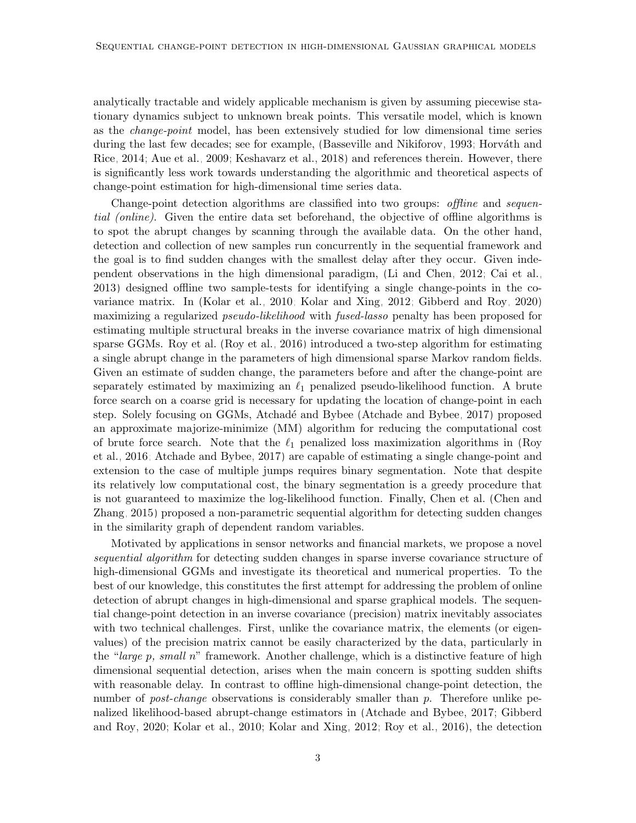analytically tractable and widely applicable mechanism is given by assuming piecewise stationary dynamics subject to unknown break points. This versatile model, which is known as the *change-point* model, has been extensively studied for low dimensional time series during the last few decades; see for example, [\(Basseville and Nikiforov, 1993;](#page-55-5) Horváth and [Rice, 2014;](#page-55-6) [Aue et al., 2009;](#page-54-2) [Keshavarz et al., 2018\)](#page-56-6) and references therein. However, there is significantly less work towards understanding the algorithmic and theoretical aspects of change-point estimation for high-dimensional time series data.

Change-point detection algorithms are classified into two groups: offline and sequential (online). Given the entire data set beforehand, the objective of offline algorithms is to spot the abrupt changes by scanning through the available data. On the other hand, detection and collection of new samples run concurrently in the sequential framework and the goal is to find sudden changes with the smallest delay after they occur. Given independent observations in the high dimensional paradigm, [\(Li and Chen, 2012;](#page-56-7) [Cai et al.,](#page-55-7) [2013\)](#page-55-7) designed offline two sample-tests for identifying a single change-points in the covariance matrix. In [\(Kolar et al., 2010;](#page-56-8) [Kolar and Xing, 2012;](#page-56-9) [Gibberd and Roy, 2020\)](#page-55-8) maximizing a regularized *pseudo-likelihood* with *fused-lasso* penalty has been proposed for estimating multiple structural breaks in the inverse covariance matrix of high dimensional sparse GGMs. Roy et al. [\(Roy et al., 2016\)](#page-56-10) introduced a two-step algorithm for estimating a single abrupt change in the parameters of high dimensional sparse Markov random fields. Given an estimate of sudden change, the parameters before and after the change-point are separately estimated by maximizing an  $\ell_1$  penalized pseudo-likelihood function. A brute force search on a coarse grid is necessary for updating the location of change-point in each step. Solely focusing on GGMs, Atchadé and Bybee [\(Atchade and Bybee, 2017\)](#page-54-1) proposed an approximate majorize-minimize (MM) algorithm for reducing the computational cost of brute force search. Note that the  $\ell_1$  penalized loss maximization algorithms in [\(Roy](#page-56-10) [et al., 2016;](#page-56-10) [Atchade and Bybee, 2017\)](#page-54-1) are capable of estimating a single change-point and extension to the case of multiple jumps requires binary segmentation. Note that despite its relatively low computational cost, the binary segmentation is a greedy procedure that is not guaranteed to maximize the log-likelihood function. Finally, Chen et al. [\(Chen and](#page-55-9) [Zhang, 2015\)](#page-55-9) proposed a non-parametric sequential algorithm for detecting sudden changes in the similarity graph of dependent random variables.

Motivated by applications in sensor networks and financial markets, we propose a novel sequential algorithm for detecting sudden changes in sparse inverse covariance structure of high-dimensional GGMs and investigate its theoretical and numerical properties. To the best of our knowledge, this constitutes the first attempt for addressing the problem of online detection of abrupt changes in high-dimensional and sparse graphical models. The sequential change-point detection in an inverse covariance (precision) matrix inevitably associates with two technical challenges. First, unlike the covariance matrix, the elements (or eigenvalues) of the precision matrix cannot be easily characterized by the data, particularly in the "large p, small n" framework. Another challenge, which is a distinctive feature of high dimensional sequential detection, arises when the main concern is spotting sudden shifts with reasonable delay. In contrast to offline high-dimensional change-point detection, the number of *post-change* observations is considerably smaller than p. Therefore unlike penalized likelihood-based abrupt-change estimators in [\(Atchade and Bybee, 2017;](#page-54-1) [Gibberd](#page-55-8) [and Roy, 2020;](#page-55-8) [Kolar et al., 2010;](#page-56-8) [Kolar and Xing, 2012;](#page-56-9) [Roy et al., 2016\)](#page-56-10), the detection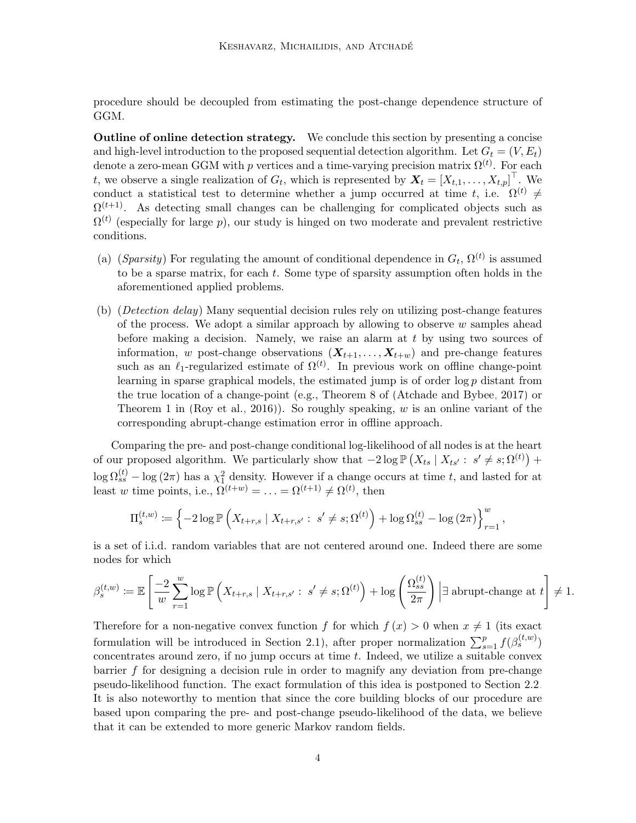procedure should be decoupled from estimating the post-change dependence structure of GGM.

Outline of online detection strategy. We conclude this section by presenting a concise and high-level introduction to the proposed sequential detection algorithm. Let  $G_t = (V, E_t)$ denote a zero-mean GGM with p vertices and a time-varying precision matrix  $\Omega^{(t)}$ . For each t, we observe a single realization of  $G_t$ , which is represented by  $\boldsymbol{X}_t = [X_{t,1}, \ldots, X_{t,p}]^\top$ . We conduct a statistical test to determine whether a jump occurred at time t, i.e.  $\Omega^{(t)} \neq$  $\Omega^{(t+1)}$ . As detecting small changes can be challenging for complicated objects such as  $\Omega^{(t)}$  (especially for large p), our study is hinged on two moderate and prevalent restrictive conditions.

- (a) (Sparsity) For regulating the amount of conditional dependence in  $G_t$ ,  $\Omega^{(t)}$  is assumed to be a sparse matrix, for each t. Some type of sparsity assumption often holds in the aforementioned applied problems.
- (b) (Detection delay) Many sequential decision rules rely on utilizing post-change features of the process. We adopt a similar approach by allowing to observe  $w$  samples ahead before making a decision. Namely, we raise an alarm at t by using two sources of information, w post-change observations  $(X_{t+1},...,X_{t+w})$  and pre-change features such as an  $\ell_1$ -regularized estimate of  $\Omega^{(t)}$ . In previous work on offline change-point learning in sparse graphical models, the estimated jump is of order log p distant from the true location of a change-point (e.g., Theorem 8 of [\(Atchade and Bybee, 2017\)](#page-54-1) or Theorem 1 in [\(Roy et al., 2016\)](#page-56-10)). So roughly speaking,  $w$  is an online variant of the corresponding abrupt-change estimation error in offline approach.

Comparing the pre- and post-change conditional log-likelihood of all nodes is at the heart of our proposed algorithm. We particularly show that  $-2\log \mathbb{P}(X_{ts} | X_{ts}: s' \neq s; \Omega^{(t)})$  +  $\log \Omega_{ss}^{(t)} - \log(2\pi)$  has a  $\chi_1^2$  density. However if a change occurs at time t, and lasted for at least w time points, i.e.,  $\Omega^{(t+w)} = \ldots = \Omega^{(t+1)} \neq \Omega^{(t)}$ , then

$$
\Pi_s^{(t,w)} := \left\{-2\log \mathbb{P}\left(X_{t+r,s} \mid X_{t+r,s'}: \ s'\neq s; \Omega^{(t)}\right) + \log \Omega_{ss}^{(t)} - \log(2\pi)\right\}_{r=1}^w,
$$

is a set of i.i.d. random variables that are not centered around one. Indeed there are some nodes for which

$$
\beta_s^{(t,w)} := \mathbb{E}\left[\frac{-2}{w}\sum_{r=1}^w \log \mathbb{P}\left(X_{t+r,s} \mid X_{t+r,s'}: s' \neq s; \Omega^{(t)}\right) + \log \left(\frac{\Omega_{ss}^{(t)}}{2\pi}\right) \middle| \exists \text{ abrupt-change at } t\right] \neq 1.
$$

Therefore for a non-negative convex function f for which  $f(x) > 0$  when  $x \neq 1$  (its exact formulation will be introduced in Section [2.1\)](#page-5-0), after proper normalization  $\sum_{s=1}^{p} f(\beta_s^{(t,w)})$ concentrates around zero, if no jump occurs at time  $t$ . Indeed, we utilize a suitable convex barrier f for designing a decision rule in order to magnify any deviation from pre-change pseudo-likelihood function. The exact formulation of this idea is postponed to Section [2.2.](#page-6-0) It is also noteworthy to mention that since the core building blocks of our procedure are based upon comparing the pre- and post-change pseudo-likelihood of the data, we believe that it can be extended to more generic Markov random fields.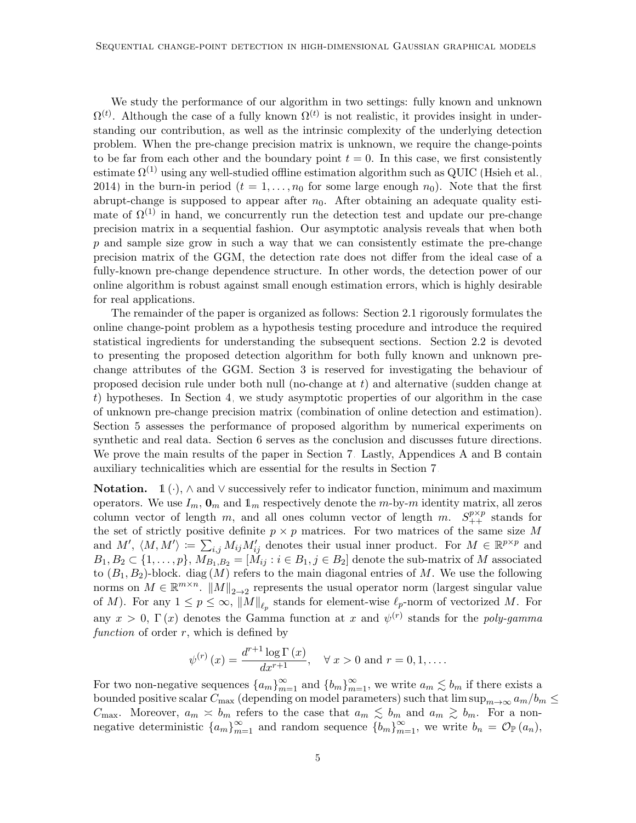We study the performance of our algorithm in two settings: fully known and unknown  $\Omega^{(t)}$ . Although the case of a fully known  $\Omega^{(t)}$  is not realistic, it provides insight in understanding our contribution, as well as the intrinsic complexity of the underlying detection problem. When the pre-change precision matrix is unknown, we require the change-points to be far from each other and the boundary point  $t = 0$ . In this case, we first consistently estimate  $\Omega^{(1)}$  using any well-studied offline estimation algorithm such as QUIC [\(Hsieh et al.,](#page-55-10) [2014\)](#page-55-10) in the burn-in period  $(t = 1, \ldots, n_0$  for some large enough  $n_0$ . Note that the first abrupt-change is supposed to appear after  $n_0$ . After obtaining an adequate quality estimate of  $\Omega^{(1)}$  in hand, we concurrently run the detection test and update our pre-change precision matrix in a sequential fashion. Our asymptotic analysis reveals that when both p and sample size grow in such a way that we can consistently estimate the pre-change precision matrix of the GGM, the detection rate does not differ from the ideal case of a fully-known pre-change dependence structure. In other words, the detection power of our online algorithm is robust against small enough estimation errors, which is highly desirable for real applications.

The remainder of the paper is organized as follows: Section [2.1](#page-5-0) rigorously formulates the online change-point problem as a hypothesis testing procedure and introduce the required statistical ingredients for understanding the subsequent sections. Section [2.2](#page-6-0) is devoted to presenting the proposed detection algorithm for both fully known and unknown prechange attributes of the GGM. Section [3](#page-12-0) is reserved for investigating the behaviour of proposed decision rule under both null (no-change at  $t$ ) and alternative (sudden change at t) hypotheses. In Section [4,](#page-19-0) we study asymptotic properties of our algorithm in the case of unknown pre-change precision matrix (combination of online detection and estimation). Section [5](#page-22-0) assesses the performance of proposed algorithm by numerical experiments on synthetic and real data. Section [6](#page-30-0) serves as the conclusion and discusses future directions. We prove the main results of the paper in Section [7.](#page-31-0) Lastly, Appendices [A](#page-43-0) and [B](#page-50-0) contain auxiliary technicalities which are essential for the results in Section [7.](#page-31-0)

**Notation.** 1 (·),  $\land$  and  $\lor$  successively refer to indicator function, minimum and maximum operators. We use  $I_m$ ,  $\mathbf{0}_m$  and  $\mathbf{1}_m$  respectively denote the m-by-m identity matrix, all zeros column vector of length m, and all ones column vector of length m.  $S_{++}^{p\times p}$  stands for the set of strictly positive definite  $p \times p$  matrices. For two matrices of the same size M and  $M'$ ,  $\langle M, M' \rangle := \sum_{i,j} M_{ij} M'_{ij}$  denotes their usual inner product. For  $M \in \mathbb{R}^{p \times p}$  and  $B_1, B_2 \subset \{1, \ldots, p\}, M_{B_1, B_2} = [M_{ij} : i \in B_1, j \in B_2]$  denote the sub-matrix of M associated to  $(B_1, B_2)$ -block. diag  $(M)$  refers to the main diagonal entries of M. We use the following norms on  $M \in \mathbb{R}^{m \times n}$ .  $||M||_{2\rightarrow 2}$  represents the usual operator norm (largest singular value of M). For any  $1 \le p \le \infty$ ,  $||M||_{\ell_p}$  stands for element-wise  $\ell_p$ -norm of vectorized M. For any  $x > 0$ ,  $\Gamma(x)$  denotes the Gamma function at x and  $\psi^{(r)}$  stands for the poly-gamma function of order  $r$ , which is defined by

$$
\psi^{(r)}(x) = \frac{d^{r+1} \log \Gamma(x)}{dx^{r+1}}, \quad \forall x > 0 \text{ and } r = 0, 1, ....
$$

For two non-negative sequences  ${a_m}_{m=1}^{\infty}$  and  ${b_m}_{m=1}^{\infty}$ , we write  $a_m \lesssim b_m$  if there exists a bounded positive scalar  $C_{\text{max}}$  (depending on model parameters) such that  $\limsup_{m\to\infty} a_m/b_m \leq$  $C_{\text{max}}$ . Moreover,  $a_m \le b_m$  refers to the case that  $a_m \le b_m$  and  $a_m \ge b_m$ . For a nonnegative deterministic  ${a_m}_{m=1}^{\infty}$  and random sequence  ${b_m}_{m=1}^{\infty}$ , we write  $b_n = \mathcal{O}_{\mathbb{P}}(a_n)$ ,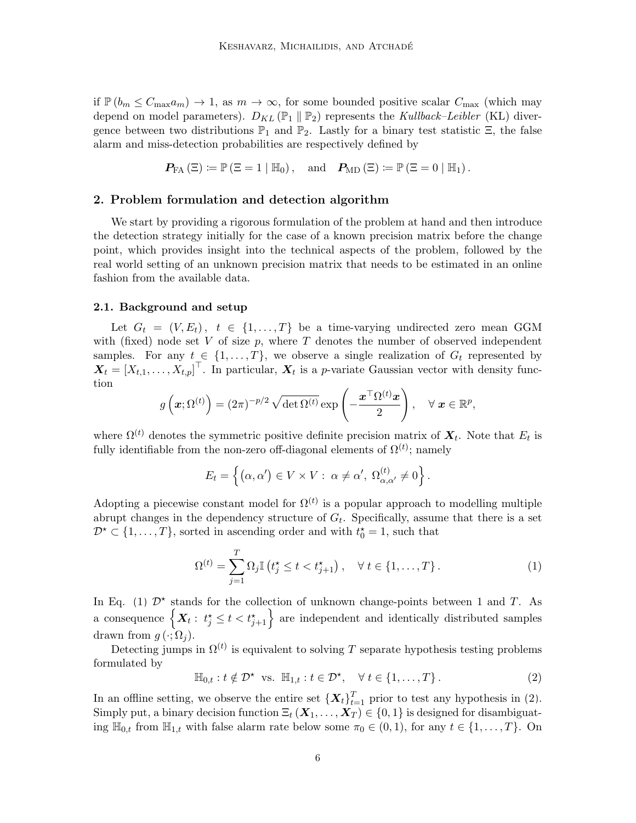if  $\mathbb{P}(b_m \leq C_{\max}a_m) \to 1$ , as  $m \to \infty$ , for some bounded positive scalar  $C_{\max}$  (which may depend on model parameters).  $D_{KL}(\mathbb{P}_1 \parallel \mathbb{P}_2)$  represents the Kullback–Leibler (KL) divergence between two distributions  $\mathbb{P}_1$  and  $\mathbb{P}_2$ . Lastly for a binary test statistic  $\Xi$ , the false alarm and miss-detection probabilities are respectively defined by

$$
\boldsymbol{P_{\text{FA}}}\left(\Xi\right)\coloneqq\mathbb{P}\left(\Xi=1\mid\mathbb{H}_{0}\right),\quad\text{and}\quad\boldsymbol{P_{\text{MD}}}\left(\Xi\right)\coloneqq\mathbb{P}\left(\Xi=0\mid\mathbb{H}_{1}\right).
$$

### 2. Problem formulation and detection algorithm

We start by providing a rigorous formulation of the problem at hand and then introduce the detection strategy initially for the case of a known precision matrix before the change point, which provides insight into the technical aspects of the problem, followed by the real world setting of an unknown precision matrix that needs to be estimated in an online fashion from the available data.

#### <span id="page-5-0"></span>2.1. Background and setup

Let  $G_t = (V, E_t), t \in \{1, ..., T\}$  be a time-varying undirected zero mean GGM with (fixed) node set  $V$  of size  $p$ , where  $T$  denotes the number of observed independent samples. For any  $t \in \{1, ..., T\}$ , we observe a single realization of  $G_t$  represented by  $\boldsymbol{X}_t = [X_{t,1}, \ldots, X_{t,p}]^\top$ . In particular,  $\boldsymbol{X}_t$  is a p-variate Gaussian vector with density function

$$
g\left(\boldsymbol{x};\Omega^{(t)}\right)=(2\pi)^{-p/2}\sqrt{\det\Omega^{(t)}}\exp\left(-\frac{\boldsymbol{x}^{\top}\Omega^{(t)}\boldsymbol{x}}{2}\right), \quad \forall \ \boldsymbol{x}\in\mathbb{R}^{p},
$$

where  $\Omega^{(t)}$  denotes the symmetric positive definite precision matrix of  $\boldsymbol{X}_{t}$ . Note that  $E_{t}$  is fully identifiable from the non-zero off-diagonal elements of  $\Omega^{(t)}$ ; namely

<span id="page-5-1"></span>
$$
E_t = \left\{ (\alpha, \alpha') \in V \times V : \ \alpha \neq \alpha', \ \Omega_{\alpha, \alpha'}^{(t)} \neq 0 \right\}.
$$

Adopting a piecewise constant model for  $\Omega^{(t)}$  is a popular approach to modelling multiple abrupt changes in the dependency structure of  $G_t$ . Specifically, assume that there is a set  $\mathcal{D}^{\star} \subset \{1, \ldots, T\}$ , sorted in ascending order and with  $t_0^{\star} = 1$ , such that

$$
\Omega^{(t)} = \sum_{j=1}^{T} \Omega_j \mathbb{I}\left(t_j^* \le t < t_{j+1}^*\right), \quad \forall \ t \in \{1, \dots, T\}.
$$
 (1)

In Eq. [\(1\)](#page-5-1)  $\mathcal{D}^*$  stands for the collection of unknown change-points between 1 and T. As a consequence  $\left\{ \bm{X}_t:~t_j^{\star} \leq t < t_{j+1}^{\star} \right\}$  are independent and identically distributed samples drawn from  $q(\cdot; \Omega_i)$ .

Detecting jumps in  $\Omega^{(t)}$  is equivalent to solving T separate hypothesis testing problems formulated by

<span id="page-5-2"></span>
$$
\mathbb{H}_{0,t}: t \notin \mathcal{D}^{\star} \text{ vs. } \mathbb{H}_{1,t}: t \in \mathcal{D}^{\star}, \quad \forall \ t \in \{1,\ldots,T\}.
$$
 (2)

In an offline setting, we observe the entire set  $\{X_t\}_{t=1}^T$  prior to test any hypothesis in [\(2\)](#page-5-2). Simply put, a binary decision function  $\Xi_t(X_1,\ldots,X_T) \in \{0,1\}$  is designed for disambiguating  $\mathbb{H}_{0,t}$  from  $\mathbb{H}_{1,t}$  with false alarm rate below some  $\pi_0 \in (0,1)$ , for any  $t \in \{1,\ldots,T\}$ . On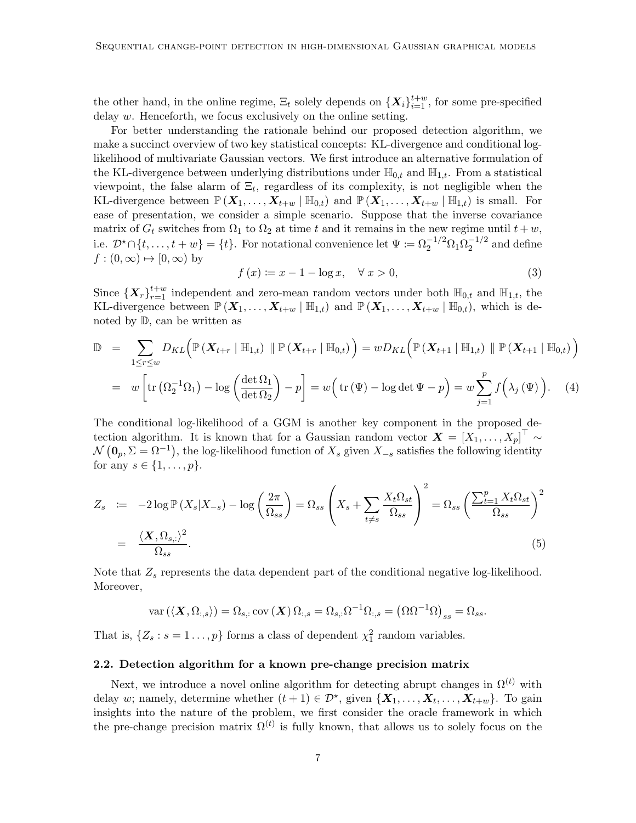the other hand, in the online regime,  $\Xi_t$  solely depends on  $\{X_i\}_{i=1}^{t+w}$ , for some pre-specified delay w. Henceforth, we focus exclusively on the online setting.

For better understanding the rationale behind our proposed detection algorithm, we make a succinct overview of two key statistical concepts: KL-divergence and conditional loglikelihood of multivariate Gaussian vectors. We first introduce an alternative formulation of the KL-divergence between underlying distributions under  $\mathbb{H}_{0,t}$  and  $\mathbb{H}_{1,t}$ . From a statistical viewpoint, the false alarm of  $\Xi_t$ , regardless of its complexity, is not negligible when the KL-divergence between  $\mathbb{P}(X_1,\ldots,X_{t+w} | \mathbb{H}_{0,t})$  and  $\mathbb{P}(X_1,\ldots,X_{t+w} | \mathbb{H}_{1,t})$  is small. For ease of presentation, we consider a simple scenario. Suppose that the inverse covariance matrix of  $G_t$  switches from  $\Omega_1$  to  $\Omega_2$  at time t and it remains in the new regime until  $t + w$ , i.e.  $\mathcal{D}^* \cap \{t, \ldots, t+w\} = \{t\}$ . For notational convenience let  $\Psi := \Omega_2^{-1/2} \Omega_1 \Omega_2^{-1/2}$  $\frac{-1}{2}$  and define  $f : (0, \infty) \mapsto [0, \infty)$  by

<span id="page-6-3"></span>
$$
f(x) \coloneqq x - 1 - \log x, \quad \forall x > 0,\tag{3}
$$

Since  $\{X_r\}_{r=1}^{t+w}$  independent and zero-mean random vectors under both  $\mathbb{H}_{0,t}$  and  $\mathbb{H}_{1,t}$ , the KL-divergence between  $\mathbb{P}(X_1,\ldots,X_{t+w} | \mathbb{H}_{1,t})$  and  $\mathbb{P}(X_1,\ldots,X_{t+w} | \mathbb{H}_{0,t})$ , which is denoted by D, can be written as

<span id="page-6-2"></span>
$$
\mathbb{D} = \sum_{1 \leq r \leq w} D_{KL} \Big( \mathbb{P} \left( \mathbf{X}_{t+r} \mid \mathbb{H}_{1,t} \right) \parallel \mathbb{P} \left( \mathbf{X}_{t+r} \mid \mathbb{H}_{0,t} \right) \Big) = w D_{KL} \Big( \mathbb{P} \left( \mathbf{X}_{t+1} \mid \mathbb{H}_{1,t} \right) \parallel \mathbb{P} \left( \mathbf{X}_{t+1} \mid \mathbb{H}_{0,t} \right) \Big)
$$
  
=  $w \Bigg[ \text{tr} \left( \Omega_2^{-1} \Omega_1 \right) - \log \left( \frac{\det \Omega_1}{\det \Omega_2} \right) - p \Bigg] = w \Big( \text{tr} \left( \Psi \right) - \log \det \Psi - p \Big) = w \sum_{j=1}^p f \Big( \lambda_j \left( \Psi \right) \Big). \tag{4}$ 

The conditional log-likelihood of a GGM is another key component in the proposed detection algorithm. It is known that for a Gaussian random vector  $\boldsymbol{X} = [X_1, \ldots, X_p]^\top \sim$  $\mathcal{N}(\mathbf{0}_p, \Sigma = \Omega^{-1}),$  the log-likelihood function of  $X_s$  given  $X_{-s}$  satisfies the following identity for any  $s \in \{1, \ldots, p\}.$ 

<span id="page-6-1"></span>
$$
Z_s \quad := \quad -2\log \mathbb{P}\left(X_s|X_{-s}\right) - \log\left(\frac{2\pi}{\Omega_{ss}}\right) = \Omega_{ss} \left(X_s + \sum_{t \neq s} \frac{X_t \Omega_{st}}{\Omega_{ss}}\right)^2 = \Omega_{ss} \left(\frac{\sum_{t=1}^p X_t \Omega_{st}}{\Omega_{ss}}\right)^2
$$
\n
$$
= \frac{\langle \mathbf{X}, \Omega_{s,:} \rangle^2}{\Omega_{ss}}.
$$
\n
$$
(5)
$$

Note that  $Z_s$  represents the data dependent part of the conditional negative log-likelihood. Moreover,

$$
\text{var}\left(\langle \mathbf{X}, \Omega_{:,s}\rangle\right) = \Omega_{s,:} \text{cov}\left(\mathbf{X}\right) \Omega_{:,s} = \Omega_{s,:} \Omega^{-1} \Omega_{:,s} = \left(\Omega \Omega^{-1} \Omega\right)_{ss} = \Omega_{ss}.
$$

That is,  $\{Z_s : s = 1 \dots, p\}$  forms a class of dependent  $\chi_1^2$  random variables.

#### <span id="page-6-0"></span>2.2. Detection algorithm for a known pre-change precision matrix

Next, we introduce a novel online algorithm for detecting abrupt changes in  $\Omega^{(t)}$  with delay w; namely, determine whether  $(t + 1) \in \mathcal{D}^*$ , given  $\{X_1, \ldots, X_t, \ldots, X_{t+w}\}$ . To gain insights into the nature of the problem, we first consider the oracle framework in which the pre-change precision matrix  $\Omega^{(t)}$  is fully known, that allows us to solely focus on the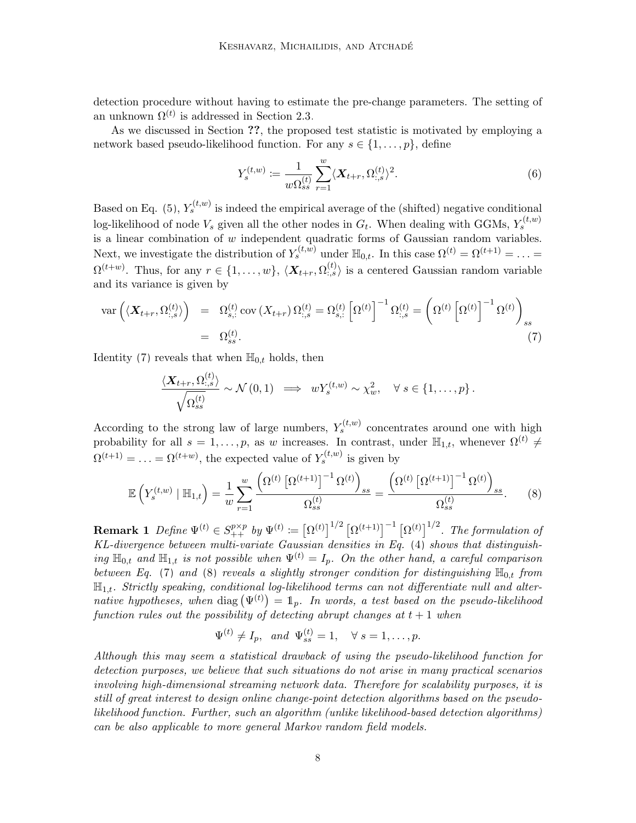detection procedure without having to estimate the pre-change parameters. The setting of an unknown  $\Omega^{(t)}$  is addressed in Section [2.3.](#page-10-0)

As we discussed in Section ??, the proposed test statistic is motivated by employing a network based pseudo-likelihood function. For any  $s \in \{1, \ldots, p\}$ , define

<span id="page-7-2"></span>
$$
Y_s^{(t,w)} := \frac{1}{w\Omega_{ss}^{(t)}} \sum_{r=1}^w \langle \mathbf{X}_{t+r}, \Omega_{:,s}^{(t)} \rangle^2.
$$
 (6)

Based on Eq. [\(5\)](#page-6-1),  $Y_s^{(t,w)}$  is indeed the empirical average of the (shifted) negative conditional log-likelihood of node  $V_s$  given all the other nodes in  $G_t$ . When dealing with GGMs,  $Y_s^{(t,w)}$ is a linear combination of  $w$  independent quadratic forms of Gaussian random variables. Next, we investigate the distribution of  $Y_s^{(t,w)}$  under  $\mathbb{H}_{0,t}$ . In this case  $\Omega^{(t)} = \Omega^{(t+1)} = \ldots =$  $\Omega^{(t+w)}$ . Thus, for any  $r \in \{1,\ldots,w\},\ \langle \mathbf{X}_{t+r}, \Omega^{(t)}_{:,s} \rangle$  is a centered Gaussian random variable and its variance is given by

<span id="page-7-0"></span>
$$
\operatorname{var}\left(\langle \mathbf{X}_{t+r}, \Omega_{:,s}^{(t)} \rangle\right) = \Omega_{s,:}^{(t)} \operatorname{cov}\left(X_{t+r}\right) \Omega_{:,s}^{(t)} = \Omega_{s,:}^{(t)} \left[\Omega^{(t)}\right]^{-1} \Omega_{:,s}^{(t)} = \left(\Omega^{(t)} \left[\Omega^{(t)}\right]^{-1} \Omega^{(t)}\right)_{ss}
$$
\n
$$
= \Omega_{ss}^{(t)}.
$$
\n(7)

Identity [\(7\)](#page-7-0) reveals that when  $\mathbb{H}_{0,t}$  holds, then

<span id="page-7-1"></span>
$$
\frac{\langle \mathbf{X}_{t+r}, \Omega_{:,s}^{(t)} \rangle}{\sqrt{\Omega_{ss}^{(t)}}} \sim \mathcal{N}(0,1) \implies wY_s^{(t,w)} \sim \chi_w^2, \quad \forall s \in \{1,\ldots,p\}.
$$

According to the strong law of large numbers,  $Y_s^{(t,w)}$  concentrates around one with high probability for all  $s = 1, \ldots, p$ , as w increases. In contrast, under  $\mathbb{H}_{1,t}$ , whenever  $\Omega^{(t)} \neq$  $\Omega^{(t+1)} = \ldots = \Omega^{(t+w)}$ , the expected value of  $Y_s^{(t,w)}$  is given by

$$
\mathbb{E}\left(Y_s^{(t,w)} \mid \mathbb{H}_{1,t}\right) = \frac{1}{w} \sum_{r=1}^w \frac{\left(\Omega^{(t)} \left[\Omega^{(t+1)}\right]^{-1} \Omega^{(t)}\right)_{ss}}{\Omega_{ss}^{(t)}} = \frac{\left(\Omega^{(t)} \left[\Omega^{(t+1)}\right]^{-1} \Omega^{(t)}\right)_{ss}}{\Omega_{ss}^{(t)}}.
$$
(8)

**Remark 1** Define  $\Psi^{(t)} \in S_{++}^{p \times p}$  by  $\Psi^{(t)} \coloneqq \left[\Omega^{(t)}\right]^{1/2} \left[\Omega^{(t+1)}\right]^{-1} \left[\Omega^{(t)}\right]^{1/2}$ . The formulation of KL-divergence between multi-variate Gaussian densities in Eq. [\(4\)](#page-6-2) shows that distinguishing  $\mathbb{H}_{0,t}$  and  $\mathbb{H}_{1,t}$  is not possible when  $\Psi^{(t)} = I_p$ . On the other hand, a careful comparison between Eq. [\(7\)](#page-7-0) and [\(8\)](#page-7-1) reveals a slightly stronger condition for distinguishing  $\mathbb{H}_{0,t}$  from  $\mathbb{H}_{1,t}$ . Strictly speaking, conditional log-likelihood terms can not differentiate null and alternative hypotheses, when diag  $(\Psi^{(t)}) = 1_p$ . In words, a test based on the pseudo-likelihood function rules out the possibility of detecting abrupt changes at  $t + 1$  when

$$
\Psi^{(t)} \neq I_p, \quad and \quad \Psi_{ss}^{(t)} = 1, \quad \forall \ s = 1, \ldots, p.
$$

Although this may seem a statistical drawback of using the pseudo-likelihood function for detection purposes, we believe that such situations do not arise in many practical scenarios involving high-dimensional streaming network data. Therefore for scalability purposes, it is still of great interest to design online change-point detection algorithms based on the pseudolikelihood function. Further, such an algorithm (unlike likelihood-based detection algorithms) can be also applicable to more general Markov random field models.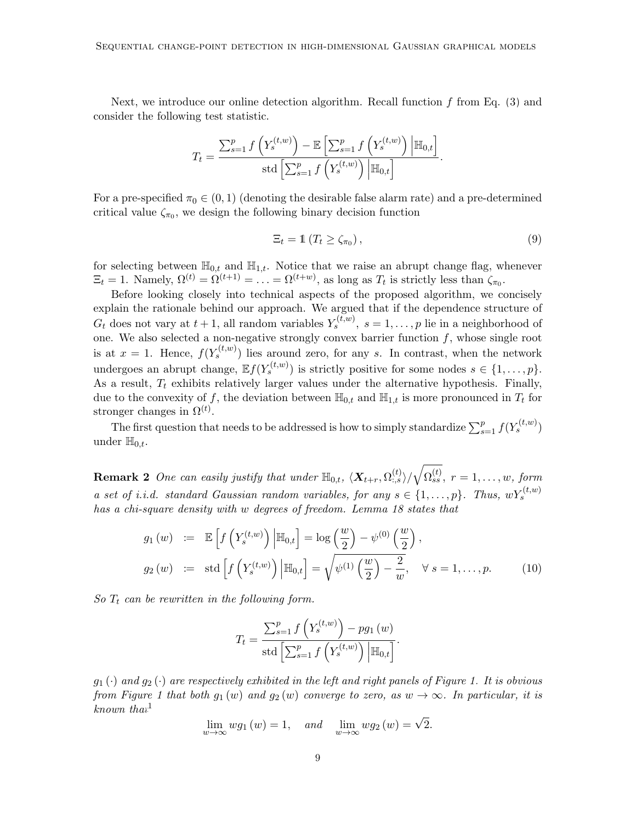Next, we introduce our online detection algorithm. Recall function  $f$  from Eq. [\(3\)](#page-6-3) and consider the following test statistic.

$$
T_t = \frac{\sum_{s=1}^p f\left(Y_s^{(t,w)}\right) - \mathbb{E}\left[\sum_{s=1}^p f\left(Y_s^{(t,w)}\right) \middle| \mathbb{H}_{0,t}\right]}{\text{std}\left[\sum_{s=1}^p f\left(Y_s^{(t,w)}\right) \middle| \mathbb{H}_{0,t}\right]}.
$$

For a pre-specified  $\pi_0 \in (0,1)$  (denoting the desirable false alarm rate) and a pre-determined critical value  $\zeta_{\pi_0}$ , we design the following binary decision function

$$
\Xi_t = \mathbb{1} \left( T_t \ge \zeta_{\pi_0} \right), \tag{9}
$$

for selecting between  $\mathbb{H}_{0,t}$  and  $\mathbb{H}_{1,t}$ . Notice that we raise an abrupt change flag, whenever  $\Xi_t = 1$ . Namely,  $\Omega^{(t)} = \Omega^{(t+1)} = \ldots = \Omega^{(t+w)}$ , as long as  $T_t$  is strictly less than  $\zeta_{\pi_0}$ .

Before looking closely into technical aspects of the proposed algorithm, we concisely explain the rationale behind our approach. We argued that if the dependence structure of  $G_t$  does not vary at  $t + 1$ , all random variables  $Y_s^{(t,w)}$ ,  $s = 1, \ldots, p$  lie in a neighborhood of one. We also selected a non-negative strongly convex barrier function  $f$ , whose single root is at  $x = 1$ . Hence,  $f(Y_s^{(t,w)})$  lies around zero, for any s. In contrast, when the network undergoes an abrupt change,  $\mathbb{E} f(Y_s^{(t,w)})$  is strictly positive for some nodes  $s \in \{1,\ldots,p\}$ . As a result,  $T_t$  exhibits relatively larger values under the alternative hypothesis. Finally, due to the convexity of f, the deviation between  $\mathbb{H}_{0,t}$  and  $\mathbb{H}_{1,t}$  is more pronounced in  $T_t$  for stronger changes in  $\Omega^{(t)}$ .

The first question that needs to be addressed is how to simply standardize  $\sum_{s=1}^{p} f(Y_s^{(t,w)})$ under  $\mathbb{H}_{0,t}$ .

<span id="page-8-1"></span>**Remark 2** One can easily justify that under  $\mathbb{H}_{0,t}$ ,  $\langle X_{t+r}, \Omega_{.,s}^{(t)} \rangle / \sqrt{\Omega_{ss}^{(t)}}$ ,  $r = 1, \ldots, w$ , form a set of i.i.d. standard Gaussian random variables, for any  $s \in \{1, \ldots, p\}$ . Thus,  $wY_s^{(t,w)}$ has a chi-square density with w degrees of freedom. Lemma [18](#page-45-0) states that

<span id="page-8-0"></span>
$$
g_1(w) := \mathbb{E}\left[f\left(Y_s^{(t,w)}\right) \middle| \mathbb{H}_{0,t}\right] = \log\left(\frac{w}{2}\right) - \psi^{(0)}\left(\frac{w}{2}\right),
$$
  
\n
$$
g_2(w) := \text{std}\left[f\left(Y_s^{(t,w)}\right) \middle| \mathbb{H}_{0,t}\right] = \sqrt{\psi^{(1)}\left(\frac{w}{2}\right) - \frac{2}{w}}, \quad \forall s = 1,\dots,p. \tag{10}
$$

So  $T_t$  can be rewritten in the following form.

$$
T_t = \frac{\sum_{s=1}^p f\left(Y_s^{(t,w)}\right) - pg_1(w)}{\text{std}\left[\sum_{s=1}^p f\left(Y_s^{(t,w)}\right) \middle| \mathbb{H}_{0,t}\right]}.
$$

 $g_1(\cdot)$  and  $g_2(\cdot)$  are respectively exhibited in the left and right panels of Figure [1.](#page-9-0) It is obvious from Figure [1](#page-9-0) that both  $g_1(w)$  and  $g_2(w)$  converge to zero, as  $w \to \infty$ . In particular, it is  $known$  that<sup>[1](#page-9-1)</sup>

$$
\lim_{w \to \infty} w g_1(w) = 1, \quad \text{and} \quad \lim_{w \to \infty} w g_2(w) = \sqrt{2}.
$$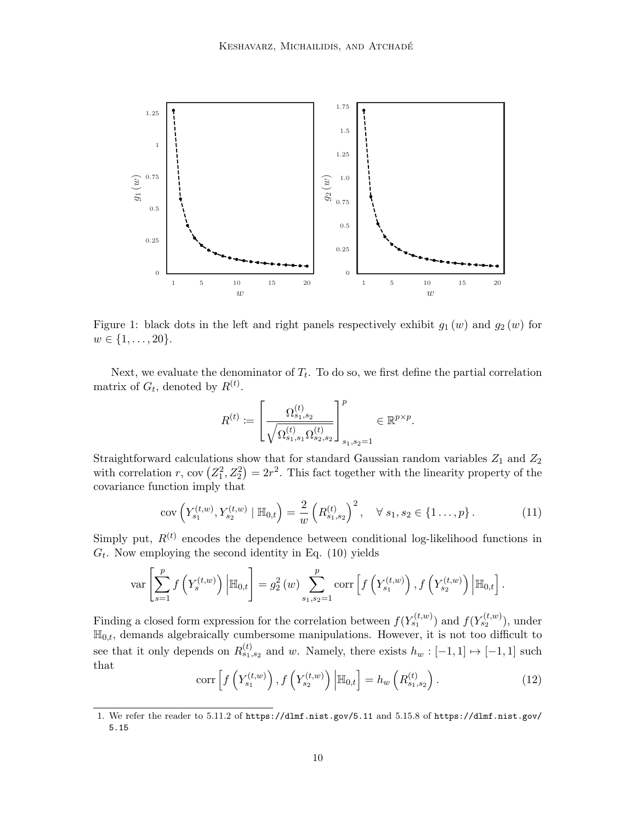<span id="page-9-0"></span>

Figure 1: black dots in the left and right panels respectively exhibit  $g_1(w)$  and  $g_2(w)$  for  $w \in \{1, \ldots, 20\}.$ 

Next, we evaluate the denominator of  $T_t$ . To do so, we first define the partial correlation matrix of  $G_t$ , denoted by  $R^{(t)}$ .

<span id="page-9-2"></span>
$$
R^{(t)} := \left[ \frac{\Omega_{s_1, s_2}^{(t)}}{\sqrt{\Omega_{s_1, s_1}^{(t)} \Omega_{s_2, s_2}^{(t)}}} \right]_{s_1, s_2 = 1}^p \in \mathbb{R}^{p \times p}.
$$

Straightforward calculations show that for standard Gaussian random variables  $Z_1$  and  $Z_2$ with correlation r, cov  $(Z_1^2, Z_2^2) = 2r^2$ . This fact together with the linearity property of the covariance function imply that

$$
cov\left(Y_{s_1}^{(t,w)}, Y_{s_2}^{(t,w)} \mid \mathbb{H}_{0,t}\right) = \frac{2}{w} \left(R_{s_1,s_2}^{(t)}\right)^2, \quad \forall s_1, s_2 \in \{1 \dots, p\}.
$$
 (11)

Simply put,  $R^{(t)}$  encodes the dependence between conditional log-likelihood functions in  $G_t$ . Now employing the second identity in Eq. [\(10\)](#page-8-0) yields

$$
\text{var}\left[\sum_{s=1}^p f\left(Y_s^{(t,w)}\right) \Big| \mathbb{H}_{0,t}\right] = g_2^2(w) \sum_{s_1,s_2=1}^p \text{corr}\left[f\left(Y_{s_1}^{(t,w)}\right), f\left(Y_{s_2}^{(t,w)}\right) \Big| \mathbb{H}_{0,t}\right].
$$

<span id="page-9-3"></span>Finding a closed form expression for the correlation between  $f(Y_{s_1}^{(t,w)})$  and  $f(Y_{s_2}^{(t,w)})$ , under  $\mathbb{H}_{0,t}$ , demands algebraically cumbersome manipulations. However, it is not too difficult to see that it only depends on  $R_{s_1,s_2}^{(t)}$  and w. Namely, there exists  $h_w: [-1,1] \mapsto [-1,1]$  such that

$$
\operatorname{corr}\left[f\left(Y_{s_1}^{(t,w)}\right), f\left(Y_{s_2}^{(t,w)}\right)\middle|\mathbb{H}_{0,t}\right] = h_w\left(R_{s_1,s_2}^{(t)}\right). \tag{12}
$$

<span id="page-9-1"></span><sup>1.</sup> We refer the reader to 5.11.2 of <https://dlmf.nist.gov/5.11> and 5.15.8 of [https://dlmf.nist.gov/](https://dlmf.nist.gov/5.15) [5.15](https://dlmf.nist.gov/5.15)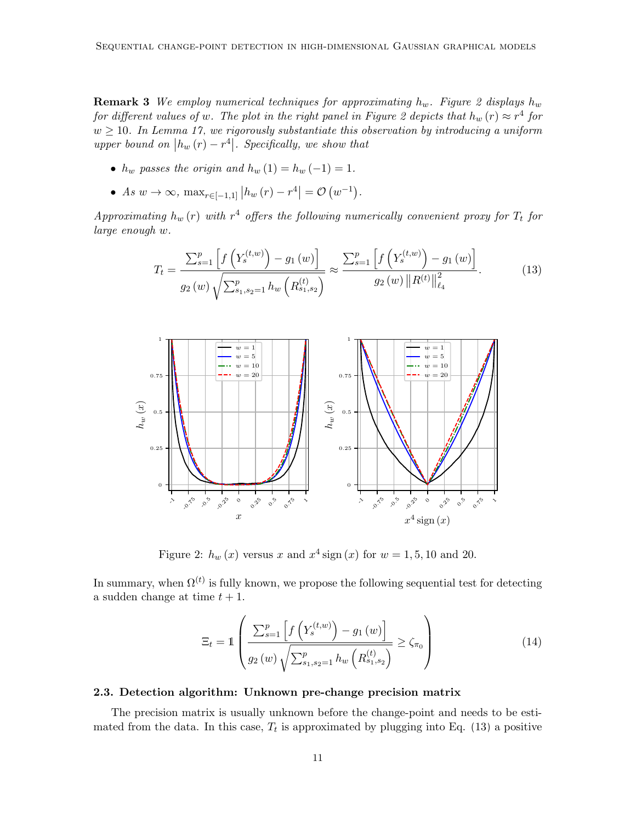**Remark 3** We employ numerical techniques for approximating  $h_w$ . Figure [2](#page-10-1) displays  $h_w$ for different values of w. The plot in the right panel in Figure [2](#page-10-1) depicts that  $h_w(r) \approx r^4$  for  $w \geq 10$ . In Lemma [17,](#page-43-1) we rigorously substantiate this observation by introducing a uniform upper bound on  $|h_w(r) - r^4|$ . Specifically, we show that

- $h_w$  passes the origin and  $h_w(1) = h_w(-1) = 1$ .
- As  $w \to \infty$ ,  $\max_{r \in [-1,1]} |h_w(r) r^4| = \mathcal{O}(w^{-1}).$

Approximating  $h_w(r)$  with  $r^4$  offers the following numerically convenient proxy for  $T_t$  for large enough w.

<span id="page-10-2"></span>
$$
T_{t} = \frac{\sum_{s=1}^{p} \left[ f\left(Y_{s}^{(t,w)}\right) - g_{1}\left(w\right) \right]}{g_{2}\left(w\right) \sqrt{\sum_{s_{1},s_{2}=1}^{p} h_{w}\left(R_{s_{1},s_{2}}^{(t)}\right)}} \approx \frac{\sum_{s=1}^{p} \left[ f\left(Y_{s}^{(t,w)}\right) - g_{1}\left(w\right) \right]}{g_{2}\left(w\right) \|R^{(t)}\|_{\ell_{4}}^{2}}.
$$
(13)

<span id="page-10-1"></span>

Figure 2:  $h_w(x)$  versus x and  $x^4$  sign  $(x)$  for  $w = 1, 5, 10$  and 20.

In summary, when  $\Omega^{(t)}$  is fully known, we propose the following sequential test for detecting a sudden change at time  $t + 1$ .

<span id="page-10-3"></span>
$$
\Xi_{t} = \mathbb{1} \left( \frac{\sum_{s=1}^{p} \left[ f\left(Y_s^{(t,w)}\right) - g_1\left(w\right) \right]}{g_2\left(w\right) \sqrt{\sum_{s_1, s_2=1}^{p} h_w\left(R_{s_1, s_2}^{(t)}\right)}} \ge \zeta_{\pi_0} \right) \tag{14}
$$

#### <span id="page-10-0"></span>2.3. Detection algorithm: Unknown pre-change precision matrix

The precision matrix is usually unknown before the change-point and needs to be estimated from the data. In this case,  $T_t$  is approximated by plugging into Eq. [\(13\)](#page-10-2) a positive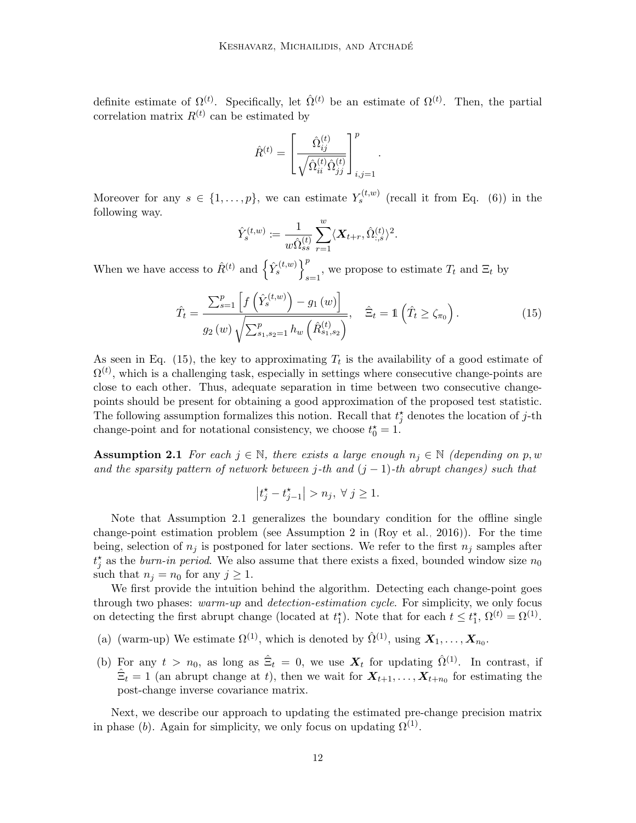definite estimate of  $\Omega^{(t)}$ . Specifically, let  $\hat{\Omega}^{(t)}$  be an estimate of  $\Omega^{(t)}$ . Then, the partial correlation matrix  $R^{(t)}$  can be estimated by

$$
\hat{R}^{(t)} = \left[\frac{\hat{\Omega}_{ij}^{(t)}}{\sqrt{\hat{\Omega}_{ii}^{(t)}\hat{\Omega}_{jj}}}\right]_{i,j=1}^{p}
$$

Moreover for any  $s \in \{1,\ldots,p\}$ , we can estimate  $Y_s^{(t,w)}$  (recall it from Eq. [\(6\)](#page-7-2)) in the following way.

$$
\hat{Y}^{(t,w)}_s\coloneqq\frac{1}{w\hat{\Omega}^{(t)}_{ss}}\sum_{r=1}^w\langle\boldsymbol{X}_{t+r},\hat{\Omega}^{(t)}_{:,s}\rangle^2.
$$

When we have access to  $\hat{R}^{(t)}$  and  $\left\{ \hat{Y}_{s}^{(t,w)} \right\}^{p}$  $\sum_{s=1}^{\infty}$ , we propose to estimate  $T_t$  and  $\Xi_t$  by

$$
\hat{T}_t = \frac{\sum_{s=1}^p \left[ f\left(\hat{Y}_s^{(t,w)}\right) - g_1\left(w\right) \right]}{g_2\left(w\right) \sqrt{\sum_{s_1, s_2=1}^p h_w\left(\hat{R}_{s_1, s_2}^{(t)}\right)}}, \quad \hat{\Xi}_t = \mathbb{1}\left(\hat{T}_t \geq \zeta_{\pi_0}\right). \tag{15}
$$

<span id="page-11-0"></span>.

As seen in Eq. [\(15\)](#page-11-0), the key to approximating  $T_t$  is the availability of a good estimate of  $\Omega^{(t)}$ , which is a challenging task, especially in settings where consecutive change-points are close to each other. Thus, adequate separation in time between two consecutive changepoints should be present for obtaining a good approximation of the proposed test statistic. The following assumption formalizes this notion. Recall that  $t_j^*$  denotes the location of j-th change-point and for notational consistency, we choose  $t_0^* = 1$ .

<span id="page-11-1"></span>**Assumption 2.1** For each  $j \in \mathbb{N}$ , there exists a large enough  $n_j \in \mathbb{N}$  (depending on p, w and the sparsity pattern of network between j-th and  $(j - 1)$ -th abrupt changes) such that

$$
\left|t_j^{\star} - t_{j-1}^{\star}\right| > n_j, \ \forall \ j \ge 1.
$$

Note that Assumption [2.1](#page-11-1) generalizes the boundary condition for the offline single change-point estimation problem (see Assumption 2 in [\(Roy et al., 2016\)](#page-56-10)). For the time being, selection of  $n_j$  is postponed for later sections. We refer to the first  $n_j$  samples after  $t_j^*$  as the *burn-in period*. We also assume that there exists a fixed, bounded window size  $n_0$ such that  $n_j = n_0$  for any  $j \geq 1$ .

We first provide the intuition behind the algorithm. Detecting each change-point goes through two phases: warm-up and detection-estimation cycle. For simplicity, we only focus on detecting the first abrupt change (located at  $t_1^*$ ). Note that for each  $t \leq t_1^*$ ,  $\Omega^{(t)} = \Omega^{(1)}$ .

- (a) (warm-up) We estimate  $\Omega^{(1)}$ , which is denoted by  $\hat{\Omega}^{(1)}$ , using  $\mathbf{X}_1, \ldots, \mathbf{X}_{n_0}$ .
- <span id="page-11-2"></span>(b) For any  $t > n_0$ , as long as  $\hat{\Xi}_t = 0$ , we use  $\mathbf{X}_t$  for updating  $\hat{\Omega}^{(1)}$ . In contrast, if  $\hat{\Xi}_t = 1$  (an abrupt change at t), then we wait for  $X_{t+1}, \ldots, X_{t+n_0}$  for estimating the post-change inverse covariance matrix.

Next, we describe our approach to updating the estimated pre-change precision matrix in phase (b). Again for simplicity, we only focus on updating  $\Omega^{(1)}$ .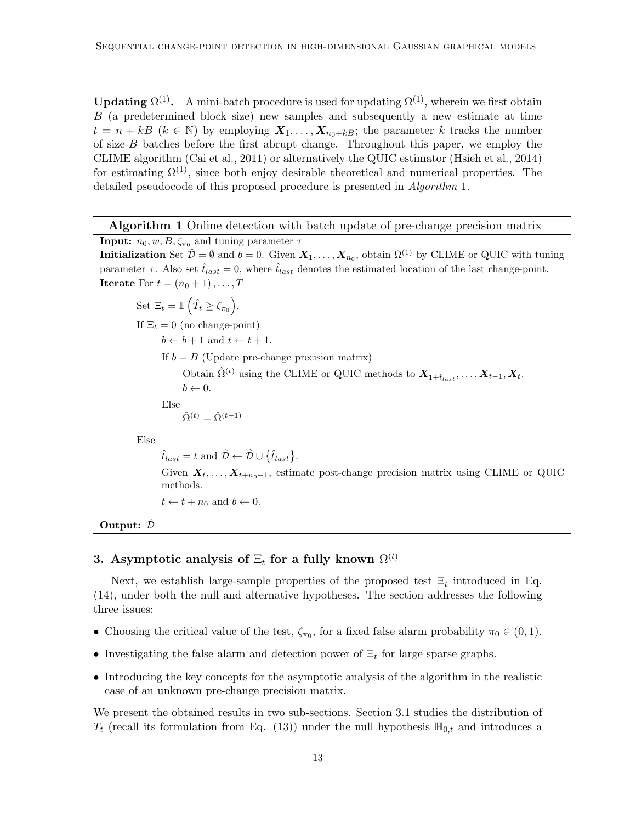**Updating**  $\Omega^{(1)}$ . A mini-batch procedure is used for updating  $\Omega^{(1)}$ , wherein we first obtain B (a predetermined block size) new samples and subsequently a new estimate at time  $t = n + kB$  ( $k \in \mathbb{N}$ ) by employing  $X_1, \ldots, X_{n_0+kB}$ ; the parameter k tracks the number of size-B batches before the first abrupt change. Throughout this paper, we employ the CLIME algorithm [\(Cai et al., 2011\)](#page-55-11) or alternatively the QUIC estimator [\(Hsieh et al., 2014\)](#page-55-10) for estimating  $\Omega^{(1)}$ , since both enjoy desirable theoretical and numerical properties. The detailed pseudocode of this proposed procedure is presented in *Algorithm* 1.

Algorithm 1 Online detection with batch update of pre-change precision matrix

**Input:**  $n_0, w, B, \zeta_{\pi_0}$  and tuning parameter  $\tau$ **Initialization** Set  $\hat{\mathcal{D}} = \emptyset$  and  $b = 0$ . Given  $X_1, \ldots, X_{n_0}$ , obtain  $\Omega^{(1)}$  by CLIME or QUIC with tuning parameter  $\tau$ . Also set  $\hat{t}_{last} = 0$ , where  $\hat{t}_{last}$  denotes the estimated location of the last change-point. **Iterate** For  $t = (n_0 + 1), \ldots, T$ 

Set 
$$
\Xi_t = 1 (\hat{T}_t \ge \zeta_{\pi_0})
$$
.  
\nIf  $\Xi_t = 0$  (no change-point)  
\n $b \leftarrow b + 1$  and  $t \leftarrow t + 1$ .  
\nIf  $b = B$  (Update pre-change precision matrix)  
\nObtain  $\hat{\Omega}^{(t)}$  using the CLIME or QUIC methods to  $\mathbf{X}_{1 + \hat{t}_{last}}, \dots, \mathbf{X}_{t-1}, \mathbf{X}_t$ .  
\n $b \leftarrow 0$ .  
\nElse  
\n $\hat{\Omega}^{(t)} = \hat{\Omega}^{(t-1)}$ 

Else

 $\hat{t}_{last} = t \text{ and } \hat{\mathcal{D}} \leftarrow \hat{\mathcal{D}} \cup \{\hat{t}_{last}\}.$ 

Given  $X_t, \ldots, X_{t+n_0-1}$ , estimate post-change precision matrix using CLIME or QUIC methods.

 $t \leftarrow t + n_0$  and  $b \leftarrow 0$ .

Output:  $\hat{\mathcal{D}}$ 

# <span id="page-12-0"></span>3. Asymptotic analysis of  $\Xi_t$  for a fully known  $\Omega^{(t)}$

Next, we establish large-sample properties of the proposed test  $\Xi_t$  introduced in Eq. [\(14\)](#page-10-3), under both the null and alternative hypotheses. The section addresses the following three issues:

- Choosing the critical value of the test,  $\zeta_{\pi_0}$ , for a fixed false alarm probability  $\pi_0 \in (0,1)$ .
- Investigating the false alarm and detection power of  $\Xi_t$  for large sparse graphs.
- Introducing the key concepts for the asymptotic analysis of the algorithm in the realistic case of an unknown pre-change precision matrix.

We present the obtained results in two sub-sections. Section [3.1](#page-13-0) studies the distribution of  $T_t$  (recall its formulation from Eq. [\(13\)](#page-10-2)) under the null hypothesis  $\mathbb{H}_{0,t}$  and introduces a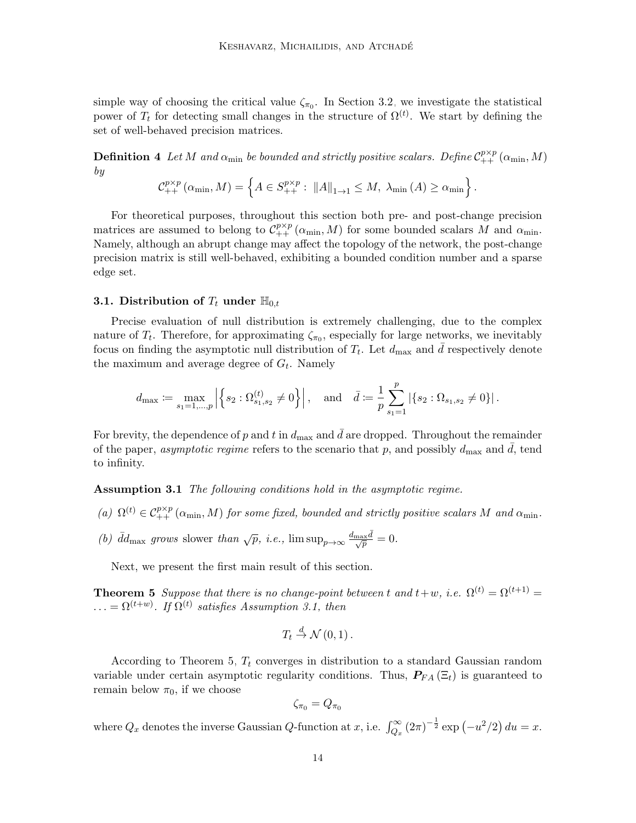simple way of choosing the critical value  $\zeta_{\pi_0}$ . In Section [3.2,](#page-14-0) we investigate the statistical power of  $T_t$  for detecting small changes in the structure of  $\Omega^{(t)}$ . We start by defining the set of well-behaved precision matrices.

**Definition 4** Let M and  $\alpha_{\min}$  be bounded and strictly positive scalars. Define  $\mathcal{C}_{++}^{p\times p}(\alpha_{\min},M)$ by

$$
\mathcal{C}_{++}^{p\times p}(\alpha_{\min}, M) = \left\{ A \in S_{++}^{p\times p} : ||A||_{1\to 1} \leq M, \ \lambda_{\min}(A) \geq \alpha_{\min} \right\}.
$$

For theoretical purposes, throughout this section both pre- and post-change precision matrices are assumed to belong to  $\mathcal{C}_{++}^{p\times p}(\alpha_{\min}, M)$  for some bounded scalars M and  $\alpha_{\min}$ . Namely, although an abrupt change may affect the topology of the network, the post-change precision matrix is still well-behaved, exhibiting a bounded condition number and a sparse edge set.

#### <span id="page-13-0"></span>3.1. Distribution of  $T_t$  under  $\mathbb{H}_{0,t}$

Precise evaluation of null distribution is extremely challenging, due to the complex nature of  $T_t$ . Therefore, for approximating  $\zeta_{\pi_0}$ , especially for large networks, we inevitably focus on finding the asymptotic null distribution of  $T_t$ . Let  $d_{\text{max}}$  and  $\bar{d}$  respectively denote the maximum and average degree of  $G_t$ . Namely

$$
d_{\text{max}} \coloneqq \max_{s_1 = 1, \dots, p} \left| \left\{ s_2 : \Omega_{s_1, s_2}^{(t)} \neq 0 \right\} \right|, \quad \text{and} \quad \bar{d} \coloneqq \frac{1}{p} \sum_{s_1 = 1}^p \left| \left\{ s_2 : \Omega_{s_1, s_2} \neq 0 \right\} \right|.
$$

For brevity, the dependence of p and t in  $d_{\text{max}}$  and  $\bar{d}$  are dropped. Throughout the remainder of the paper, asymptotic regime refers to the scenario that p, and possibly  $d_{\text{max}}$  and d, tend to infinity.

<span id="page-13-1"></span>Assumption 3.1 The following conditions hold in the asymptotic regime.

- (a)  $\Omega^{(t)} \in C_{++}^{p \times p}(\alpha_{\min}, M)$  for some fixed, bounded and strictly positive scalars M and  $\alpha_{\min}$ .
- (b)  $\bar{d}d_{\text{max}}$  grows slower than  $\sqrt{p}$ , i.e.,  $\limsup_{p\to\infty} \frac{d_{\text{max}}\bar{d}}{\sqrt{p}} = 0$ .

Next, we present the first main result of this section.

<span id="page-13-2"></span>**Theorem 5** Suppose that there is no change-point between t and  $t+w$ , i.e.  $\Omega^{(t)} = \Omega^{(t+1)} =$  $\ldots = \Omega^{(t+w)}$ . If  $\Omega^{(t)}$  satisfies Assumption [3.1,](#page-13-1) then

$$
T_t \stackrel{d}{\to} \mathcal{N}(0,1).
$$

According to Theorem [5,](#page-13-2)  $T_t$  converges in distribution to a standard Gaussian random variable under certain asymptotic regularity conditions. Thus,  $P_{FA}(\Xi_t)$  is guaranteed to remain below  $\pi_0$ , if we choose

$$
\zeta_{\pi_0} = Q_{\pi_0}
$$

where  $Q_x$  denotes the inverse Gaussian Q-function at x, i.e.  $\int_{Q_x}^{\infty} (2\pi)^{-\frac{1}{2}} \exp(-u^2/2) du = x$ .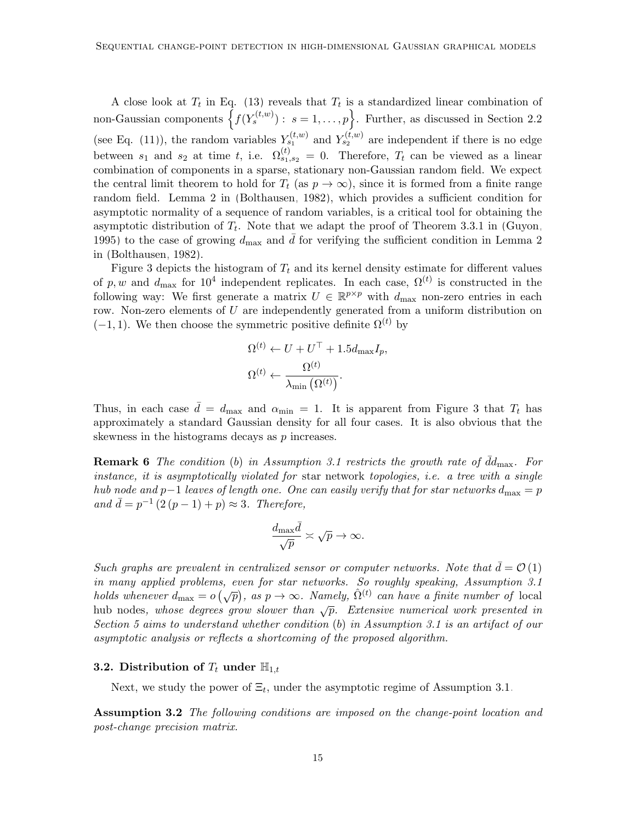A close look at  $T_t$  in Eq. [\(13\)](#page-10-2) reveals that  $T_t$  is a standardized linear combination of non-Gaussian components  $\left\{f(Y_s^{(t,w)}) : s = 1, \ldots, p\right\}$ . Further, as discussed in Section [2.2](#page-6-0) (see Eq. [\(11\)](#page-9-2)), the random variables  $Y_{s_1}^{(t,w)}$  and  $Y_{s_2}^{(t,w)}$  are independent if there is no edge between  $s_1$  and  $s_2$  at time t, i.e.  $\Omega_{s_1,s_2}^{(t)} = 0$ . Therefore,  $T_t$  can be viewed as a linear combination of components in a sparse, stationary non-Gaussian random field. We expect the central limit theorem to hold for  $T_t$  (as  $p \to \infty$ ), since it is formed from a finite range random field. Lemma 2 in [\(Bolthausen, 1982\)](#page-55-12), which provides a sufficient condition for asymptotic normality of a sequence of random variables, is a critical tool for obtaining the asymptotic distribution of  $T_t$ . Note that we adapt the proof of Theorem 3.3.1 in [\(Guyon,](#page-55-13) [1995\)](#page-55-13) to the case of growing  $d_{\text{max}}$  and d for verifying the sufficient condition in Lemma 2 in [\(Bolthausen, 1982\)](#page-55-12).

Figure [3](#page-15-0) depicts the histogram of  $T_t$  and its kernel density estimate for different values of p, w and  $d_{\text{max}}$  for  $10^4$  independent replicates. In each case,  $\Omega^{(t)}$  is constructed in the following way: We first generate a matrix  $U \in \mathbb{R}^{p \times p}$  with  $d_{\text{max}}$  non-zero entries in each row. Non-zero elements of  $U$  are independently generated from a uniform distribution on  $(-1, 1)$ . We then choose the symmetric positive definite  $\Omega^{(t)}$  by

$$
\Omega^{(t)} \leftarrow U + U^{\top} + 1.5d_{\max}I_p,
$$
  

$$
\Omega^{(t)} \leftarrow \frac{\Omega^{(t)}}{\lambda_{\min}(\Omega^{(t)})}.
$$

Thus, in each case  $\bar{d} = d_{\text{max}}$  and  $\alpha_{\text{min}} = 1$ . It is apparent from Figure [3](#page-15-0) that  $T_t$  has approximately a standard Gaussian density for all four cases. It is also obvious that the skewness in the histograms decays as  $p$  increases.

**Remark 6** The condition (b) in Assumption [3.1](#page-13-1) restricts the growth rate of  $\bar{d}d_{\text{max}}$ . For instance, it is asymptotically violated for star network topologies, i.e. a tree with a single hub node and p−1 leaves of length one. One can easily verify that for star networks  $d_{\text{max}} = p$ and  $\bar{d} = p^{-1} (2(p-1) + p) \approx 3$ . Therefore,

$$
\frac{d_{\max} \bar{d}}{\sqrt{p}} \asymp \sqrt{p} \to \infty.
$$

Such graphs are prevalent in centralized sensor or computer networks. Note that  $\bar{d} = \mathcal{O}(1)$ in many applied problems, even for star networks. So roughly speaking, Assumption [3.1](#page-13-1) holds whenever  $d_{\text{max}} = o(\sqrt{p})$ , as  $p \to \infty$ . Namely,  $\hat{\Omega}^{(t)}$  can have a finite number of local hub nodes, whose degrees grow slower than  $\sqrt{p}$ . Extensive numerical work presented in Section [5](#page-22-0) aims to understand whether condition (b) in Assumption [3.1](#page-13-1) is an artifact of our asymptotic analysis or reflects a shortcoming of the proposed algorithm.

### <span id="page-14-0"></span>**3.2.** Distribution of  $T_t$  under  $\mathbb{H}_{1,t}$

Next, we study the power of  $\Xi_t$ , under the asymptotic regime of Assumption [3.1.](#page-13-1)

<span id="page-14-1"></span>Assumption 3.2 The following conditions are imposed on the change-point location and post-change precision matrix.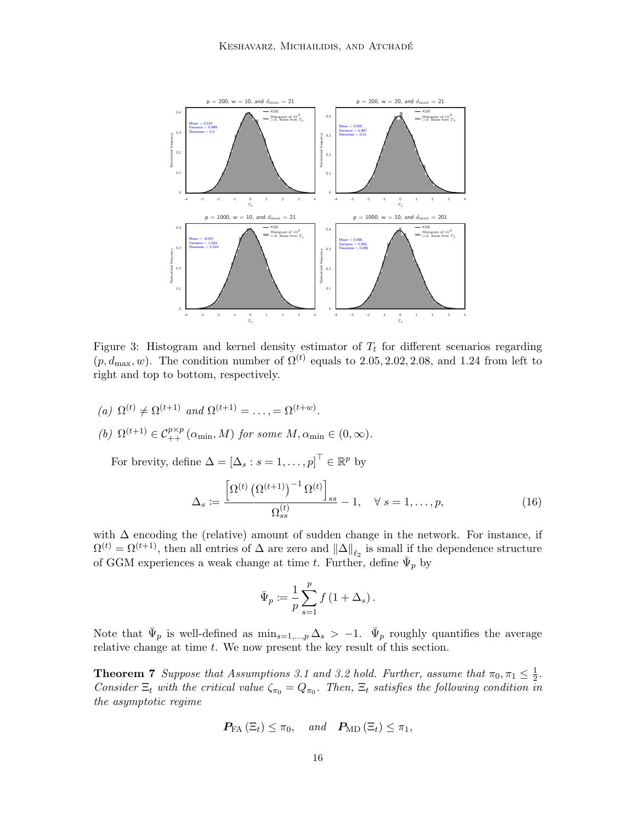<span id="page-15-0"></span>

Figure 3: Histogram and kernel density estimator of  $T_t$  for different scenarios regarding  $(p, d_{\text{max}}, w)$ . The condition number of  $\Omega^{(t)}$  equals to 2.05, 2.02, 2.08, and 1.24 from left to right and top to bottom, respectively.

(a)  $\Omega^{(t)} \neq \Omega^{(t+1)}$  and  $\Omega^{(t+1)} = \ldots = \Omega^{(t+w)}$ . (b)  $\Omega^{(t+1)} \in C_{++}^{p \times p}(\alpha_{\min}, M)$  for some  $M, \alpha_{\min} \in (0, \infty)$ .

For brevity, define  $\Delta = [\Delta_s : s = 1, \dots, p]^\top \in \mathbb{R}^p$  by

$$
\Delta_s := \frac{\left[\Omega^{(t)}\left(\Omega^{(t+1)}\right)^{-1}\Omega^{(t)}\right]_{ss}}{\Omega_{ss}^{(t)}} - 1, \quad \forall \ s = 1, \dots, p,\tag{16}
$$

with  $\Delta$  encoding the (relative) amount of sudden change in the network. For instance, if  $\Omega^{(t)} = \Omega^{(t+1)}$ , then all entries of  $\Delta$  are zero and  $\|\Delta\|_{\ell_2}$  is small if the dependence structure of GGM experiences a weak change at time t. Further, define  $\bar{\Psi}_p$  by

<span id="page-15-2"></span>
$$
\bar{\Psi}_p := \frac{1}{p} \sum_{s=1}^p f(1 + \Delta_s).
$$

Note that  $\bar{\Psi}_p$  is well-defined as  $\min_{s=1,\dots,p} \Delta_s > -1$ .  $\bar{\Psi}_p$  roughly quantifies the average relative change at time t. We now present the key result of this section.

<span id="page-15-1"></span>**Theorem 7** Suppose that Assumptions [3.1](#page-13-1) and [3.2](#page-14-1) hold. Further, assume that  $\pi_0, \pi_1 \leq \frac{1}{2}$  $rac{1}{2}$ . Consider  $\Xi_t$  with the critical value  $\zeta_{\pi_0} = Q_{\pi_0}$ . Then,  $\Xi_t$  satisfies the following condition in the asymptotic regime

$$
\boldsymbol{P_{\text{FA}}}\left(\Xi_{t}\right) \leq \pi_{0}, \quad \text{and} \quad \boldsymbol{P_{\text{MD}}}\left(\Xi_{t}\right) \leq \pi_{1},
$$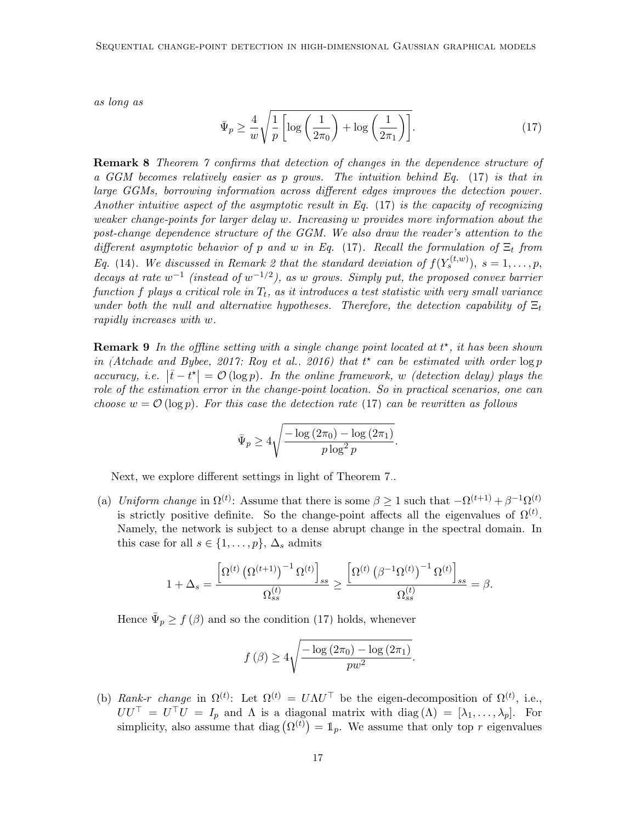<span id="page-16-0"></span>as long as

$$
\bar{\Psi}_p \ge \frac{4}{w} \sqrt{\frac{1}{p} \left[ \log \left( \frac{1}{2\pi_0} \right) + \log \left( \frac{1}{2\pi_1} \right) \right]}.
$$
\n(17)

**Remark 8** Theorem [7](#page-15-1) confirms that detection of changes in the dependence structure of a GGM becomes relatively easier as p grows. The intuition behind Eq. [\(17\)](#page-16-0) is that in large GGMs, borrowing information across different edges improves the detection power. Another intuitive aspect of the asymptotic result in Eq.  $(17)$  is the capacity of recognizing weaker change-points for larger delay w. Increasing w provides more information about the post-change dependence structure of the GGM. We also draw the reader's attention to the different asymptotic behavior of p and w in Eq. [\(17\)](#page-16-0). Recall the formulation of  $\Xi_t$  from Eq. [\(14\)](#page-10-3). We discussed in Remark [2](#page-8-1) that the standard deviation of  $f(Y_s^{(t,w)})$ ,  $s = 1, \ldots, p$ , decays at rate  $w^{-1}$  (instead of  $w^{-1/2}$ ), as w grows. Simply put, the proposed convex barrier function f plays a critical role in  $T_t$ , as it introduces a test statistic with very small variance under both the null and alternative hypotheses. Therefore, the detection capability of  $\Xi_t$ rapidly increases with w.

<span id="page-16-1"></span>**Remark 9** In the offline setting with a single change point located at  $t^*$ , it has been shown in [\(Atchade and Bybee, 2017;](#page-54-1) [Roy et al., 2016\)](#page-56-10) that  $t^*$  can be estimated with order  $\log p$ accuracy, i.e.  $|\hat{t} - t^{\star}| = \mathcal{O}(\log p)$ . In the online framework, w (detection delay) plays the role of the estimation error in the change-point location. So in practical scenarios, one can choose  $w = \mathcal{O}(\log p)$ . For this case the detection rate [\(17\)](#page-16-0) can be rewritten as follows

$$
\bar{\Psi}_p \ge 4\sqrt{\frac{-\log\left(2\pi_0\right) - \log\left(2\pi_1\right)}{p\log^2 p}}.
$$

Next, we explore different settings in light of Theorem [7.](#page-15-1).

(a) Uniform change in  $\Omega^{(t)}$ : Assume that there is some  $\beta \geq 1$  such that  $-\Omega^{(t+1)} + \beta^{-1} \Omega^{(t)}$ is strictly positive definite. So the change-point affects all the eigenvalues of  $\Omega^{(t)}$ . Namely, the network is subject to a dense abrupt change in the spectral domain. In this case for all  $s \in \{1, \ldots, p\}, \Delta_s$  admits

$$
1+\Delta_s=\frac{\left[\Omega^{(t)}\left(\Omega^{(t+1)}\right)^{-1}\Omega^{(t)}\right]_{ss}}{\Omega_{ss}^{(t)}}\geq \frac{\left[\Omega^{(t)}\left(\beta^{-1}\Omega^{(t)}\right)^{-1}\Omega^{(t)}\right]_{ss}}{\Omega_{ss}^{(t)}}=\beta.
$$

Hence  $\bar{\Psi}_p \geq f(\beta)$  and so the condition [\(17\)](#page-16-0) holds, whenever

$$
f(\beta) \ge 4\sqrt{\frac{-\log(2\pi_0) - \log(2\pi_1)}{pw^2}}
$$

.

(b) Rank-r change in  $\Omega^{(t)}$ : Let  $\Omega^{(t)} = U \Lambda U^{\top}$  be the eigen-decomposition of  $\Omega^{(t)}$ , i.e.,  $UU^{\top} = U^{\top}U = I_p$  and  $\Lambda$  is a diagonal matrix with  $\text{diag}(\Lambda) = [\lambda_1, \ldots, \lambda_p].$  For simplicity, also assume that diag  $(\Omega^{(t)}) = \mathbb{1}_p$ . We assume that only top r eigenvalues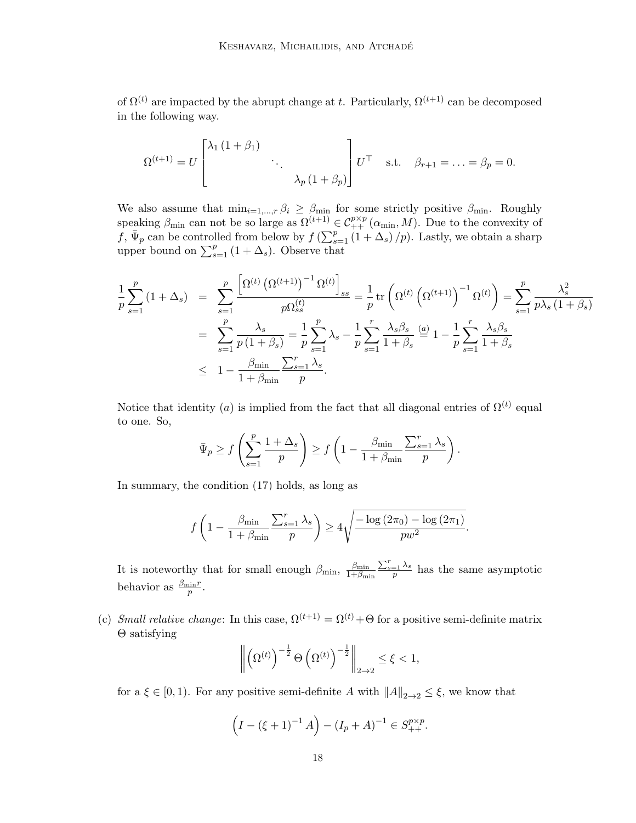of  $\Omega^{(t)}$  are impacted by the abrupt change at t. Particularly,  $\Omega^{(t+1)}$  can be decomposed in the following way.

$$
\Omega^{(t+1)} = U \begin{bmatrix} \lambda_1 (1 + \beta_1) & & \\ & \ddots & \\ & & \lambda_p (1 + \beta_p) \end{bmatrix} U^{\top} \quad \text{s.t.} \quad \beta_{r+1} = \ldots = \beta_p = 0.
$$

We also assume that  $\min_{i=1,\dots,r} \beta_i \geq \beta_{\min}$  for some strictly positive  $\beta_{\min}$ . Roughly speaking  $\beta_{\min}$  can not be so large as  $\Omega^{(t+1)} \in C_{++}^{p \times p}(\alpha_{\min}, M)$ . Due to the convexity of f,  $\bar{\Psi}_p$  can be controlled from below by  $f\left(\sum_{s=1}^p(1+\Delta_s)/p\right)$ . Lastly, we obtain a sharp upper bound on  $\sum_{s=1}^{p} (1 + \Delta_s)$ . Observe that

$$
\frac{1}{p} \sum_{s=1}^{p} (1 + \Delta_{s}) = \sum_{s=1}^{p} \frac{\left[ \Omega^{(t)} \left( \Omega^{(t+1)} \right)^{-1} \Omega^{(t)} \right]_{ss}}{p \Omega_{ss}^{(t)}} = \frac{1}{p} \text{tr} \left( \Omega^{(t)} \left( \Omega^{(t+1)} \right)^{-1} \Omega^{(t)} \right) = \sum_{s=1}^{p} \frac{\lambda_{s}^{2}}{p \lambda_{s} (1 + \beta_{s})}
$$
\n
$$
= \sum_{s=1}^{p} \frac{\lambda_{s}}{p \left( 1 + \beta_{s} \right)} = \frac{1}{p} \sum_{s=1}^{p} \lambda_{s} - \frac{1}{p} \sum_{s=1}^{r} \frac{\lambda_{s} \beta_{s}}{1 + \beta_{s}} \stackrel{(a)}{=} 1 - \frac{1}{p} \sum_{s=1}^{r} \frac{\lambda_{s} \beta_{s}}{1 + \beta_{s}}
$$
\n
$$
\leq 1 - \frac{\beta_{\min}}{1 + \beta_{\min}} \frac{\sum_{s=1}^{r} \lambda_{s}}{p}.
$$

Notice that identity (a) is implied from the fact that all diagonal entries of  $\Omega^{(t)}$  equal to one. So,

$$
\bar{\Psi}_p \ge f\left(\sum_{s=1}^p \frac{1+\Delta_s}{p}\right) \ge f\left(1 - \frac{\beta_{\min}}{1+\beta_{\min}} \frac{\sum_{s=1}^r \lambda_s}{p}\right).
$$

In summary, the condition [\(17\)](#page-16-0) holds, as long as

$$
f\left(1 - \frac{\beta_{\min}}{1 + \beta_{\min}} \frac{\sum_{s=1}^{r} \lambda_s}{p}\right) \ge 4\sqrt{\frac{-\log\left(2\pi_0\right) - \log\left(2\pi_1\right)}{p w^2}}.
$$

It is noteworthy that for small enough  $\beta_{\min}$ ,  $\frac{\beta_{\min}}{1+\beta_{\min}}$  $1+\beta_{\min}$  $\frac{\sum_{s=1}^{r} \lambda_s}{p}$  has the same asymptotic behavior as  $\frac{\beta_{\min}r}{p}$ .

(c) Small relative change: In this case,  $\Omega^{(t+1)} = \Omega^{(t)} + \Theta$  for a positive semi-definite matrix Θ satisfying

$$
\left\| \left( \Omega^{(t)} \right)^{-\frac{1}{2}} \Theta \left( \Omega^{(t)} \right)^{-\frac{1}{2}} \right\|_{2 \to 2} \leq \xi < 1,
$$

for a  $\xi \in [0,1)$ . For any positive semi-definite A with  $||A||_{2\to 2} \leq \xi$ , we know that

$$
(I - (\xi + 1)^{-1} A) - (I_p + A)^{-1} \in S_{++}^{p \times p}.
$$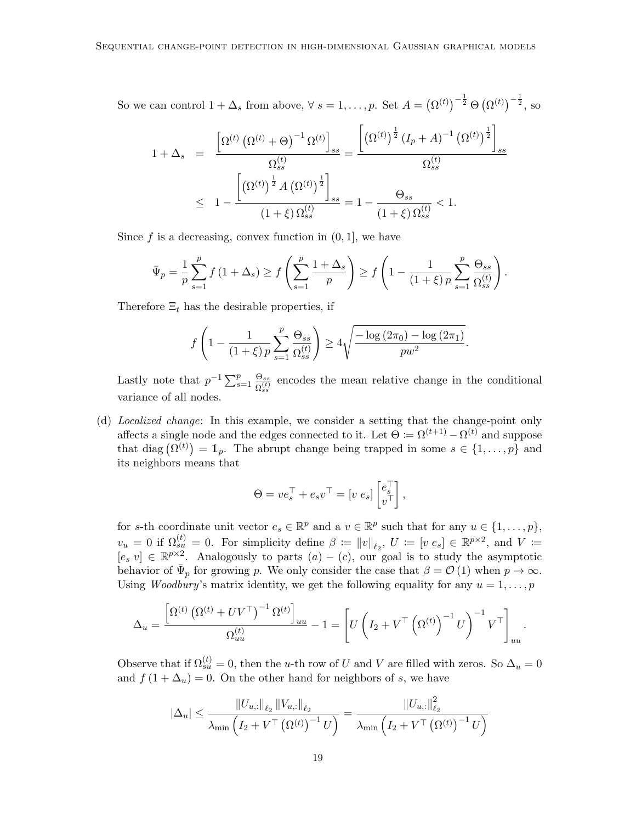So we can control  $1 + \Delta_s$  from above,  $\forall s = 1, \ldots, p$ . Set  $A = (\Omega^{(t)})^{-\frac{1}{2}} \Theta (\Omega^{(t)})^{-\frac{1}{2}}$ , so

$$
1 + \Delta_s = \frac{\left[\Omega^{(t)}\left(\Omega^{(t)} + \Theta\right)^{-1} \Omega^{(t)}\right]_{ss}}{\Omega_{ss}^{(t)}} = \frac{\left[\left(\Omega^{(t)}\right)^{\frac{1}{2}} (I_p + A)^{-1} \left(\Omega^{(t)}\right)^{\frac{1}{2}}\right]_{ss}}{\Omega_{ss}^{(t)}}
$$
  

$$
\leq 1 - \frac{\left[\left(\Omega^{(t)}\right)^{\frac{1}{2}} A \left(\Omega^{(t)}\right)^{\frac{1}{2}}\right]_{ss}}{\left(1 + \xi\right) \Omega_{ss}^{(t)}} = 1 - \frac{\Theta_{ss}}{\left(1 + \xi\right) \Omega_{ss}^{(t)}} < 1.
$$

Since  $f$  is a decreasing, convex function in  $(0, 1]$ , we have

$$
\bar{\Psi}_p = \frac{1}{p} \sum_{s=1}^p f(1+\Delta_s) \ge f\left(\sum_{s=1}^p \frac{1+\Delta_s}{p}\right) \ge f\left(1 - \frac{1}{(1+\xi)p} \sum_{s=1}^p \frac{\Theta_{ss}}{\Omega_{ss}^{(t)}}\right).
$$

Therefore  $\Xi_t$  has the desirable properties, if

$$
f\left(1 - \frac{1}{(1+\xi)p}\sum_{s=1}^{p}\frac{\Theta_{ss}}{\Omega_{ss}^{(t)}}\right) \ge 4\sqrt{\frac{-\log(2\pi_0) - \log(2\pi_1)}{pw^2}}.
$$

Lastly note that  $p^{-1} \sum_{s=1}^p \frac{\Theta_{ss}}{\Omega^{(t)}}$  $\frac{\Theta_{ss}}{\Omega_{ss}^{(t)}}$  encodes the mean relative change in the conditional variance of all nodes.

(d) Localized change: In this example, we consider a setting that the change-point only affects a single node and the edges connected to it. Let  $\Theta := \Omega^{(t+1)} - \Omega^{(t)}$  and suppose that diag  $(\Omega^{(t)}) = \mathbb{1}_p$ . The abrupt change being trapped in some  $s \in \{1, \ldots, p\}$  and its neighbors means that

$$
\Theta = v e_s^{\top} + e_s v^{\top} = [v \; e_s] \begin{bmatrix} e_s^{\top} \\ v^{\top} \end{bmatrix},
$$

for s-th coordinate unit vector  $e_s \in \mathbb{R}^p$  and a  $v \in \mathbb{R}^p$  such that for any  $u \in \{1, \ldots, p\}$ ,  $v_u = 0$  if  $\Omega_{su}^{(t)} = 0$ . For simplicity define  $\beta := ||v||_{\ell_2}, U := [v \ e_s] \in \mathbb{R}^{p \times 2}$ , and  $V :=$  $[e, v] \in \mathbb{R}^{p \times 2}$ . Analogously to parts  $(a) - (c)$ , our goal is to study the asymptotic behavior of  $\bar{\Psi}_p$  for growing p. We only consider the case that  $\beta = \mathcal{O}(1)$  when  $p \to \infty$ . Using *Woodbury's* matrix identity, we get the following equality for any  $u = 1, \ldots, p$ 

$$
\Delta_u = \frac{\left[\Omega^{(t)}\left(\Omega^{(t)} + UV^\top\right)^{-1}\Omega^{(t)}\right]_{uu}}{\Omega_{uu}^{(t)}} - 1 = \left[U\left(I_2 + V^\top\left(\Omega^{(t)}\right)^{-1}U\right)^{-1}V^\top\right]_{uu}.
$$

Observe that if  $\Omega_{su}^{(t)} = 0$ , then the u-th row of U and V are filled with zeros. So  $\Delta_u = 0$ and  $f(1 + \Delta_u) = 0$ . On the other hand for neighbors of s, we have

$$
\left|\Delta_{u}\right| \leq \frac{\left\|U_{u,:}\right\|_{\ell_{2}}\left\|V_{u,:}\right\|_{\ell_{2}}}{\lambda_{\min}\left(I_{2} + V^{\top}\left(\Omega^{(t)}\right)^{-1}U\right)} = \frac{\left\|U_{u,:}\right\|_{\ell_{2}}^{2}}{\lambda_{\min}\left(I_{2} + V^{\top}\left(\Omega^{(t)}\right)^{-1}U\right)}
$$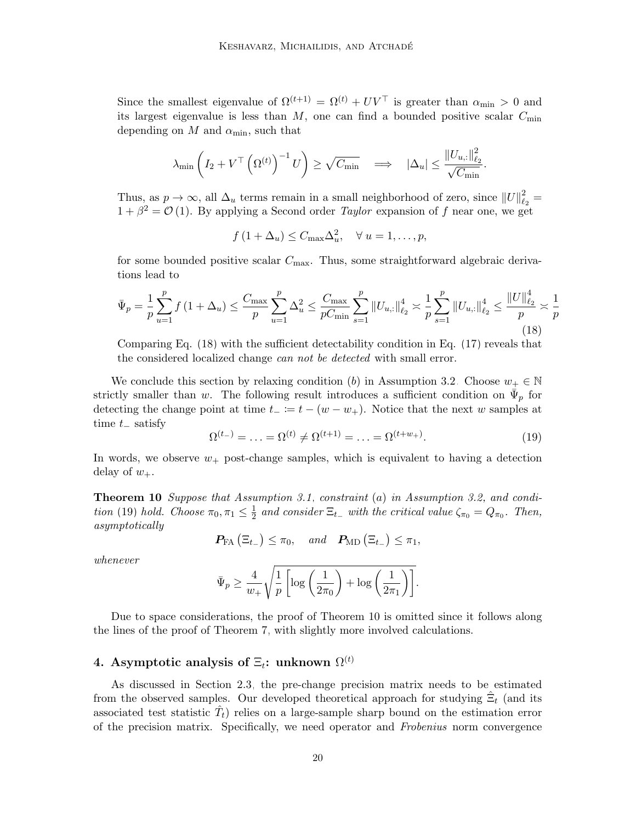Since the smallest eigenvalue of  $\Omega^{(t+1)} = \Omega^{(t)} + UV^{\top}$  is greater than  $\alpha_{\min} > 0$  and its largest eigenvalue is less than  $M$ , one can find a bounded positive scalar  $C_{\text{min}}$ depending on  $M$  and  $\alpha_{\min}$ , such that

$$
\lambda_{\min}\left(I_2 + V^{\top}\left(\Omega^{(t)}\right)^{-1}U\right) \geq \sqrt{C_{\min}} \quad \Longrightarrow \quad |\Delta_u| \leq \frac{\|U_{u,:}\|_{\ell_2}^2}{\sqrt{C_{\min}}}.
$$

Thus, as  $p \to \infty$ , all  $\Delta_u$  terms remain in a small neighborhood of zero, since  $||U||_{\ell}^2$  $\frac{2}{\ell_2} =$  $1 + \beta^2 = \mathcal{O}(1)$ . By applying a Second order *Taylor* expansion of f near one, we get

<span id="page-19-1"></span> $f(1+\Delta_u) \leq C_{\text{max}}\Delta_u^2, \quad \forall u=1,\ldots,p,$ 

for some bounded positive scalar  $C_{\text{max}}$ . Thus, some straightforward algebraic derivations lead to

$$
\bar{\Psi}_p = \frac{1}{p} \sum_{u=1}^p f(1 + \Delta_u) \le \frac{C_{\text{max}}}{p} \sum_{u=1}^p \Delta_u^2 \le \frac{C_{\text{max}}}{p C_{\text{min}}} \sum_{s=1}^p \|U_{u,:}\|_{\ell_2}^4 \asymp \frac{1}{p} \sum_{s=1}^p \|U_{u,:}\|_{\ell_2}^4 \le \frac{\|U\|_{\ell_2}^4}{p} \asymp \frac{1}{p}
$$
\n(18)

Comparing Eq. [\(18\)](#page-19-1) with the sufficient detectability condition in Eq. [\(17\)](#page-16-0) reveals that the considered localized change *can not be detected* with small error.

We conclude this section by relaxing condition (b) in Assumption [3.2.](#page-14-1) Choose  $w_+ \in \mathbb{N}$ strictly smaller than w. The following result introduces a sufficient condition on  $\bar{\Psi}_p$  for detecting the change point at time  $t_ - := t - (w - w_+)$ . Notice that the next w samples at time  $t_$  satisfy

<span id="page-19-2"></span>
$$
\Omega^{(t-)} = \ldots = \Omega^{(t)} \neq \Omega^{(t+1)} = \ldots = \Omega^{(t+w_+)}.
$$
\n(19)

In words, we observe  $w_+$  post-change samples, which is equivalent to having a detection delay of  $w_+$ .

<span id="page-19-3"></span>Theorem 10 Suppose that Assumption [3.1,](#page-13-1) constraint (a) in Assumption [3.2,](#page-14-1) and condi-tion [\(19\)](#page-19-2) hold. Choose  $\pi_0, \pi_1 \leq \frac{1}{2}$  $\frac{1}{2}$  and consider  $\Xi_{t-}$  with the critical value  $\zeta_{\pi_0} = Q_{\pi_0}$ . Then, asymptotically

$$
\boldsymbol{P_{\text{FA}}}\left(\Xi_{t_{-}}\right) \leq \pi_0, \quad \text{and} \quad \boldsymbol{P_{\text{MD}}}\left(\Xi_{t_{-}}\right) \leq \pi_1,
$$

whenever

$$
\bar{\Psi}_p \ge \frac{4}{w_+} \sqrt{\frac{1}{p} \left[ \log \left( \frac{1}{2\pi_0} \right) + \log \left( \frac{1}{2\pi_1} \right) \right]}.
$$

Due to space considerations, the proof of Theorem [10](#page-19-3) is omitted since it follows along the lines of the proof of Theorem [7,](#page-15-1) with slightly more involved calculations.

# <span id="page-19-0"></span>4. Asymptotic analysis of  $\Xi_t$ : unknown  $\Omega^{(t)}$

As discussed in Section [2.3,](#page-10-0) the pre-change precision matrix needs to be estimated from the observed samples. Our developed theoretical approach for studying  $\hat{\Xi}_t$  (and its associated test statistic  $\hat{T}_t$ ) relies on a large-sample sharp bound on the estimation error of the precision matrix. Specifically, we need operator and Frobenius norm convergence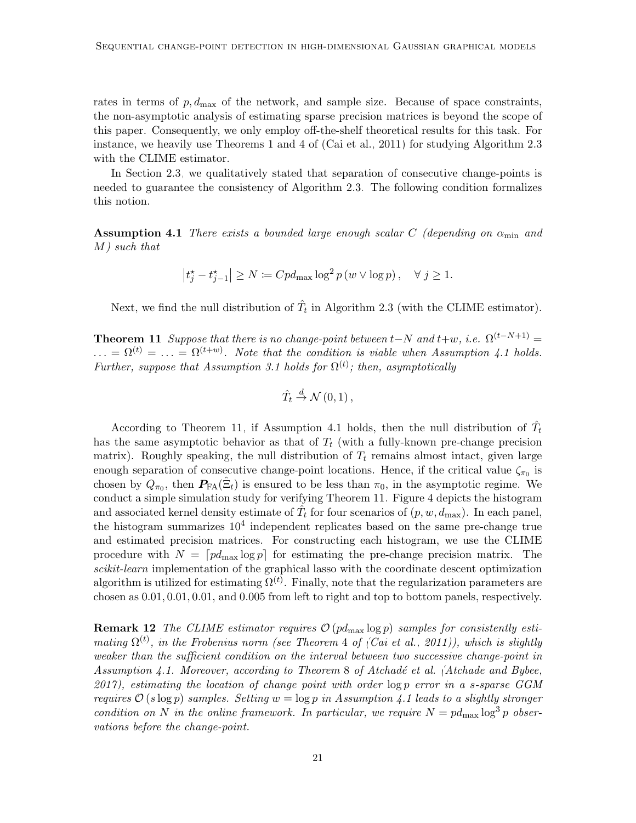rates in terms of  $p, d_{\text{max}}$  of the network, and sample size. Because of space constraints, the non-asymptotic analysis of estimating sparse precision matrices is beyond the scope of this paper. Consequently, we only employ off-the-shelf theoretical results for this task. For instance, we heavily use Theorems 1 and 4 of [\(Cai et al., 2011\)](#page-55-11) for studying Algorithm [2.3](#page-11-2) with the CLIME estimator.

In Section [2.3,](#page-10-0) we qualitatively stated that separation of consecutive change-points is needed to guarantee the consistency of Algorithm [2.3.](#page-11-2) The following condition formalizes this notion.

<span id="page-20-0"></span>**Assumption 4.1** There exists a bounded large enough scalar C (depending on  $\alpha_{\min}$  and M) such that

$$
\left|t_j^* - t_{j-1}^* \right| \ge N := Cpd_{\max} \log^2 p(w \vee \log p), \quad \forall \ j \ge 1.
$$

Next, we find the null distribution of  $\hat{T}_t$  in Algorithm [2.3](#page-11-2) (with the CLIME estimator).

<span id="page-20-1"></span>**Theorem 11** Suppose that there is no change-point between  $t-N$  and  $t+w$ , i.e.  $\Omega^{(t-N+1)}=$  $\ldots = \Omega^{(t)} = \ldots = \Omega^{(t+w)}$ . Note that the condition is viable when Assumption [4.1](#page-20-0) holds. Further, suppose that Assumption [3.1](#page-13-1) holds for  $\Omega^{(t)}$ ; then, asymptotically

$$
\hat{T}_t \stackrel{d}{\rightarrow} \mathcal{N}(0,1)\,,
$$

According to Theorem [11,](#page-20-1) if Assumption [4.1](#page-20-0) holds, then the null distribution of  $\hat{T}_t$ has the same asymptotic behavior as that of  $T_t$  (with a fully-known pre-change precision matrix). Roughly speaking, the null distribution of  $T_t$  remains almost intact, given large enough separation of consecutive change-point locations. Hence, if the critical value  $\zeta_{\pi_0}$  is chosen by  $Q_{\pi_0}$ , then  $P_{FA}(\hat{\Xi}_t)$  is ensured to be less than  $\pi_0$ , in the asymptotic regime. We conduct a simple simulation study for verifying Theorem [11.](#page-20-1) Figure [4](#page-21-0) depicts the histogram and associated kernel density estimate of  $\hat{T}_t$  for four scenarios of  $(p, w, d_{\text{max}})$ . In each panel, the histogram summarizes  $10^4$  independent replicates based on the same pre-change true and estimated precision matrices. For constructing each histogram, we use the CLIME procedure with  $N = \lceil pd_{\text{max}} \log p \rceil$  for estimating the pre-change precision matrix. The scikit-learn implementation of the graphical lasso with the coordinate descent optimization algorithm is utilized for estimating  $\Omega^{(t)}$ . Finally, note that the regularization parameters are chosen as 0.01, 0.01, 0.01, and 0.005 from left to right and top to bottom panels, respectively.

**Remark 12** The CLIME estimator requires  $\mathcal{O}(pd_{\text{max}}\log p)$  samples for consistently estimating  $\Omega^{(t)}$ , in the Frobenius norm (see Theorem 4 of [\(Cai et al., 2011\)](#page-55-11)), which is slightly weaker than the sufficient condition on the interval between two successive change-point in Assumption [4.1.](#page-20-0) Moreover, according to Theorem 8 of Atchadé et al. [\(Atchade and Bybee,](#page-54-1)  $2017$ , estimating the location of change point with order  $\log p$  error in a s-sparse GGM requires  $\mathcal{O}(s \log p)$  samples. Setting  $w = \log p$  in Assumption [4.1](#page-20-0) leads to a slightly stronger condition on N in the online framework. In particular, we require  $N = pd_{\text{max}} \log^3 p$  observations before the change-point.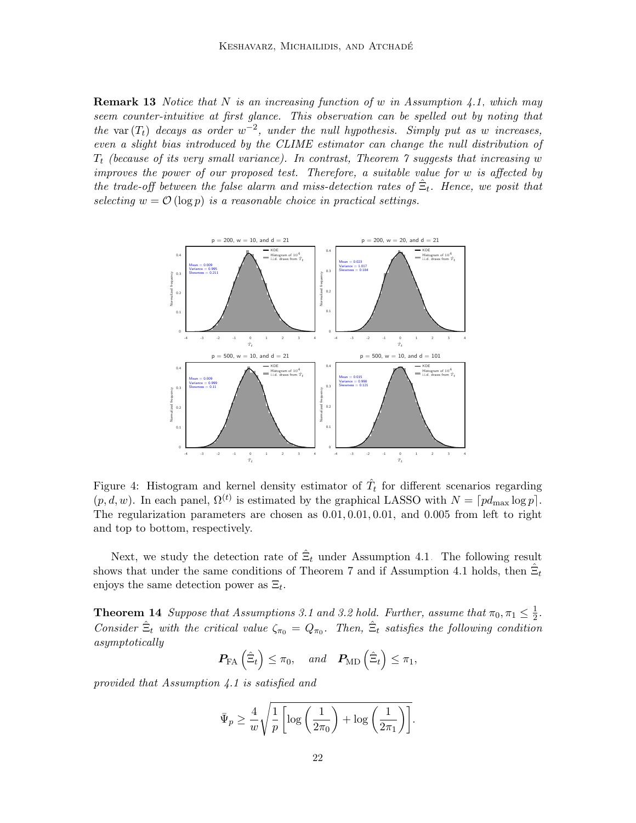**Remark 13** Notice that N is an increasing function of w in Assumption [4.1,](#page-20-0) which may seem counter-intuitive at first glance. This observation can be spelled out by noting that the var  $(T_t)$  decays as order  $w^{-2}$ , under the null hypothesis. Simply put as w increases, even a slight bias introduced by the CLIME estimator can change the null distribution of  $T_t$  (because of its very small variance). In contrast, Theorem  $\gamma$  suggests that increasing w improves the power of our proposed test. Therefore, a suitable value for w is affected by the trade-off between the false alarm and miss-detection rates of  $\hat{\Xi}_t$ . Hence, we posit that selecting  $w = \mathcal{O}(\log p)$  is a reasonable choice in practical settings.

<span id="page-21-0"></span>

Figure 4: Histogram and kernel density estimator of  $\hat{T}_t$  for different scenarios regarding  $(p, d, w)$ . In each panel,  $\Omega^{(t)}$  is estimated by the graphical LASSO with  $N = \lceil pd_{\text{max}} \log p \rceil$ . The regularization parameters are chosen as 0.01, 0.01, 0.01, and 0.005 from left to right and top to bottom, respectively.

Next, we study the detection rate of  $\hat{\Xi}_t$  under Assumption [4.1.](#page-20-0) The following result shows that under the same conditions of Theorem [7](#page-15-1) and if Assumption [4.1](#page-20-0) holds, then  $\hat{\Xi}_t$ enjoys the same detection power as  $\Xi_t$ .

**Theorem 14** Suppose that Assumptions [3.1](#page-13-1) and [3.2](#page-14-1) hold. Further, assume that  $\pi_0, \pi_1 \leq \frac{1}{2}$  $rac{1}{2}$ . Consider  $\hat{\Xi}_t$  with the critical value  $\zeta_{\pi_0} = Q_{\pi_0}$ . Then,  $\hat{\Xi}_t$  satisfies the following condition asymptotically

$$
\boldsymbol{P_{\text{FA}}}\left(\hat{\Xi}_t\right) \leq \pi_0, \quad \text{and} \quad \boldsymbol{P_{\text{MD}}}\left(\hat{\Xi}_t\right) \leq \pi_1,
$$

provided that Assumption [4.1](#page-20-0) is satisfied and

$$
\bar{\Psi}_p \ge \frac{4}{w} \sqrt{\frac{1}{p} \left[ \log \left( \frac{1}{2\pi_0} \right) + \log \left( \frac{1}{2\pi_1} \right) \right]}.
$$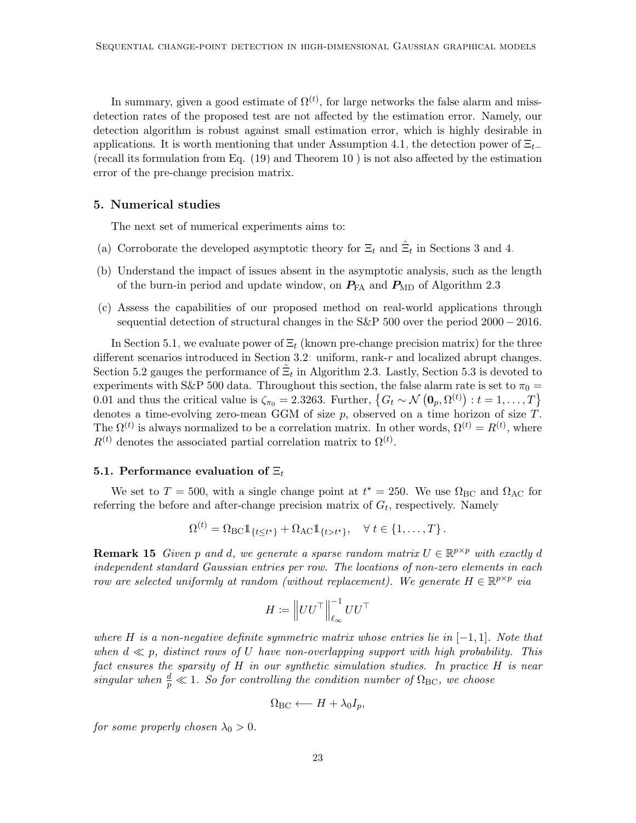In summary, given a good estimate of  $\Omega^{(t)}$ , for large networks the false alarm and missdetection rates of the proposed test are not affected by the estimation error. Namely, our detection algorithm is robust against small estimation error, which is highly desirable in applications. It is worth mentioning that under Assumption [4.1,](#page-20-0) the detection power of  $\Xi_{t-}$ (recall its formulation from Eq. [\(19\)](#page-19-2) and Theorem [10](#page-19-3) ) is not also affected by the estimation error of the pre-change precision matrix.

### <span id="page-22-0"></span>5. Numerical studies

The next set of numerical experiments aims to:

- (a) Corroborate the developed asymptotic theory for  $\Xi_t$  and  $\hat{\Xi}_t$  in Sections [3](#page-12-0) and [4.](#page-19-0)
- (b) Understand the impact of issues absent in the asymptotic analysis, such as the length of the burn-in period and update window, on  $P_{FA}$  and  $P_{MD}$  of Algorithm [2.3.](#page-11-2)
- (c) Assess the capabilities of our proposed method on real-world applications through sequential detection of structural changes in the S&P 500 over the period 2000 − 2016.

In Section [5.1,](#page-22-1) we evaluate power of  $\Xi_t$  (known pre-change precision matrix) for the three different scenarios introduced in Section [3.2:](#page-14-0) uniform, rank-r and localized abrupt changes. Section [5.2](#page-25-0) gauges the performance of  $\hat{\Xi}_t$  in Algorithm [2.3.](#page-11-2) Lastly, Section [5.3](#page-29-0) is devoted to experiments with S&P 500 data. Throughout this section, the false alarm rate is set to  $\pi_0 =$ 0.01 and thus the critical value is  $\zeta_{\pi_0} = 2.3263$ . Further,  $\{G_t \sim \mathcal{N}(\mathbf{0}_p, \Omega^{(t)}): t = 1, \ldots, T\}$ denotes a time-evolving zero-mean GGM of size  $p$ , observed on a time horizon of size  $T$ . The  $\Omega^{(t)}$  is always normalized to be a correlation matrix. In other words,  $\Omega^{(t)} = R^{(t)}$ , where  $R^{(t)}$  denotes the associated partial correlation matrix to  $\Omega^{(t)}$ .

#### <span id="page-22-1"></span>5.1. Performance evaluation of  $\Xi_t$

We set to  $T = 500$ , with a single change point at  $t^* = 250$ . We use  $\Omega_{BC}$  and  $\Omega_{AC}$  for referring the before and after-change precision matrix of  $G_t$ , respectively. Namely

$$
\Omega^{(t)} = \Omega_{\rm BC} \mathbb{1}_{\{t \le t^{\star}\}} + \Omega_{\rm AC} \mathbb{1}_{\{t > t^{\star}\}}, \quad \forall \ t \in \{1, \ldots, T\}.
$$

<span id="page-22-2"></span>**Remark 15** Given p and d, we generate a sparse random matrix  $U \in \mathbb{R}^{p \times p}$  with exactly d independent standard Gaussian entries per row. The locations of non-zero elements in each row are selected uniformly at random (without replacement). We generate  $H \in \mathbb{R}^{p \times p}$  via

$$
H \coloneqq \left\| UU^\top \right\|_{\ell_\infty}^{-1} UU^\top
$$

where H is a non-negative definite symmetric matrix whose entries lie in  $[-1,1]$ . Note that when  $d \ll p$ , distinct rows of U have non-overlapping support with high probability. This fact ensures the sparsity of H in our synthetic simulation studies. In practice H is near singular when  $\frac{d}{p} \ll 1$ . So for controlling the condition number of  $\Omega_{\text{BC}}$ , we choose

$$
\Omega_{\rm BC} \longleftarrow H + \lambda_0 I_p,
$$

for some properly chosen  $\lambda_0 > 0$ .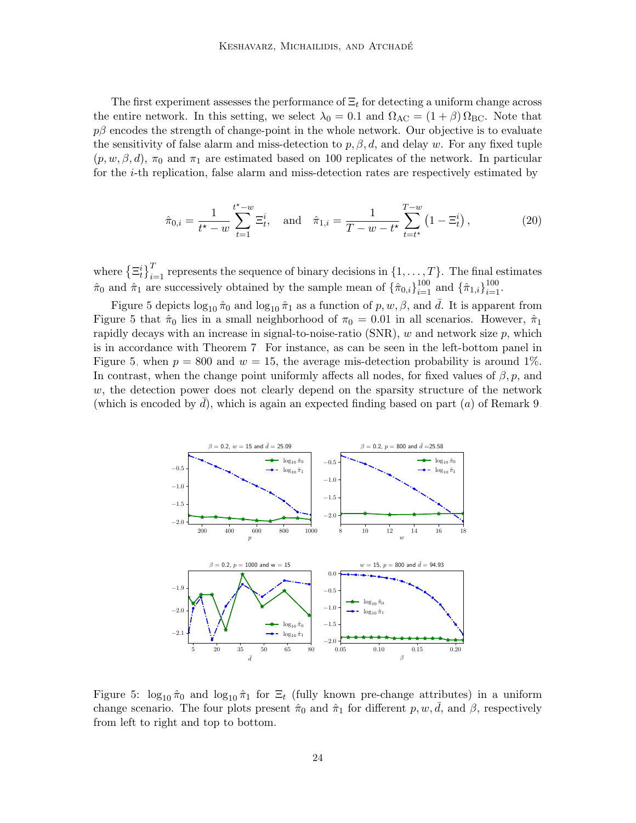The first experiment assesses the performance of  $\Xi_t$  for detecting a uniform change across the entire network. In this setting, we select  $\lambda_0 = 0.1$  and  $\Omega_{\text{AC}} = (1 + \beta) \Omega_{\text{BC}}$ . Note that  $p\beta$  encodes the strength of change-point in the whole network. Our objective is to evaluate the sensitivity of false alarm and miss-detection to  $p, \beta, d$ , and delay w. For any fixed tuple  $(p, w, \beta, d)$ ,  $\pi_0$  and  $\pi_1$  are estimated based on 100 replicates of the network. In particular for the i-th replication, false alarm and miss-detection rates are respectively estimated by

$$
\hat{\pi}_{0,i} = \frac{1}{t^* - w} \sum_{t=1}^{t^* - w} \Xi_t^i, \text{ and } \hat{\pi}_{1,i} = \frac{1}{T - w - t^*} \sum_{t=t^*}^{T - w} \left(1 - \Xi_t^i\right), \tag{20}
$$

where  $\{\Xi_t^i\}_{i=1}^T$  represents the sequence of binary decisions in  $\{1,\ldots,T\}$ . The final estimates  $\hat{\pi}_0$  and  $\hat{\pi}_1$  are successively obtained by the sample mean of  $\{\hat{\pi}_{0,i}\}_{i=1}^{100}$  and  $\{\hat{\pi}_{1,i}\}_{i=1}^{100}$ .

Figure [5](#page-23-0) depicts  $\log_{10} \hat{\pi}_0$  and  $\log_{10} \hat{\pi}_1$  as a function of p, w,  $\beta$ , and  $\bar{d}$ . It is apparent from Figure [5](#page-23-0) that  $\hat{\pi}_0$  lies in a small neighborhood of  $\pi_0 = 0.01$  in all scenarios. However,  $\hat{\pi}_1$ rapidly decays with an increase in signal-to-noise-ratio (SNR),  $w$  and network size  $p$ , which is in accordance with Theorem [7.](#page-15-1) For instance, as can be seen in the left-bottom panel in Figure [5,](#page-23-0) when  $p = 800$  and  $w = 15$ , the average mis-detection probability is around 1%. In contrast, when the change point uniformly affects all nodes, for fixed values of  $\beta$ , p, and  $w$ , the detection power does not clearly depend on the sparsity structure of the network (which is encoded by d), which is again an expected finding based on part  $(a)$  of Remark [9.](#page-16-1)

<span id="page-23-0"></span>

Figure 5:  $\log_{10} \hat{\pi}_0$  and  $\log_{10} \hat{\pi}_1$  for  $\Xi_t$  (fully known pre-change attributes) in a uniform change scenario. The four plots present  $\hat{\pi}_0$  and  $\hat{\pi}_1$  for different p, w,  $\bar{d}$ , and  $\beta$ , respectively from left to right and top to bottom.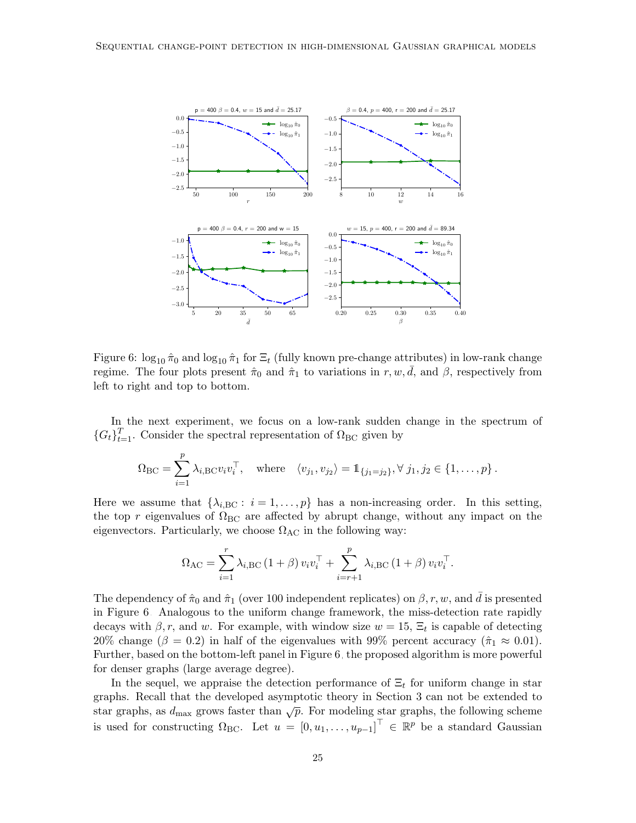<span id="page-24-0"></span>

Figure 6:  $\log_{10} \hat{\pi}_0$  and  $\log_{10} \hat{\pi}_1$  for  $\Xi_t$  (fully known pre-change attributes) in low-rank change regime. The four plots present  $\hat{\pi}_0$  and  $\hat{\pi}_1$  to variations in r, w, d, and  $\beta$ , respectively from left to right and top to bottom.

In the next experiment, we focus on a low-rank sudden change in the spectrum of  ${G_t}_{t=1}^T$ . Consider the spectral representation of  ${\Omega}_{BC}$  given by

$$
\Omega_{\rm BC} = \sum_{i=1}^p \lambda_{i,\rm BC} v_i v_i^{\top}, \quad \text{where} \quad \langle v_{j_1}, v_{j_2} \rangle = \mathbb{1}_{\{j_1 = j_2\}}, \forall j_1, j_2 \in \{1, \ldots, p\}.
$$

Here we assume that  $\{\lambda_{i,\text{BC}}: i=1,\ldots,p\}$  has a non-increasing order. In this setting, the top r eigenvalues of  $\Omega_{BC}$  are affected by abrupt change, without any impact on the eigenvectors. Particularly, we choose  $\Omega_{AC}$  in the following way:

$$
\Omega_{\text{AC}} = \sum_{i=1}^{r} \lambda_{i,\text{BC}} (1+\beta) v_i v_i^{\top} + \sum_{i=r+1}^{p} \lambda_{i,\text{BC}} (1+\beta) v_i v_i^{\top}.
$$

The dependency of  $\hat{\pi}_0$  and  $\hat{\pi}_1$  (over 100 independent replicates) on  $\beta, r, w$ , and  $\bar{d}$  is presented in Figure [6.](#page-24-0) Analogous to the uniform change framework, the miss-detection rate rapidly decays with  $\beta$ , r, and w. For example, with window size  $w = 15$ ,  $\Xi_t$  is capable of detecting 20% change ( $\beta = 0.2$ ) in half of the eigenvalues with 99% percent accuracy ( $\hat{\pi}_1 \approx 0.01$ ). Further, based on the bottom-left panel in Figure [6,](#page-24-0) the proposed algorithm is more powerful for denser graphs (large average degree).

In the sequel, we appraise the detection performance of  $\Xi_t$  for uniform change in star graphs. Recall that the developed asymptotic theory in Section [3](#page-12-0) can not be extended to star graphs, as  $d_{\text{max}}$  grows faster than  $\sqrt{p}$ . For modeling star graphs, the following scheme is used for constructing  $\Omega_{\text{BC}}$ . Let  $u = [0, u_1, \ldots, u_{p-1}]^{\top} \in \mathbb{R}^p$  be a standard Gaussian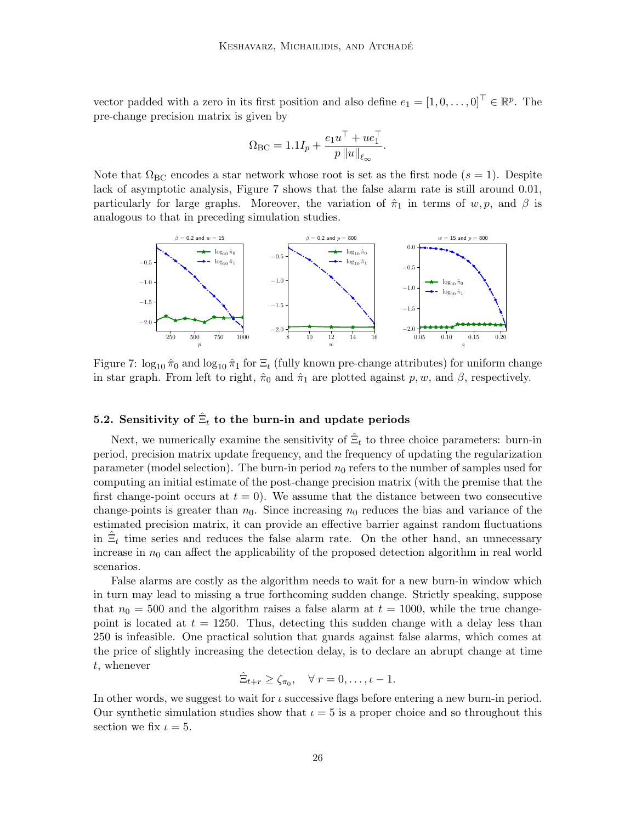vector padded with a zero in its first position and also define  $e_1 = [1, 0, \ldots, 0]^\top \in \mathbb{R}^p$ . The pre-change precision matrix is given by

$$
\Omega_{\mathrm{BC}} = 1.1I_p + \frac{e_1 u^\top + u e_1^\top}{p \|u\|_{\ell_\infty}}.
$$

Note that  $\Omega_{BC}$  encodes a star network whose root is set as the first node ( $s = 1$ ). Despite lack of asymptotic analysis, Figure [7](#page-25-1) shows that the false alarm rate is still around 0.01, particularly for large graphs. Moreover, the variation of  $\hat{\pi}_1$  in terms of w, p, and  $\beta$  is analogous to that in preceding simulation studies.

<span id="page-25-1"></span>

Figure 7:  $\log_{10} \hat{\pi}_0$  and  $\log_{10} \hat{\pi}_1$  for  $\Xi_t$  (fully known pre-change attributes) for uniform change in star graph. From left to right,  $\hat{\pi}_0$  and  $\hat{\pi}_1$  are plotted against p, w, and  $\beta$ , respectively.

# <span id="page-25-0"></span>5.2. Sensitivity of  $\hat{\Xi}_t$  to the burn-in and update periods

Next, we numerically examine the sensitivity of  $\hat{\Xi}_t$  to three choice parameters: burn-in period, precision matrix update frequency, and the frequency of updating the regularization parameter (model selection). The burn-in period  $n_0$  refers to the number of samples used for computing an initial estimate of the post-change precision matrix (with the premise that the first change-point occurs at  $t = 0$ . We assume that the distance between two consecutive change-points is greater than  $n_0$ . Since increasing  $n_0$  reduces the bias and variance of the estimated precision matrix, it can provide an effective barrier against random fluctuations in  $\hat{\Xi}_t$  time series and reduces the false alarm rate. On the other hand, an unnecessary increase in  $n_0$  can affect the applicability of the proposed detection algorithm in real world scenarios.

False alarms are costly as the algorithm needs to wait for a new burn-in window which in turn may lead to missing a true forthcoming sudden change. Strictly speaking, suppose that  $n_0 = 500$  and the algorithm raises a false alarm at  $t = 1000$ , while the true changepoint is located at  $t = 1250$ . Thus, detecting this sudden change with a delay less than 250 is infeasible. One practical solution that guards against false alarms, which comes at the price of slightly increasing the detection delay, is to declare an abrupt change at time t, whenever

$$
\hat{\Xi}_{t+r} \geq \zeta_{\pi_0}, \quad \forall r = 0, \ldots, \iota - 1.
$$

In other words, we suggest to wait for  $\iota$  successive flags before entering a new burn-in period. Our synthetic simulation studies show that  $\iota = 5$  is a proper choice and so throughout this section we fix  $\iota = 5$ .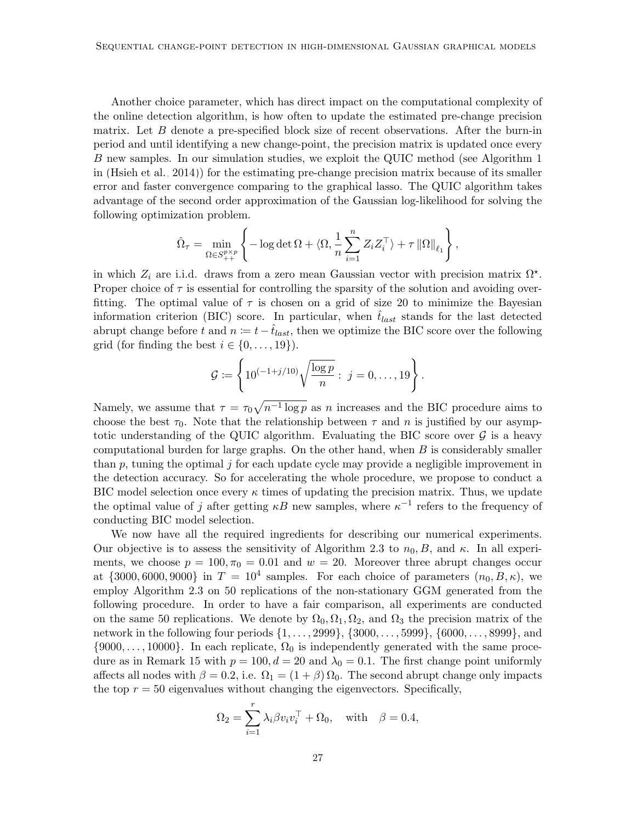Another choice parameter, which has direct impact on the computational complexity of the online detection algorithm, is how often to update the estimated pre-change precision matrix. Let  $B$  denote a pre-specified block size of recent observations. After the burn-in period and until identifying a new change-point, the precision matrix is updated once every B new samples. In our simulation studies, we exploit the QUIC method (see Algorithm 1 in [\(Hsieh et al., 2014\)](#page-55-10)) for the estimating pre-change precision matrix because of its smaller error and faster convergence comparing to the graphical lasso. The QUIC algorithm takes advantage of the second order approximation of the Gaussian log-likelihood for solving the following optimization problem.

$$
\hat{\Omega}_{\tau} = \min_{\Omega \in S_{++}^{p \times p}} \left\{-\log \det \Omega + \langle \Omega, \frac{1}{n} \sum_{i=1}^{n} Z_i Z_i^{\top} \rangle + \tau \left\| \Omega \right\|_{\ell_1} \right\},\
$$

in which  $Z_i$  are i.i.d. draws from a zero mean Gaussian vector with precision matrix  $\Omega^*$ . Proper choice of  $\tau$  is essential for controlling the sparsity of the solution and avoiding overfitting. The optimal value of  $\tau$  is chosen on a grid of size 20 to minimize the Bayesian information criterion (BIC) score. In particular, when  $\hat{t}_{last}$  stands for the last detected abrupt change before t and  $n := t - \hat{t}_{last}$ , then we optimize the BIC score over the following grid (for finding the best  $i \in \{0, \ldots, 19\}$ ).

$$
G := \left\{ 10^{(-1+j/10)} \sqrt{\frac{\log p}{n}} : j = 0, \dots, 19 \right\}.
$$

Namely, we assume that  $\tau = \tau_0 \sqrt{n^{-1} \log p}$  as n increases and the BIC procedure aims to choose the best  $\tau_0$ . Note that the relationship between  $\tau$  and n is justified by our asymptotic understanding of the QUIC algorithm. Evaluating the BIC score over  $\mathcal G$  is a heavy computational burden for large graphs. On the other hand, when  $B$  is considerably smaller than  $p$ , tuning the optimal  $j$  for each update cycle may provide a negligible improvement in the detection accuracy. So for accelerating the whole procedure, we propose to conduct a BIC model selection once every  $\kappa$  times of updating the precision matrix. Thus, we update the optimal value of j after getting  $\kappa B$  new samples, where  $\kappa^{-1}$  refers to the frequency of conducting BIC model selection.

We now have all the required ingredients for describing our numerical experiments. Our objective is to assess the sensitivity of Algorithm [2.3](#page-11-2) to  $n_0, B$ , and  $\kappa$ . In all experiments, we choose  $p = 100, \pi_0 = 0.01$  and  $w = 20$ . Moreover three abrupt changes occur at  $\{3000, 6000, 9000\}$  in  $T = 10^4$  samples. For each choice of parameters  $(n_0, B, \kappa)$ , we employ Algorithm [2.3](#page-11-2) on 50 replications of the non-stationary GGM generated from the following procedure. In order to have a fair comparison, all experiments are conducted on the same 50 replications. We denote by  $\Omega_0, \Omega_1, \Omega_2$ , and  $\Omega_3$  the precision matrix of the network in the following four periods {1, . . . , 2999}, {3000, . . . , 5999}, {6000, . . . , 8999}, and  $\{9000, \ldots, 10000\}$ . In each replicate,  $\Omega_0$  is independently generated with the same proce-dure as in Remark [15](#page-22-2) with  $p = 100, d = 20$  and  $\lambda_0 = 0.1$ . The first change point uniformly affects all nodes with  $\beta = 0.2$ , i.e.  $\Omega_1 = (1 + \beta) \Omega_0$ . The second abrupt change only impacts the top  $r = 50$  eigenvalues without changing the eigenvectors. Specifically,

$$
\Omega_2 = \sum_{i=1}^r \lambda_i \beta v_i v_i^\top + \Omega_0, \quad \text{with} \quad \beta = 0.4,
$$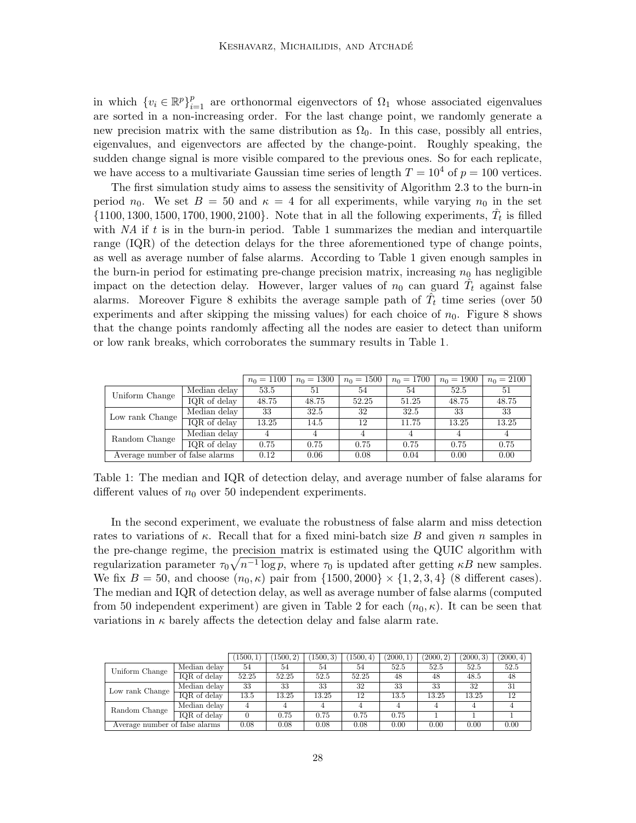in which  $\{v_i \in \mathbb{R}^p\}_{i=1}^p$  are orthonormal eigenvectors of  $\Omega_1$  whose associated eigenvalues are sorted in a non-increasing order. For the last change point, we randomly generate a new precision matrix with the same distribution as  $\Omega_0$ . In this case, possibly all entries, eigenvalues, and eigenvectors are affected by the change-point. Roughly speaking, the sudden change signal is more visible compared to the previous ones. So for each replicate, we have access to a multivariate Gaussian time series of length  $T = 10^4$  of  $p = 100$  vertices.

The first simulation study aims to assess the sensitivity of Algorithm [2.3](#page-11-2) to the burn-in period  $n_0$ . We set  $B = 50$  and  $\kappa = 4$  for all experiments, while varying  $n_0$  in the set  $\{1100, 1300, 1500, 1700, 1900, 2100\}$ . Note that in all the following experiments,  $\hat{T}_t$  is filled with  $NA$  if t is in the burn-in period. Table [1](#page-27-0) summarizes the median and interquartile range (IQR) of the detection delays for the three aforementioned type of change points, as well as average number of false alarms. According to Table [1](#page-27-0) given enough samples in the burn-in period for estimating pre-change precision matrix, increasing  $n_0$  has negligible impact on the detection delay. However, larger values of  $n_0$  can guard  $\hat{T}_t$  against false alarms. Moreover Figure [8](#page-28-0) exhibits the average sample path of  $\hat{T}_t$  time series (over 50 experiments and after skipping the missing values) for each choice of  $n_0$ . Figure [8](#page-28-0) shows that the change points randomly affecting all the nodes are easier to detect than uniform or low rank breaks, which corroborates the summary results in Table [1.](#page-27-0)

|                                |              | $n_0 = 1100$ | $n_0 = 1300$ | $n_0 = 1500$ | $n_0 = 1700$ | $n_0 = 1900$ | $n_0 = 2100$ |
|--------------------------------|--------------|--------------|--------------|--------------|--------------|--------------|--------------|
| Uniform Change                 | Median delay | 53.5         | 51           | 54           | 54           | 52.5         | 51           |
|                                | IQR of delay | 48.75        | 48.75        | 52.25        | 51.25        | 48.75        | 48.75        |
| Low rank Change                | Median delay | 33           | 32.5         | 32           | 32.5         | 33           | 33           |
|                                | IQR of delay | 13.25        | 14.5         | 12           | 11.75        | 13.25        | 13.25        |
| Random Change                  | Median delay | 4            | 4            |              |              |              |              |
|                                | IQR of delay | 0.75         | 0.75         | 0.75         | 0.75         | 0.75         | 0.75         |
| Average number of false alarms |              | 0.12         | 0.06         | 0.08         | 0.04         | 0.00         | 0.00         |

<span id="page-27-0"></span>Table 1: The median and IQR of detection delay, and average number of false alarams for different values of  $n_0$  over 50 independent experiments.

In the second experiment, we evaluate the robustness of false alarm and miss detection rates to variations of  $\kappa$ . Recall that for a fixed mini-batch size B and given n samples in the pre-change regime, the precision matrix is estimated using the QUIC algorithm with regularization parameter  $\tau_0 \sqrt{n^{-1} \log p}$ , where  $\tau_0$  is updated after getting  $\kappa B$  new samples. We fix  $B = 50$ , and choose  $(n_0, \kappa)$  pair from  $\{1500, 2000\} \times \{1, 2, 3, 4\}$  (8 different cases). The median and IQR of detection delay, as well as average number of false alarms (computed from 50 independent experiment) are given in Table [2](#page-28-1) for each  $(n_0, \kappa)$ . It can be seen that variations in  $\kappa$  barely affects the detection delay and false alarm rate.

|                                |              | 1500, 1 | (1500, 2) | 1500, 3) | (1500, 4) | (2000, 1) | (2000, 2) | (2000, 3) | (2000, 4) |
|--------------------------------|--------------|---------|-----------|----------|-----------|-----------|-----------|-----------|-----------|
| Uniform Change                 | Median delay | 54      | 54        | 54       | 54        | 52.5      | 52.5      | 52.5      | 52.5      |
|                                | IQR of delay | 52.25   | 52.25     | 52.5     | 52.25     | 48        | 48        | 48.5      | 48        |
| Low rank Change                | Median delay | 33      | 33        | 33       | 32        | 33        | 33        | 32        | 31        |
|                                | IQR of delay | 13.5    | 13.25     | 13.25    | 12        | 13.5      | 13.25     | 13.25     | 12        |
| Random Change                  | Median delay |         |           |          |           |           |           |           |           |
|                                | IQR of delay |         | 0.75      | 0.75     | 0.75      | 0.75      |           |           |           |
| Average number of false alarms |              | 0.08    | 0.08      | 0.08     | 0.08      | 0.00      | 0.00      | 0.00      | 0.00      |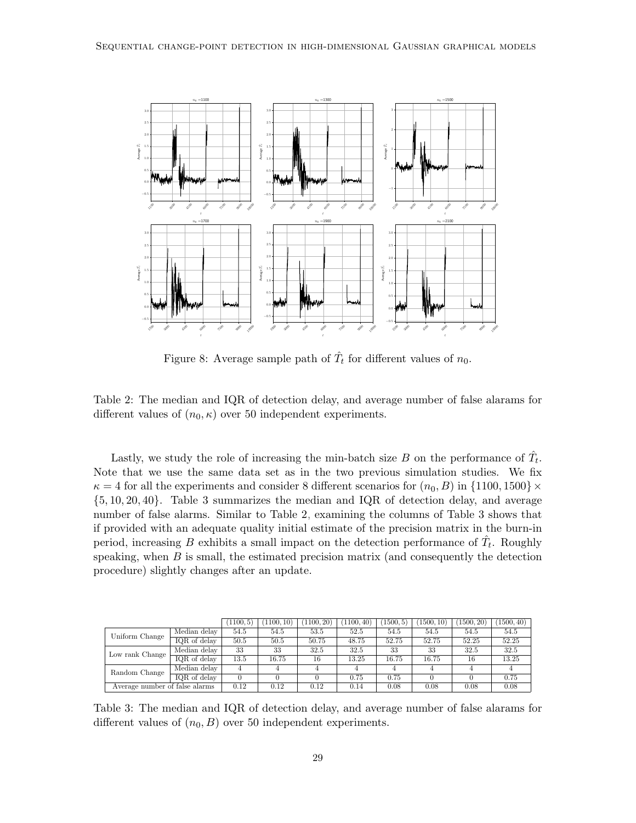<span id="page-28-0"></span>

<span id="page-28-1"></span>Figure 8: Average sample path of  $\hat{T}_t$  for different values of  $n_0$ .

Table 2: The median and IQR of detection delay, and average number of false alarams for different values of  $(n_0, \kappa)$  over 50 independent experiments.

Lastly, we study the role of increasing the min-batch size B on the performance of  $\hat{T}_t$ . Note that we use the same data set as in the two previous simulation studies. We fix  $\kappa = 4$  for all the experiments and consider 8 different scenarios for  $(n_0, B)$  in  $\{1100, 1500\} \times$ {5, 10, 20, 40}. Table [3](#page-28-2) summarizes the median and IQR of detection delay, and average number of false alarms. Similar to Table [2,](#page-28-1) examining the columns of Table [3](#page-28-2) shows that if provided with an adequate quality initial estimate of the precision matrix in the burn-in period, increasing B exhibits a small impact on the detection performance of  $\hat{T}_t$ . Roughly speaking, when  $B$  is small, the estimated precision matrix (and consequently the detection procedure) slightly changes after an update.

|                                |                           | (1100, 5) | (1100, 10) | (1100, 20) | (1100, 40) | 1500, 5) | 1500, 10 | (1500, 20) | 1500, 40) |
|--------------------------------|---------------------------|-----------|------------|------------|------------|----------|----------|------------|-----------|
| Uniform Change                 | Median delay              | 54.5      | 54.5       | 53.5       | 52.5       | 54.5     | 54.5     | 54.5       | 54.5      |
|                                | IQR of delay              | 50.5      | 50.5       | 50.75      | 48.75      | 52.75    | 52.75    | 52.25      | 52.25     |
| Low rank Change                | Median delay              | 33        | 33         | 32.5       | 32.5       | 33       | 33       | 32.5       | 32.5      |
|                                | $\overline{IQR}$ of delay | 13.5      | 16.75      | 16         | 13.25      | 16.75    | 16.75    | 16         | 13.25     |
| Random Change                  | Median delay              |           | 4          |            |            |          |          |            |           |
|                                | IQR of delay              |           |            |            | 0.75       | 0.75     |          |            | 0.75      |
| Average number of false alarms |                           | 0.12      | 0.12       | 0.12       | 0.14       | 0.08     | 0.08     | 0.08       | 0.08      |

<span id="page-28-2"></span>Table 3: The median and IQR of detection delay, and average number of false alarams for different values of  $(n_0, B)$  over 50 independent experiments.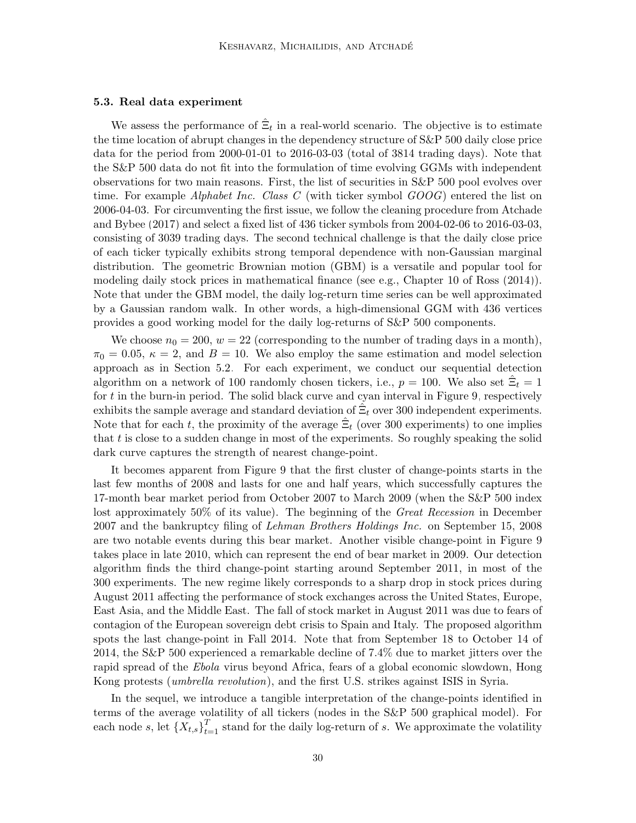#### <span id="page-29-0"></span>5.3. Real data experiment

We assess the performance of  $\hat{\Xi}_t$  in a real-world scenario. The objective is to estimate the time location of abrupt changes in the dependency structure of S&P 500 daily close price data for the period from 2000-01-01 to 2016-03-03 (total of 3814 trading days). Note that the S&P 500 data do not fit into the formulation of time evolving GGMs with independent observations for two main reasons. First, the list of securities in S&P 500 pool evolves over time. For example Alphabet Inc. Class C (with ticker symbol  $GOOG$ ) entered the list on 2006-04-03. For circumventing the first issue, we follow the cleaning procedure from [Atchade](#page-54-1) [and Bybee \(2017\)](#page-54-1) and select a fixed list of 436 ticker symbols from 2004-02-06 to 2016-03-03, consisting of 3039 trading days. The second technical challenge is that the daily close price of each ticker typically exhibits strong temporal dependence with non-Gaussian marginal distribution. The geometric Brownian motion (GBM) is a versatile and popular tool for modeling daily stock prices in mathematical finance (see e.g., Chapter 10 of [Ross \(2014\)](#page-56-11)). Note that under the GBM model, the daily log-return time series can be well approximated by a Gaussian random walk. In other words, a high-dimensional GGM with 436 vertices provides a good working model for the daily log-returns of S&P 500 components.

We choose  $n_0 = 200$ ,  $w = 22$  (corresponding to the number of trading days in a month),  $\pi_0 = 0.05$ ,  $\kappa = 2$ , and  $B = 10$ . We also employ the same estimation and model selection approach as in Section [5.2.](#page-25-0) For each experiment, we conduct our sequential detection algorithm on a network of 100 randomly chosen tickers, i.e.,  $p = 100$ . We also set  $\hat{\Xi}_t = 1$ for t in the burn-in period. The solid black curve and cyan interval in Figure [9,](#page-30-1) respectively exhibits the sample average and standard deviation of  $\hat{\Xi}_t$  over 300 independent experiments. Note that for each t, the proximity of the average  $\hat{\Xi}_t$  (over 300 experiments) to one implies that  $t$  is close to a sudden change in most of the experiments. So roughly speaking the solid dark curve captures the strength of nearest change-point.

It becomes apparent from Figure [9](#page-30-1) that the first cluster of change-points starts in the last few months of 2008 and lasts for one and half years, which successfully captures the 17-month bear market period from October 2007 to March 2009 (when the S&P 500 index lost approximately 50% of its value). The beginning of the *Great Recession* in December 2007 and the bankruptcy filing of Lehman Brothers Holdings Inc. on September 15, 2008 are two notable events during this bear market. Another visible change-point in Figure [9](#page-30-1) takes place in late 2010, which can represent the end of bear market in 2009. Our detection algorithm finds the third change-point starting around September 2011, in most of the 300 experiments. The new regime likely corresponds to a sharp drop in stock prices during August 2011 affecting the performance of stock exchanges across the United States, Europe, East Asia, and the Middle East. The fall of stock market in August 2011 was due to fears of contagion of the European sovereign debt crisis to Spain and Italy. The proposed algorithm spots the last change-point in Fall 2014. Note that from September 18 to October 14 of 2014, the S&P 500 experienced a remarkable decline of 7.4% due to market jitters over the rapid spread of the Ebola virus beyond Africa, fears of a global economic slowdown, Hong Kong protests *(umbrella revolution)*, and the first U.S. strikes against ISIS in Syria.

In the sequel, we introduce a tangible interpretation of the change-points identified in terms of the average volatility of all tickers (nodes in the S&P 500 graphical model). For each node s, let  $\{X_{t,s}\}_{t=1}^T$  stand for the daily log-return of s. We approximate the volatility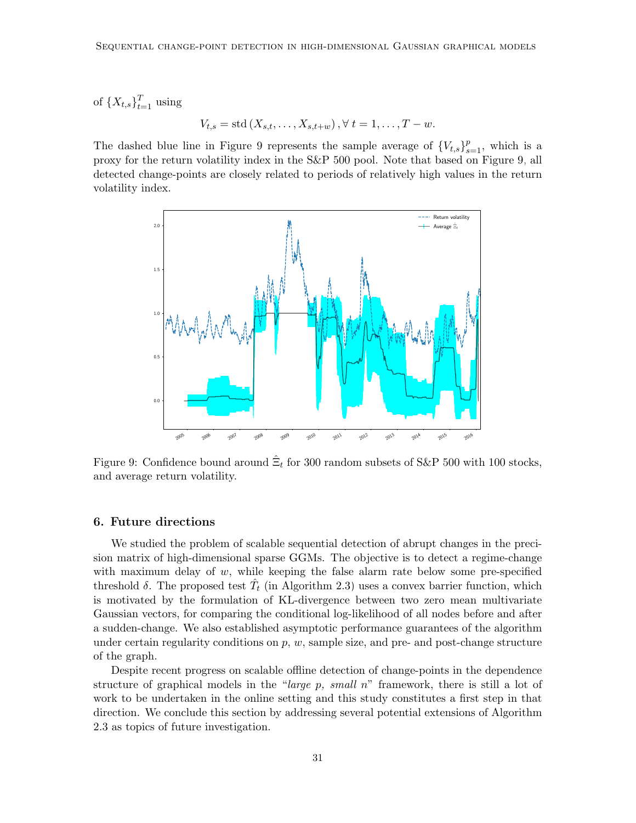of  $\{X_{t,s}\}_{t=1}^T$  using

$$
V_{t,s} = \text{std}(X_{s,t}, \dots, X_{s,t+w}), \forall t = 1, \dots, T - w.
$$

The dashed blue line in Figure [9](#page-30-1) represents the sample average of  ${V_{t,s}}_{s=1}^p$ , which is a proxy for the return volatility index in the S&P 500 pool. Note that based on Figure [9,](#page-30-1) all detected change-points are closely related to periods of relatively high values in the return volatility index.

<span id="page-30-1"></span>

Figure 9: Confidence bound around  $\hat{\Xi}_t$  for 300 random subsets of S&P 500 with 100 stocks, and average return volatility.

#### <span id="page-30-0"></span>6. Future directions

We studied the problem of scalable sequential detection of abrupt changes in the precision matrix of high-dimensional sparse GGMs. The objective is to detect a regime-change with maximum delay of  $w$ , while keeping the false alarm rate below some pre-specified threshold  $\delta$ . The proposed test  $\hat{T}_t$  (in Algorithm [2.3\)](#page-11-2) uses a convex barrier function, which is motivated by the formulation of KL-divergence between two zero mean multivariate Gaussian vectors, for comparing the conditional log-likelihood of all nodes before and after a sudden-change. We also established asymptotic performance guarantees of the algorithm under certain regularity conditions on  $p, w$ , sample size, and pre- and post-change structure of the graph.

Despite recent progress on scalable offline detection of change-points in the dependence structure of graphical models in the "*large p, small n*" framework, there is still a lot of work to be undertaken in the online setting and this study constitutes a first step in that direction. We conclude this section by addressing several potential extensions of Algorithm [2.3](#page-11-2) as topics of future investigation.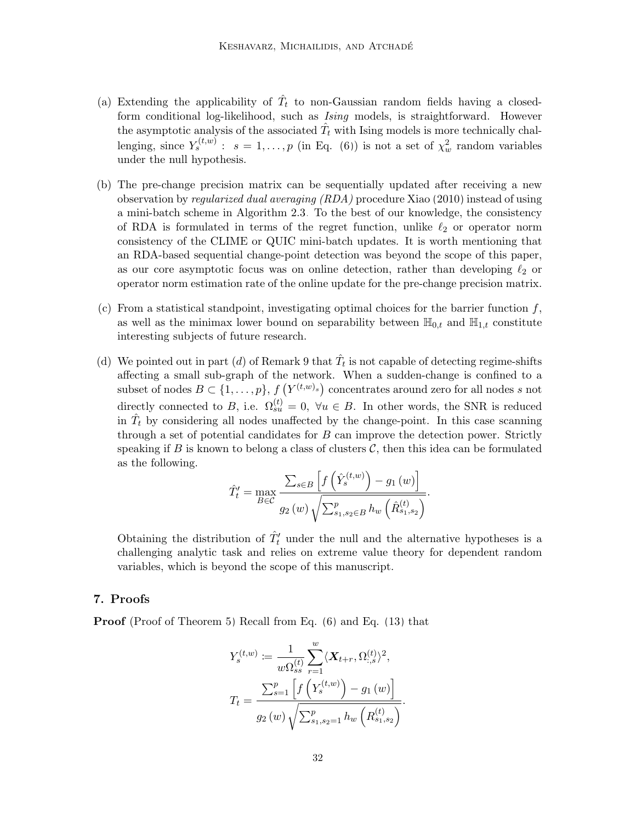- (a) Extending the applicability of  $\hat{T}_t$  to non-Gaussian random fields having a closedform conditional log-likelihood, such as Ising models, is straightforward. However the asymptotic analysis of the associated  $\hat{T}_t$  with Ising models is more technically challenging, since  $Y_s^{(t,w)}$ :  $s = 1, ..., p$  (in Eq. [\(6\)](#page-7-2)) is not a set of  $\chi^2_w$  random variables under the null hypothesis.
- (b) The pre-change precision matrix can be sequentially updated after receiving a new observation by regularized dual averaging (RDA) procedure [Xiao \(2010\)](#page-56-12) instead of using a mini-batch scheme in Algorithm [2.3.](#page-11-2) To the best of our knowledge, the consistency of RDA is formulated in terms of the regret function, unlike  $\ell_2$  or operator norm consistency of the CLIME or QUIC mini-batch updates. It is worth mentioning that an RDA-based sequential change-point detection was beyond the scope of this paper, as our core asymptotic focus was on online detection, rather than developing  $\ell_2$  or operator norm estimation rate of the online update for the pre-change precision matrix.
- (c) From a statistical standpoint, investigating optimal choices for the barrier function  $f$ , as well as the minimax lower bound on separability between  $\mathbb{H}_{0,t}$  and  $\mathbb{H}_{1,t}$  constitute interesting subjects of future research.
- (d) We pointed out in part (d) of Remark [9](#page-16-1) that  $\hat{T}_t$  is not capable of detecting regime-shifts affecting a small sub-graph of the network. When a sudden-change is confined to a subset of nodes  $B \subset \{1, \ldots, p\}$ ,  $f(Y^{(t,w)_s})$  concentrates around zero for all nodes s not directly connected to B, i.e.  $\Omega_{su}^{(t)} = 0$ ,  $\forall u \in B$ . In other words, the SNR is reduced in  $\hat{T}_t$  by considering all nodes unaffected by the change-point. In this case scanning through a set of potential candidates for  $B$  can improve the detection power. Strictly speaking if B is known to belong a class of clusters  $\mathcal{C}$ , then this idea can be formulated as the following.

$$
\hat{T}'_t = \max_{B \in \mathcal{C}} \frac{\sum_{s \in B} \left[ f\left(\hat{Y}_s^{(t,w)}\right) - g_1\left(w\right) \right]}{g_2\left(w\right) \sqrt{\sum_{s_1, s_2 \in B}^p h_w \left(\hat{R}_{s_1, s_2}^{(t)}\right)}}.
$$

Obtaining the distribution of  $\hat{T}'_t$  under the null and the alternative hypotheses is a challenging analytic task and relies on extreme value theory for dependent random variables, which is beyond the scope of this manuscript.

## <span id="page-31-0"></span>7. Proofs

Proof (Proof of Theorem [5\)](#page-13-2) Recall from Eq. [\(6\)](#page-7-2) and Eq. [\(13\)](#page-10-2) that

$$
Y_s^{(t,w)} := \frac{1}{w\Omega_{ss}^{(t)}} \sum_{r=1}^w \langle \mathbf{X}_{t+r}, \Omega_{:,s}^{(t)} \rangle^2,
$$
  

$$
T_t = \frac{\sum_{s=1}^p \left[ f\left(Y_s^{(t,w)}\right) - g_1\left(w\right) \right]}{g_2\left(w\right) \sqrt{\sum_{s_1,s_2=1}^p h_w\left(R_{s_1,s_2}^{(t)}\right)}}.
$$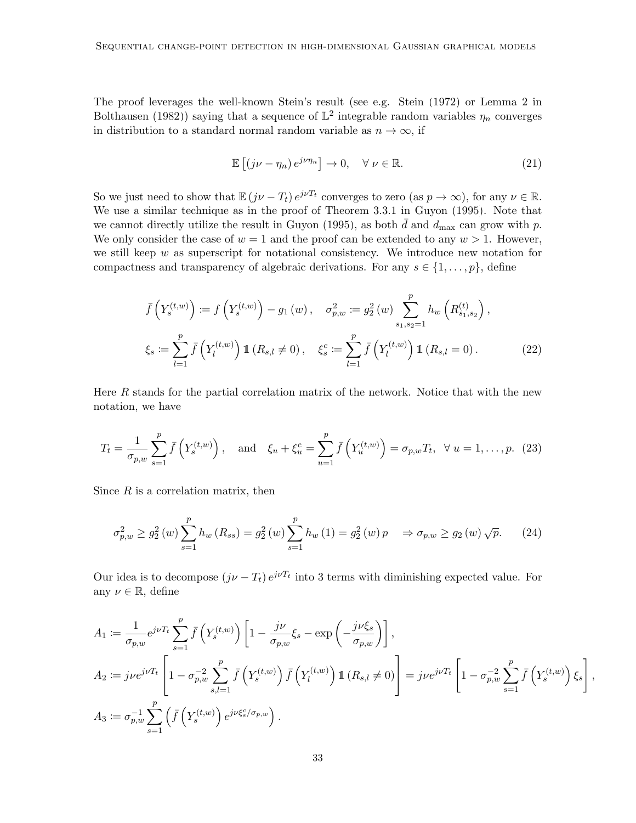The proof leverages the well-known Stein's result (see e.g. [Stein \(1972\)](#page-56-13) or Lemma 2 in [Bolthausen \(1982\)](#page-55-12)) saying that a sequence of  $\mathbb{L}^2$  integrable random variables  $\eta_n$  converges in distribution to a standard normal random variable as  $n \to \infty$ , if

<span id="page-32-2"></span>
$$
\mathbb{E}\left[\left(j\nu - \eta_n\right)e^{j\nu\eta_n}\right] \to 0, \quad \forall \ \nu \in \mathbb{R}.\tag{21}
$$

So we just need to show that  $\mathbb{E}(j\nu - T_t) e^{j\nu T_t}$  converges to zero (as  $p \to \infty$ ), for any  $\nu \in \mathbb{R}$ . We use a similar technique as in the proof of Theorem 3.3.1 in [Guyon \(1995\)](#page-55-13). Note that we cannot directly utilize the result in [Guyon \(1995\)](#page-55-13), as both  $\bar{d}$  and  $d_{\text{max}}$  can grow with p. We only consider the case of  $w = 1$  and the proof can be extended to any  $w > 1$ . However, we still keep  $w$  as superscript for notational consistency. We introduce new notation for compactness and transparency of algebraic derivations. For any  $s \in \{1, \ldots, p\}$ , define

$$
\bar{f}\left(Y_s^{(t,w)}\right) := f\left(Y_s^{(t,w)}\right) - g_1(w), \quad \sigma_{p,w}^2 := g_2^2(w) \sum_{s_1, s_2=1}^p h_w\left(R_{s_1, s_2}^{(t)}\right),
$$
\n
$$
\xi_s := \sum_{l=1}^p \bar{f}\left(Y_l^{(t,w)}\right) \mathbb{1}\left(R_{s,l} \neq 0\right), \quad \xi_s^c := \sum_{l=1}^p \bar{f}\left(Y_l^{(t,w)}\right) \mathbb{1}\left(R_{s,l} = 0\right). \tag{22}
$$

<span id="page-32-0"></span>Here R stands for the partial correlation matrix of the network. Notice that with the new notation, we have

$$
T_t = \frac{1}{\sigma_{p,w}} \sum_{s=1}^p \bar{f}\left(Y_s^{(t,w)}\right), \text{ and } \xi_u + \xi_u^c = \sum_{u=1}^p \bar{f}\left(Y_u^{(t,w)}\right) = \sigma_{p,w} T_t, \ \forall \ u = 1, \dots, p. \tag{23}
$$

Since  $R$  is a correlation matrix, then

<span id="page-32-1"></span>
$$
\sigma_{p,w}^2 \ge g_2^2(w) \sum_{s=1}^p h_w(R_{ss}) = g_2^2(w) \sum_{s=1}^p h_w(1) = g_2^2(w) p \implies \sigma_{p,w} \ge g_2(w) \sqrt{p}.
$$
 (24)

Our idea is to decompose  $(j\nu - T_t) e^{j\nu T_t}$  into 3 terms with diminishing expected value. For any  $\nu \in \mathbb{R}$ , define

$$
A_1 := \frac{1}{\sigma_{p,w}} e^{j\nu T_t} \sum_{s=1}^p \bar{f}\left(Y_s^{(t,w)}\right) \left[1 - \frac{j\nu}{\sigma_{p,w}} \xi_s - \exp\left(-\frac{j\nu \xi_s}{\sigma_{p,w}}\right)\right],
$$
  
\n
$$
A_2 := j\nu e^{j\nu T_t} \left[1 - \sigma_{p,w}^{-2} \sum_{s,l=1}^p \bar{f}\left(Y_s^{(t,w)}\right) \bar{f}\left(Y_l^{(t,w)}\right) \mathbb{1}\left(R_{s,l} \neq 0\right)\right] = j\nu e^{j\nu T_t} \left[1 - \sigma_{p,w}^{-2} \sum_{s=1}^p \bar{f}\left(Y_s^{(t,w)}\right) \xi_s\right]
$$
  
\n
$$
A_3 := \sigma_{p,w}^{-1} \sum_{s=1}^p \left(\bar{f}\left(Y_s^{(t,w)}\right) e^{j\nu \xi_s^c / \sigma_{p,w}}\right).
$$

,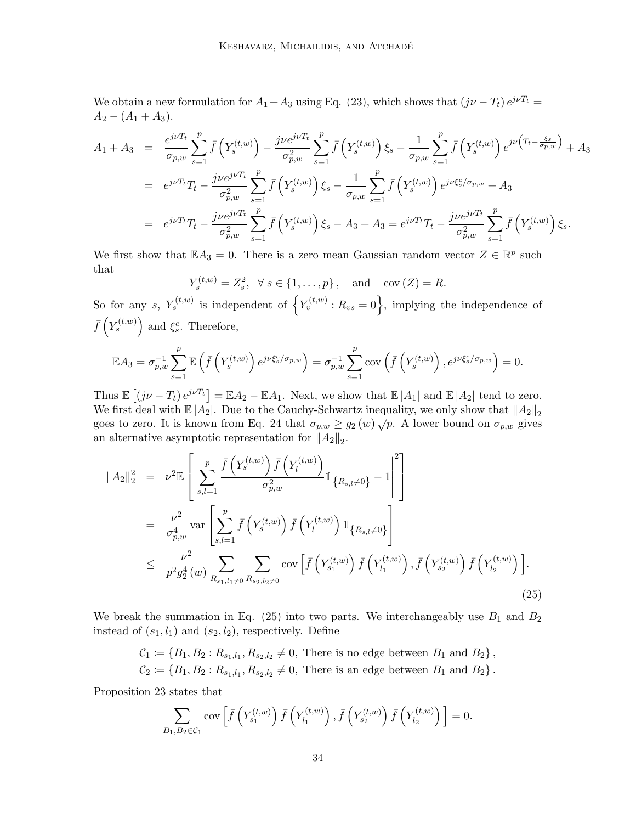We obtain a new formulation for  $A_1+A_3$  using Eq. [\(23\)](#page-32-0), which shows that  $(j\nu - T_t) e^{j\nu T_t} =$  $A_2 - (A_1 + A_3).$ 

$$
A_{1} + A_{3} = \frac{e^{j\nu T_{t}}}{\sigma_{p,w}} \sum_{s=1}^{p} \bar{f}\left(Y_{s}^{(t,w)}\right) - \frac{j\nu e^{j\nu T_{t}}}{\sigma_{p,w}^{2}} \sum_{s=1}^{p} \bar{f}\left(Y_{s}^{(t,w)}\right) \xi_{s} - \frac{1}{\sigma_{p,w}} \sum_{s=1}^{p} \bar{f}\left(Y_{s}^{(t,w)}\right) e^{j\nu \left(T_{t} - \frac{\xi_{s}}{\sigma_{p,w}}\right)} + A_{3}
$$
  
\n
$$
= e^{j\nu T_{t}} T_{t} - \frac{j\nu e^{j\nu T_{t}}}{\sigma_{p,w}^{2}} \sum_{s=1}^{p} \bar{f}\left(Y_{s}^{(t,w)}\right) \xi_{s} - \frac{1}{\sigma_{p,w}} \sum_{s=1}^{p} \bar{f}\left(Y_{s}^{(t,w)}\right) e^{j\nu \xi_{s}^{c}/\sigma_{p,w}} + A_{3}
$$
  
\n
$$
= e^{j\nu T_{t}} T_{t} - \frac{j\nu e^{j\nu T_{t}}}{\sigma_{p,w}^{2}} \sum_{s=1}^{p} \bar{f}\left(Y_{s}^{(t,w)}\right) \xi_{s} - A_{3} + A_{3} = e^{j\nu T_{t}} T_{t} - \frac{j\nu e^{j\nu T_{t}}}{\sigma_{p,w}^{2}} \sum_{s=1}^{p} \bar{f}\left(Y_{s}^{(t,w)}\right) \xi_{s}.
$$

We first show that  $\mathbb{E} A_3 = 0$ . There is a zero mean Gaussian random vector  $Z \in \mathbb{R}^p$  such that

$$
Y_s^{(t,w)} = Z_s^2, \quad \forall \ s \in \{1, \ldots, p\}, \quad \text{and} \quad \text{cov}\left(Z\right) = R.
$$

So for any s,  $Y_s^{(t,w)}$  is independent of  $\left\{Y_v^{(t,w)}: R_{vs} = 0\right\}$ , implying the independence of  $\bar{f}\left(Y_s^{(t,w)}\right)$  and  $\xi_s^c$ . Therefore,

$$
\mathbb{E}A_3 = \sigma_{p,w}^{-1} \sum_{s=1}^p \mathbb{E}\left(\bar{f}\left(Y_s^{(t,w)}\right) e^{j\nu \xi_s^c/\sigma_{p,w}}\right) = \sigma_{p,w}^{-1} \sum_{s=1}^p \text{cov}\left(\bar{f}\left(Y_s^{(t,w)}\right), e^{j\nu \xi_s^c/\sigma_{p,w}}\right) = 0.
$$

Thus  $\mathbb{E}[(j\nu - T_t)e^{j\nu T_t}] = \mathbb{E}A_2 - \mathbb{E}A_1$ . Next, we show that  $\mathbb{E}|A_1|$  and  $\mathbb{E}|A_2|$  tend to zero. We first deal with  $\mathbb{E}|A_2|$ . Due to the Cauchy-Schwartz inequality, we only show that  $||A_2||_2$ goes to zero. It is known from Eq. [24](#page-32-1) that  $\sigma_{p,w} \ge g_2(w) \sqrt{p}$ . A lower bound on  $\sigma_{p,w}$  gives an alternative asymptotic representation for  $||A_2||_2$ .

<span id="page-33-0"></span>
$$
||A_{2}||_{2}^{2} = \nu^{2} \mathbb{E} \left[ \left| \sum_{s,l=1}^{p} \frac{\bar{f}\left(Y_{s}^{(t,w)}\right) \bar{f}\left(Y_{l}^{(t,w)}\right)}{\sigma_{p,w}^{2}} \mathbb{1}_{\left\{R_{s,l}\neq 0\right\}} - 1 \right|^{2} \right]
$$
  
\n
$$
= \frac{\nu^{2}}{\sigma_{p,w}^{4}} \text{var}\left[ \sum_{s,l=1}^{p} \bar{f}\left(Y_{s}^{(t,w)}\right) \bar{f}\left(Y_{l}^{(t,w)}\right) \mathbb{1}_{\left\{R_{s,l}\neq 0\right\}} \right]
$$
  
\n
$$
\leq \frac{\nu^{2}}{p^{2} g_{2}^{4}(w)} \sum_{R_{s_{1},l_{1}\neq 0}} \sum_{R_{s_{2},l_{2}\neq 0}} \text{cov}\left[ \bar{f}\left(Y_{s_{1}}^{(t,w)}\right) \bar{f}\left(Y_{l_{1}}^{(t,w)}\right), \bar{f}\left(Y_{s_{2}}^{(t,w)}\right) \bar{f}\left(Y_{l_{2}}^{(t,w)}\right) \right].
$$
\n(25)

We break the summation in Eq.  $(25)$  into two parts. We interchangeably use  $B_1$  and  $B_2$ instead of  $(s_1, l_1)$  and  $(s_2, l_2)$ , respectively. Define

$$
C_1 := \{B_1, B_2 : R_{s_1, l_1}, R_{s_2, l_2} \neq 0, \text{ There is no edge between } B_1 \text{ and } B_2\},
$$
  

$$
C_2 := \{B_1, B_2 : R_{s_1, l_1}, R_{s_2, l_2} \neq 0, \text{ There is an edge between } B_1 \text{ and } B_2\}.
$$

Proposition [23](#page-50-1) states that

$$
\sum_{B_1,B_2 \in \mathcal{C}_1} \operatorname{cov}\left[\bar{f}\left(Y_{s_1}^{(t,w)}\right) \bar{f}\left(Y_{l_1}^{(t,w)}\right), \bar{f}\left(Y_{s_2}^{(t,w)}\right) \bar{f}\left(Y_{l_2}^{(t,w)}\right)\right] = 0.
$$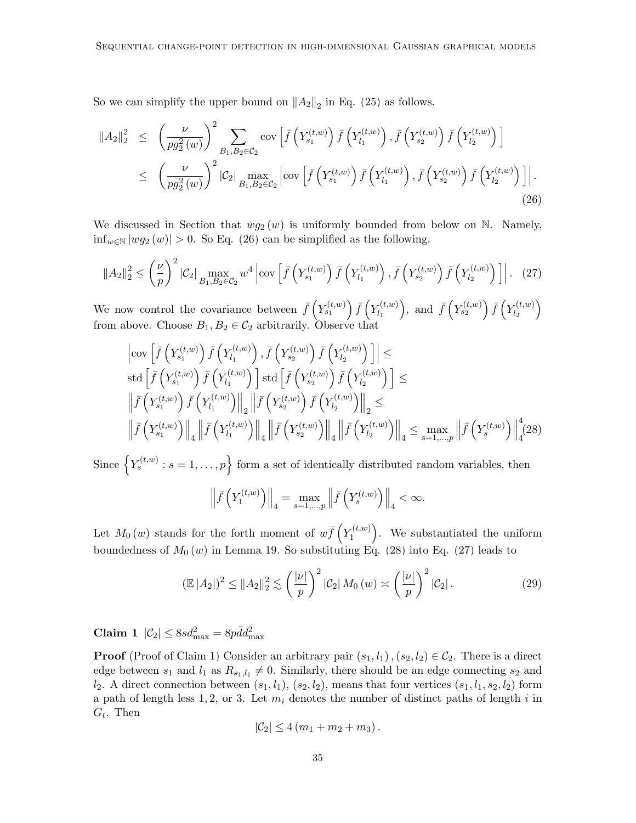So we can simplify the upper bound on  $||A_2||_2$  in Eq. [\(25\)](#page-33-0) as follows.

<span id="page-34-0"></span>
$$
||A_{2}||_{2}^{2} \leq \left(\frac{\nu}{pg_{2}^{2}(w)}\right)^{2} \sum_{B_{1},B_{2}\in\mathcal{C}_{2}} \text{cov}\left[\bar{f}\left(Y_{s_{1}}^{(t,w)}\right)\bar{f}\left(Y_{l_{1}}^{(t,w)}\right), \bar{f}\left(Y_{s_{2}}^{(t,w)}\right)\bar{f}\left(Y_{l_{2}}^{(t,w)}\right)\right] \leq \left(\frac{\nu}{pg_{2}^{2}(w)}\right)^{2} |C_{2}| \max_{B_{1},B_{2}\in\mathcal{C}_{2}} \left|\text{cov}\left[\bar{f}\left(Y_{s_{1}}^{(t,w)}\right)\bar{f}\left(Y_{l_{1}}^{(t,w)}\right), \bar{f}\left(Y_{s_{2}}^{(t,w)}\right)\bar{f}\left(Y_{l_{2}}^{(t,w)}\right)\right]\right|.
$$
\n(26)

We discussed in Section that  $wg_2(w)$  is uniformly bounded from below on N. Namely,  $\inf_{w \in \mathbb{N}} |wg_2(w)| > 0$ . So Eq. [\(26\)](#page-34-0) can be simplified as the following.

$$
||A_2||_2^2 \le \left(\frac{\nu}{p}\right)^2 |\mathcal{C}_2| \max_{B_1, B_2 \in \mathcal{C}_2} w^4 \left| \text{cov}\left[\bar{f}\left(Y_{s_1}^{(t,w)}\right) \bar{f}\left(Y_{l_1}^{(t,w)}\right), \bar{f}\left(Y_{s_2}^{(t,w)}\right) \bar{f}\left(Y_{l_2}^{(t,w)}\right) \right] \right|.
$$
 (27)

We now control the covariance between  $\bar{f}\left(Y_{s_1}^{(t,w)}\right)\bar{f}\left(Y_{l_1}^{(t,w)}\right)$  $\bar{f}\left(Y_{s_2}^{(t,w)}\right)$ , and  $\bar{f}\left(Y_{s_2}^{(t,w)}\right)\bar{f}\left(Y_{l_2}^{(t,w)}\right)$  $\left(\begin{matrix} t,w \end{matrix}\right)_2$ from above. Choose  $B_1, B_2 \in C_2$  arbitrarily. Observe that

<span id="page-34-2"></span><span id="page-34-1"></span>
$$
\begin{aligned}\n&\left|\text{cov}\left[\bar{f}\left(Y_{s_1}^{(t,w)}\right)\bar{f}\left(Y_{l_1}^{(t,w)}\right), \bar{f}\left(Y_{s_2}^{(t,w)}\right)\bar{f}\left(Y_{l_2}^{(t,w)}\right)\right]\right| \leq \\
\text{std}\left[\bar{f}\left(Y_{s_1}^{(t,w)}\right)\bar{f}\left(Y_{l_1}^{(t,w)}\right)\right] \text{std}\left[\bar{f}\left(Y_{s_2}^{(t,w)}\right)\bar{f}\left(Y_{l_2}^{(t,w)}\right)\right] \leq \\
&\left\|\bar{f}\left(Y_{s_1}^{(t,w)}\right)\bar{f}\left(Y_{l_1}^{(t,w)}\right)\right\|_2 \left\|\bar{f}\left(Y_{s_2}^{(t,w)}\right)\bar{f}\left(Y_{l_2}^{(t,w)}\right)\right\|_2 \leq \\
&\left\|\bar{f}\left(Y_{s_1}^{(t,w)}\right)\right\|_4 \left\|\bar{f}\left(Y_{l_1}^{(t,w)}\right)\right\|_4 \left\|\bar{f}\left(Y_{s_2}^{(t,w)}\right)\right\|_4 \left\|\bar{f}\left(Y_{l_2}^{(t,w)}\right)\right\|_4 \leq \max_{s=1,\dots,p} \left\|\bar{f}\left(Y_{s}^{(t,w)}\right)\right\|_4 (28)\n\end{aligned}
$$

Since  $\left\{Y_s^{(t,w)}: s = 1, \ldots, p\right\}$  form a set of identically distributed random variables, then

<span id="page-34-4"></span>
$$
\left\| \bar{f}\left(Y_1^{(t,w)}\right) \right\|_4 = \max_{s=1,\dots,p} \left\| \bar{f}\left(Y_s^{(t,w)}\right) \right\|_4 < \infty.
$$

Let  $M_0(w)$  stands for the forth moment of  $w\bar{f}(Y_1^{(t,w)})$  $\mathcal{L}_1^{(t,w)}$ . We substantiated the uniform boundedness of  $M_0(w)$  in Lemma [19.](#page-46-0) So substituting Eq. [\(28\)](#page-34-1) into Eq. [\(27\)](#page-34-2) leads to

$$
\left(\mathbb{E}\left|A_{2}\right|\right)^{2} \leq \|A_{2}\|_{2}^{2} \lesssim \left(\frac{|\nu|}{p}\right)^{2} \left|C_{2}\right| M_{0}(w) \asymp \left(\frac{|\nu|}{p}\right)^{2} \left|C_{2}\right|.
$$
\n(29)

<span id="page-34-3"></span>Claim 1  $|\mathcal{C}_2| \leq 8sd_{\max}^2 = 8pd_{\max}^2$ 

**Proof** (Proof of Claim [1\)](#page-34-3) Consider an arbitrary pair  $(s_1, l_1)$ ,  $(s_2, l_2) \in C_2$ . There is a direct edge between  $s_1$  and  $l_1$  as  $R_{s_1,l_1} \neq 0$ . Similarly, there should be an edge connecting  $s_2$  and  $l_2$ . A direct connection between  $(s_1, l_1), (s_2, l_2)$ , means that four vertices  $(s_1, l_1, s_2, l_2)$  form a path of length less 1, 2, or 3. Let  $m_i$  denotes the number of distinct paths of length i in  $G_t$ . Then

$$
|\mathcal{C}_2| \leq 4(m_1+m_2+m_3).
$$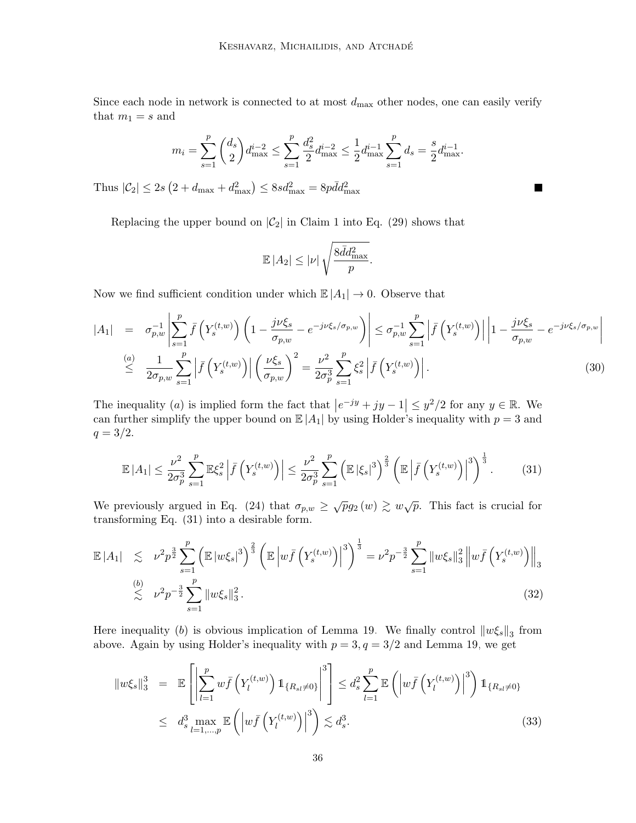Since each node in network is connected to at most  $d_{\text{max}}$  other nodes, one can easily verify that  $m_1 = s$  and

$$
m_{i} = \sum_{s=1}^{p} {d_{s} \choose 2} d_{\max}^{i-2} \le \sum_{s=1}^{p} {d_{s}^{2} \over 2} d_{\max}^{i-2} \le {1 \over 2} d_{\max}^{i-1} \sum_{s=1}^{p} d_{s} = {s \over 2} d_{\max}^{i-1}.
$$

Thus  $|\mathcal{C}_2| \leq 2s\left(2 + d_{\text{max}} + d_{\text{max}}^2\right) \leq 8sd_{\text{max}}^2 = 8p\bar{d}d_{\text{max}}^2$ 

Replacing the upper bound on  $|\mathcal{C}_2|$  in Claim [1](#page-34-3) into Eq. [\(29\)](#page-34-4) shows that

$$
\mathbb{E}\left|A_2\right| \leq |\nu| \sqrt{\frac{8\bar{d}d_{\max}^2}{p}}.
$$

Now we find sufficient condition under which  $\mathbb{E}|A_1| \to 0$ . Observe that

$$
|A_1| = \sigma_{p,w}^{-1} \left| \sum_{s=1}^p \bar{f}\left(Y_s^{(t,w)}\right) \left(1 - \frac{j\nu\xi_s}{\sigma_{p,w}} - e^{-j\nu\xi_s/\sigma_{p,w}}\right) \right| \leq \sigma_{p,w}^{-1} \sum_{s=1}^p \left| \bar{f}\left(Y_s^{(t,w)}\right) \right| \left|1 - \frac{j\nu\xi_s}{\sigma_{p,w}} - e^{-j\nu\xi_s/\sigma_{p,w}}\right|
$$
  
\n
$$
\leq \frac{1}{2\sigma_{p,w}} \sum_{s=1}^p \left| \bar{f}\left(Y_s^{(t,w)}\right) \right| \left(\frac{\nu\xi_s}{\sigma_{p,w}}\right)^2 = \frac{\nu^2}{2\sigma_p^3} \sum_{s=1}^p \xi_s^2 \left| \bar{f}\left(Y_s^{(t,w)}\right) \right|.
$$
 (30)

The inequality (*a*) is implied form the fact that  $|e^{-jy} + jy - 1| \leq y^2/2$  for any  $y \in \mathbb{R}$ . We can further simplify the upper bound on  $\mathbb{E}|A_1|$  by using Holder's inequality with  $p = 3$  and  $q = 3/2.$ 

<span id="page-35-0"></span>
$$
\mathbb{E}\left|A_{1}\right| \leq \frac{\nu^{2}}{2\sigma_{p}^{3}} \sum_{s=1}^{p} \mathbb{E}\xi_{s}^{2} \left|\bar{f}\left(Y_{s}^{(t,w)}\right)\right| \leq \frac{\nu^{2}}{2\sigma_{p}^{3}} \sum_{s=1}^{p} \left(\mathbb{E}\left|\xi_{s}\right|^{3}\right)^{\frac{2}{3}} \left(\mathbb{E}\left|\bar{f}\left(Y_{s}^{(t,w)}\right)\right|^{3}\right)^{\frac{1}{3}}.
$$
 (31)

We previously argued in Eq. [\(24\)](#page-32-1) that  $\sigma_{p,w} \geq \sqrt{p}g_2(w) \geq w\sqrt{p}$ . This fact is crucial for transforming Eq. [\(31\)](#page-35-0) into a desirable form.

$$
\mathbb{E}|A_1| \lesssim \nu^2 p^{\frac{3}{2}} \sum_{s=1}^p \left( \mathbb{E} |w\xi_s|^3 \right)^{\frac{2}{3}} \left( \mathbb{E} \left| w \bar{f} \left( Y_s^{(t,w)} \right) \right|^3 \right)^{\frac{1}{3}} = \nu^2 p^{-\frac{3}{2}} \sum_{s=1}^p \|w\xi_s\|_3^2 \left\| w \bar{f} \left( Y_s^{(t,w)} \right) \right\|_3^2
$$
\n
$$
\lesssim \nu^2 p^{-\frac{3}{2}} \sum_{s=1}^p \|w\xi_s\|_3^2. \tag{32}
$$

Here inequality (b) is obvious implication of Lemma [19.](#page-46-0) We finally control  $||w\xi_s||_3$  from above. Again by using Holder's inequality with  $p = 3, q = 3/2$  and Lemma [19,](#page-46-0) we get

<span id="page-35-1"></span>
$$
\|w\xi_s\|_3^3 = \mathbb{E}\left[\left|\sum_{l=1}^p w\bar{f}\left(Y_l^{(t,w)}\right)1\!\!1_{\{R_{sl}\neq 0\}}\right|^3\right] \leq d_s^2 \sum_{l=1}^p \mathbb{E}\left(\left|w\bar{f}\left(Y_l^{(t,w)}\right)\right|^3\right)1\!\!1_{\{R_{sl}\neq 0\}}\leq d_s^3 \max_{l=1,\dots,p} \mathbb{E}\left(\left|w\bar{f}\left(Y_l^{(t,w)}\right)\right|^3\right) \lesssim d_s^3.
$$
\n(33)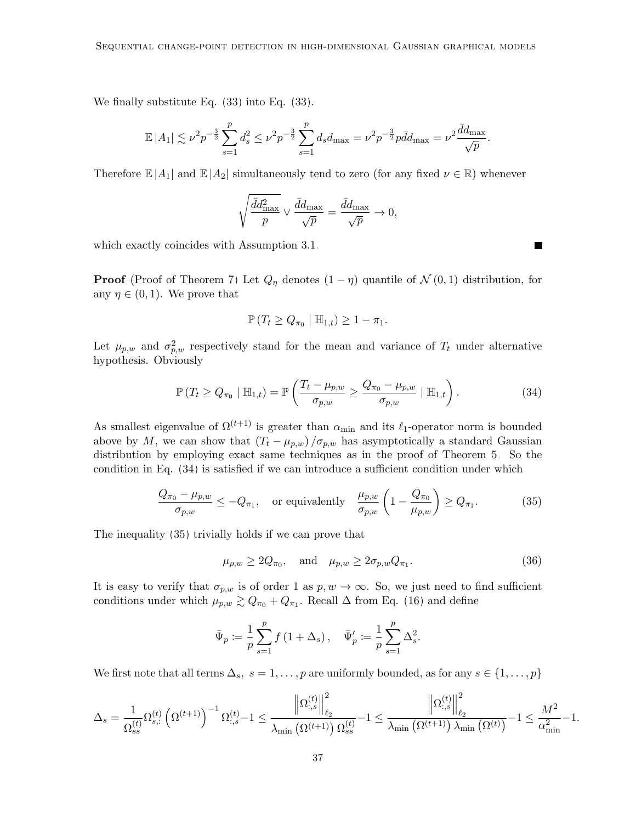We finally substitute Eq. [\(33\)](#page-35-1) into Eq. [\(33\)](#page-35-1).

$$
\mathbb{E}|A_1| \lesssim \nu^2 p^{-\frac{3}{2}} \sum_{s=1}^p d_s^2 \leq \nu^2 p^{-\frac{3}{2}} \sum_{s=1}^p d_s d_{\max} = \nu^2 p^{-\frac{3}{2}} p \bar{d} d_{\max} = \nu^2 \frac{\bar{d} d_{\max}}{\sqrt{p}}.
$$

Therefore  $\mathbb{E}|A_1|$  and  $\mathbb{E}|A_2|$  simultaneously tend to zero (for any fixed  $\nu \in \mathbb{R}$ ) whenever

$$
\sqrt{\frac{\bar{d}d_{\max}^2}{p}} \vee \frac{\bar{d}d_{\max}}{\sqrt{p}} = \frac{\bar{d}d_{\max}}{\sqrt{p}} \to 0,
$$

which exactly coincides with Assumption [3.1.](#page-13-1)

**Proof** (Proof of Theorem [7\)](#page-15-1) Let  $Q_{\eta}$  denotes  $(1 - \eta)$  quantile of  $\mathcal{N}(0, 1)$  distribution, for any  $\eta \in (0,1)$ . We prove that

$$
\mathbb{P}\left(T_t \geq Q_{\pi_0} \mid \mathbb{H}_{1,t}\right) \geq 1 - \pi_1.
$$

Let  $\mu_{p,w}$  and  $\sigma_{p,w}^2$  respectively stand for the mean and variance of  $T_t$  under alternative hypothesis. Obviously

<span id="page-36-0"></span>
$$
\mathbb{P}\left(T_t \geq Q_{\pi_0} \mid \mathbb{H}_{1,t}\right) = \mathbb{P}\left(\frac{T_t - \mu_{p,w}}{\sigma_{p,w}} \geq \frac{Q_{\pi_0} - \mu_{p,w}}{\sigma_{p,w}} \mid \mathbb{H}_{1,t}\right). \tag{34}
$$

As smallest eigenvalue of  $\Omega^{(t+1)}$  is greater than  $\alpha_{\min}$  and its  $\ell_1$ -operator norm is bounded above by M, we can show that  $(T_t - \mu_{p,w})/\sigma_{p,w}$  has asymptotically a standard Gaussian distribution by employing exact same techniques as in the proof of Theorem [5.](#page-13-2) So the condition in Eq. [\(34\)](#page-36-0) is satisfied if we can introduce a sufficient condition under which

$$
\frac{Q_{\pi_0} - \mu_{p,w}}{\sigma_{p,w}} \le -Q_{\pi_1}, \quad \text{or equivalently} \quad \frac{\mu_{p,w}}{\sigma_{p,w}} \left(1 - \frac{Q_{\pi_0}}{\mu_{p,w}}\right) \ge Q_{\pi_1}.
$$
 (35)

The inequality [\(35\)](#page-36-1) trivially holds if we can prove that

<span id="page-36-2"></span>
$$
\mu_{p,w} \ge 2Q_{\pi_0}, \quad \text{and} \quad \mu_{p,w} \ge 2\sigma_{p,w} Q_{\pi_1}.
$$
\n
$$
(36)
$$

It is easy to verify that  $\sigma_{p,w}$  is of order 1 as  $p, w \to \infty$ . So, we just need to find sufficient conditions under which  $\mu_{p,w} \gtrsim Q_{\pi_0} + Q_{\pi_1}$ . Recall  $\Delta$  from Eq. [\(16\)](#page-15-2) and define

$$
\bar{\Psi}_p \coloneqq \frac{1}{p} \sum_{s=1}^p f(1 + \Delta_s), \quad \bar{\Psi}'_p \coloneqq \frac{1}{p} \sum_{s=1}^p \Delta_s^2.
$$

We first note that all terms  $\Delta_s$ ,  $s = 1, \ldots, p$  are uniformly bounded, as for any  $s \in \{1, \ldots, p\}$ 

$$
\Delta_s = \frac{1}{\Omega_{ss}^{(t)}} \Omega_{s,:}^{(t)} \left(\Omega^{(t+1)}\right)^{-1} \Omega_{:,s}^{(t)} - 1 \leq \frac{\left\|\Omega_{:,s}^{(t)}\right\|_{\ell_2}^2}{\lambda_{\min}\left(\Omega^{(t+1)}\right) \Omega_{ss}^{(t)}} - 1 \leq \frac{\left\|\Omega_{:,s}^{(t)}\right\|_{\ell_2}^2}{\lambda_{\min}\left(\Omega^{(t+1)}\right) \lambda_{\min}\left(\Omega^{(t)}\right)} - 1 \leq \frac{M^2}{\alpha_{\min}^2} - 1.
$$

<span id="page-36-1"></span>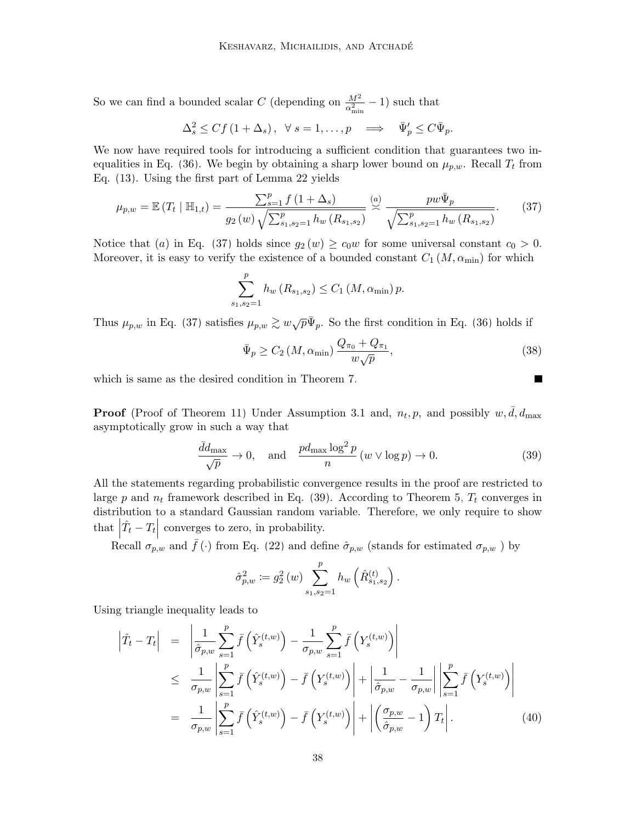So we can find a bounded scalar C (depending on  $\frac{M^2}{\alpha_{\min}^2} - 1$ ) such that

$$
\Delta_s^2 \le Cf\left(1+\Delta_s\right), \ \ \forall \ s=1,\ldots,p \quad \Longrightarrow \quad \bar{\Psi}_p' \le C\bar{\Psi}_p.
$$

We now have required tools for introducing a sufficient condition that guarantees two in-equalities in Eq. [\(36\)](#page-36-2). We begin by obtaining a sharp lower bound on  $\mu_{p,w}$ . Recall  $T_t$  from Eq. [\(13\)](#page-10-2). Using the first part of Lemma [22](#page-49-0) yields

$$
\mu_{p,w} = \mathbb{E}\left(T_t \mid \mathbb{H}_{1,t}\right) = \frac{\sum_{s=1}^p f\left(1 + \Delta_s\right)}{g_2\left(w\right)\sqrt{\sum_{s_1,s_2=1}^p h_w\left(R_{s_1,s_2}\right)}} \stackrel{(a)}{\sim} \frac{p w \bar{\Psi}_p}{\sqrt{\sum_{s_1,s_2=1}^p h_w\left(R_{s_1,s_2}\right)}}. \tag{37}
$$

Notice that (a) in Eq. [\(37\)](#page-37-0) holds since  $g_2(w) \ge c_0w$  for some universal constant  $c_0 > 0$ . Moreover, it is easy to verify the existence of a bounded constant  $C_1(M, \alpha_{\min})$  for which

<span id="page-37-0"></span>
$$
\sum_{s_1, s_2=1}^p h_w(R_{s_1, s_2}) \le C_1(M, \alpha_{\min}) p.
$$

Thus  $\mu_{p,w}$  in Eq. [\(37\)](#page-37-0) satisfies  $\mu_{p,w} \gtrsim w\sqrt{p}\bar{\Psi}_p$ . So the first condition in Eq. [\(36\)](#page-36-2) holds if

<span id="page-37-1"></span>
$$
\bar{\Psi}_p \ge C_2 \left( M, \alpha_{\min} \right) \frac{Q_{\pi_0} + Q_{\pi_1}}{w \sqrt{p}},\tag{38}
$$

 $\blacksquare$ 

which is same as the desired condition in Theorem [7.](#page-15-1)

**Proof** (Proof of Theorem [11\)](#page-20-1) Under Assumption [3.1](#page-13-1) and,  $n_t, p$ , and possibly  $w, \overline{d}, d_{\text{max}}$ asymptotically grow in such a way that

$$
\frac{\bar{d}d_{\max}}{\sqrt{p}} \to 0, \quad \text{and} \quad \frac{pd_{\max} \log^2 p}{n} \left( w \vee \log p \right) \to 0. \tag{39}
$$

All the statements regarding probabilistic convergence results in the proof are restricted to large p and  $n_t$  framework described in Eq. [\(39\)](#page-37-1). According to Theorem [5,](#page-13-2)  $T_t$  converges in distribution to a standard Gaussian random variable. Therefore, we only require to show that  $|\hat{T}_t - T_t|$  converges to zero, in probability.

Recall  $\sigma_{p,w}$  and  $\bar{f}(\cdot)$  from Eq. [\(22\)](#page-32-2) and define  $\hat{\sigma}_{p,w}$  (stands for estimated  $\sigma_{p,w}$ ) by

$$
\hat{\sigma}_{p,w}^2 := g_2^2(w) \sum_{s_1, s_2=1}^p h_w\left(\hat{R}_{s_1, s_2}^{(t)}\right).
$$

Using triangle inequality leads to

<span id="page-37-2"></span>
$$
\left| \hat{T}_t - T_t \right| = \left| \frac{1}{\hat{\sigma}_{p,w}} \sum_{s=1}^p \bar{f} \left( \hat{Y}_s^{(t,w)} \right) - \frac{1}{\sigma_{p,w}} \sum_{s=1}^p \bar{f} \left( Y_s^{(t,w)} \right) \right|
$$
\n
$$
\leq \frac{1}{\sigma_{p,w}} \left| \sum_{s=1}^p \bar{f} \left( \hat{Y}_s^{(t,w)} \right) - \bar{f} \left( Y_s^{(t,w)} \right) \right| + \left| \frac{1}{\hat{\sigma}_{p,w}} - \frac{1}{\sigma_{p,w}} \right| \left| \sum_{s=1}^p \bar{f} \left( Y_s^{(t,w)} \right) \right|
$$
\n
$$
= \frac{1}{\sigma_{p,w}} \left| \sum_{s=1}^p \bar{f} \left( \hat{Y}_s^{(t,w)} \right) - \bar{f} \left( Y_s^{(t,w)} \right) \right| + \left| \left( \frac{\sigma_{p,w}}{\hat{\sigma}_{p,w}} - 1 \right) T_t \right|.
$$
\n(40)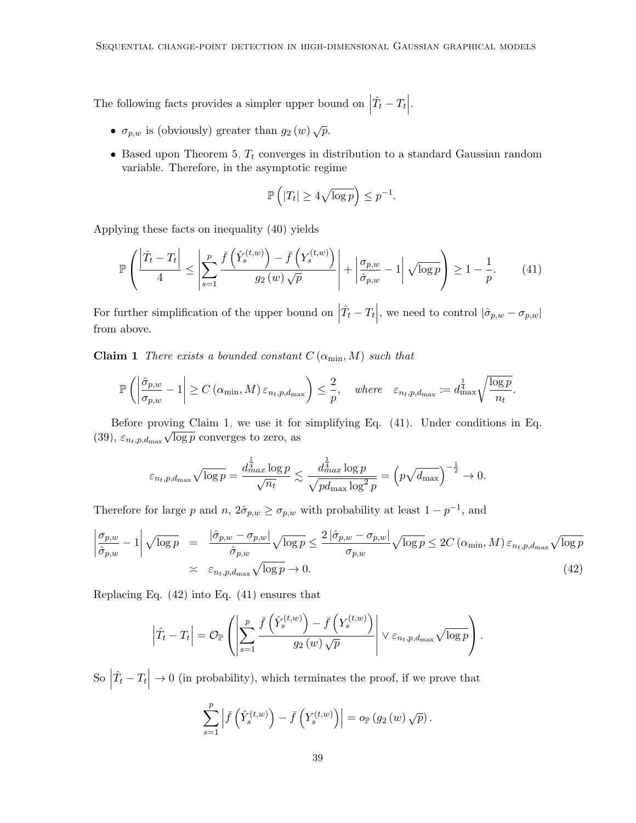The following facts provides a simpler upper bound on  $\Big|$  $\hat{T}_t - T_t\Big|$ .

- $\sigma_{p,w}$  is (obviously) greater than  $g_2(w) \sqrt{p}$ .
- Based upon Theorem [5,](#page-13-2)  $T_t$  converges in distribution to a standard Gaussian random variable. Therefore, in the asymptotic regime

<span id="page-38-1"></span>
$$
\mathbb{P}\left(|T_t| \ge 4\sqrt{\log p}\right) \le p^{-1}.
$$

Applying these facts on inequality [\(40\)](#page-37-2) yields

$$
\mathbb{P}\left(\frac{\left|\hat{T}_t - T_t\right|}{4} \le \left|\sum_{s=1}^p \frac{\bar{f}\left(\hat{Y}_s^{(t,w)}\right) - \bar{f}\left(Y_s^{(t,w)}\right)}{g_2(w)\sqrt{p}}\right| + \left|\frac{\sigma_{p,w}}{\hat{\sigma}_{p,w}} - 1\right| \sqrt{\log p}\right) \ge 1 - \frac{1}{p}.\tag{41}
$$

For further simplification of the upper bound on  $\Big|$  $\hat{T}_t - T_t$ , we need to control  $|\hat{\sigma}_{p,w} - \sigma_{p,w}|$ from above.

<span id="page-38-0"></span>**Claim 1** There exists a bounded constant  $C(\alpha_{\min}, M)$  such that

$$
\mathbb{P}\left(\left|\frac{\hat{\sigma}_{p,w}}{\sigma_{p,w}}-1\right|\geq C\left(\alpha_{\min},M\right)\varepsilon_{n_t,p,d_{\max}}\right)\leq \frac{2}{p},\quad\text{where}\quad\varepsilon_{n_t,p,d_{\max}}:=d_{\max}^{\frac{1}{4}}\sqrt{\frac{\log p}{n_t}}.
$$

Before proving Claim [1,](#page-38-0) we use it for simplifying Eq. [\(41\)](#page-38-1). Under conditions in Eq.  $(39), \, \varepsilon_{n_t,p,d_{\max}}$  $(39), \, \varepsilon_{n_t,p,d_{\max}}$ √  $\overline{\log p}$  converges to zero, as

$$
\varepsilon_{n_t, p, d_{\max}} \sqrt{\log p} = \frac{d_{max}^{\frac{1}{4}} \log p}{\sqrt{n_t}} \lesssim \frac{d_{max}^{\frac{1}{4}} \log p}{\sqrt{p d_{\max} \log^2 p}} = \left(p \sqrt{d_{\max}}\right)^{-\frac{1}{2}} \to 0.
$$

Therefore for large p and  $n, 2\hat{\sigma}_{p,w} \geq \sigma_{p,w}$  with probability at least  $1 - p^{-1}$ , and

<span id="page-38-2"></span>
$$
\left| \frac{\sigma_{p,w}}{\hat{\sigma}_{p,w}} - 1 \right| \sqrt{\log p} = \frac{\left| \hat{\sigma}_{p,w} - \sigma_{p,w} \right|}{\hat{\sigma}_{p,w}} \sqrt{\log p} \le \frac{2 \left| \hat{\sigma}_{p,w} - \sigma_{p,w} \right|}{\sigma_{p,w}} \sqrt{\log p} \le 2C \left( \alpha_{\min}, M \right) \varepsilon_{n_t, p, d_{\max}} \sqrt{\log p} \le \varepsilon_{n_t, p, d_{\max}} \sqrt{\log p} \to 0. \tag{42}
$$

Replacing Eq. [\(42\)](#page-38-2) into Eq. [\(41\)](#page-38-1) ensures that

$$
\left|\hat{T}_t - T_t\right| = \mathcal{O}_{\mathbb{P}}\left(\left|\sum_{s=1}^p \frac{\bar{f}\left(\hat{Y}_s^{(t,w)}\right) - \bar{f}\left(Y_s^{(t,w)}\right)}{g_2(w)\sqrt{p}}\right| \vee \varepsilon_{n_t,p,d_{\max}}\sqrt{\log p}\right).
$$

 $\mathbf{S\mathrm{o}}\mid$  $\hat{T}_t - T_t$  $\rightarrow 0$  (in probability), which terminates the proof, if we prove that

$$
\sum_{s=1}^{p} \left| \bar{f}\left(\hat{Y}_{s}^{(t,w)}\right) - \bar{f}\left(Y_{s}^{(t,w)}\right) \right| = o_{\mathbb{P}}(g_2(w)\sqrt{p}).
$$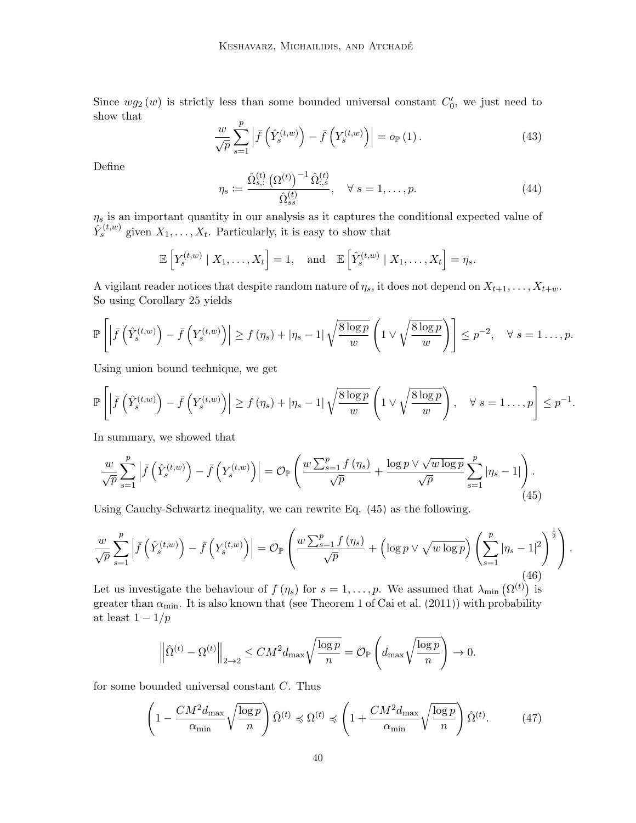<span id="page-39-2"></span>Since  $wg_2(w)$  is strictly less than some bounded universal constant  $C'_0$ , we just need to show that

$$
\frac{w}{\sqrt{p}} \sum_{s=1}^{p} \left| \bar{f}\left(\hat{Y}_s^{(t,w)}\right) - \bar{f}\left(Y_s^{(t,w)}\right) \right| = o_{\mathbb{P}}\left(1\right). \tag{43}
$$

<span id="page-39-3"></span>Define

$$
\eta_s := \frac{\hat{\Omega}_{s,:}^{(t)} (\Omega^{(t)})^{-1} \hat{\Omega}_{s,s}^{(t)}}{\hat{\Omega}_{s,s}^{(t)}}, \quad \forall s = 1, \dots, p. \tag{44}
$$

 $\eta_s$  is an important quantity in our analysis as it captures the conditional expected value of  $\hat{Y}_{s}^{(t,w)}$  given  $X_1, \ldots, X_t$ . Particularly, it is easy to show that

$$
\mathbb{E}\left[Y_s^{(t,w)} \mid X_1,\ldots,X_t\right] = 1, \text{ and } \mathbb{E}\left[\hat{Y}_s^{(t,w)} \mid X_1,\ldots,X_t\right] = \eta_s.
$$

A vigilant reader notices that despite random nature of  $\eta_s$ , it does not depend on  $X_{t+1}, \ldots, X_{t+w}$ . So using Corollary [25](#page-51-0) yields

$$
\mathbb{P}\left[\left|\bar{f}\left(\hat{Y}_{s}^{(t,w)}\right)-\bar{f}\left(Y_{s}^{(t,w)}\right)\right|\geq f\left(\eta_{s}\right)+|\eta_{s}-1|\sqrt{\frac{8\log p}{w}}\left(1\vee\sqrt{\frac{8\log p}{w}}\right)\right]\leq p^{-2},\quad\forall\ s=1\ldots,p.
$$

Using union bound technique, we get

$$
\mathbb{P}\left[\left|\bar{f}\left(\hat{Y}_{s}^{(t,w)}\right)-\bar{f}\left(Y_{s}^{(t,w)}\right)\right|\geq f\left(\eta_{s}\right)+|\eta_{s}-1|\sqrt{\frac{8\log p}{w}}\left(1\vee\sqrt{\frac{8\log p}{w}}\right), \quad \forall s=1\ldots,p\right]\leq p^{-1}.
$$

In summary, we showed that

<span id="page-39-0"></span>
$$
\frac{w}{\sqrt{p}} \sum_{s=1}^{p} \left| \bar{f}\left(\hat{Y}_{s}^{(t,w)}\right) - \bar{f}\left(Y_{s}^{(t,w)}\right) \right| = \mathcal{O}_{\mathbb{P}}\left(\frac{w\sum_{s=1}^{p} f\left(\eta_{s}\right)}{\sqrt{p}} + \frac{\log p \vee \sqrt{w\log p}}{\sqrt{p}} \sum_{s=1}^{p} |\eta_{s} - 1| \right). \tag{45}
$$

Using Cauchy-Schwartz inequality, we can rewrite Eq. [\(45\)](#page-39-0) as the following.

$$
\frac{w}{\sqrt{p}} \sum_{s=1}^{p} \left| \bar{f}\left(\hat{Y}_{s}^{(t,w)}\right) - \bar{f}\left(Y_{s}^{(t,w)}\right) \right| = \mathcal{O}_{\mathbb{P}}\left(\frac{w\sum_{s=1}^{p} f\left(\eta_{s}\right)}{\sqrt{p}} + \left(\log p \vee \sqrt{w\log p}\right) \left(\sum_{s=1}^{p} |\eta_{s} - 1|^{2}\right)^{\frac{1}{2}}\right). \tag{46}
$$

Let us investigate the behaviour of  $f(\eta_s)$  for  $s = 1, \ldots, p$ . We assumed that  $\lambda_{\min}(\Omega^{(t)})$  is greater than  $\alpha_{\min}$ . It is also known that (see Theorem 1 of [Cai et al. \(2011\)](#page-55-11)) with probability at least  $1 - 1/p$ 

<span id="page-39-1"></span>
$$
\left\|\hat{\Omega}^{(t)} - \Omega^{(t)}\right\|_{2 \to 2} \le CM^2 d_{\text{max}} \sqrt{\frac{\log p}{n}} = \mathcal{O}_{\mathbb{P}}\left(d_{\text{max}} \sqrt{\frac{\log p}{n}}\right) \to 0.
$$

for some bounded universal constant C. Thus

$$
\left(1 - \frac{CM^2 d_{\text{max}}}{\alpha_{\text{min}}}\sqrt{\frac{\log p}{n}}\right) \hat{\Omega}^{(t)} \preccurlyeq \Omega^{(t)} \preccurlyeq \left(1 + \frac{CM^2 d_{\text{max}}}{\alpha_{\text{min}}}\sqrt{\frac{\log p}{n}}\right) \hat{\Omega}^{(t)}.\tag{47}
$$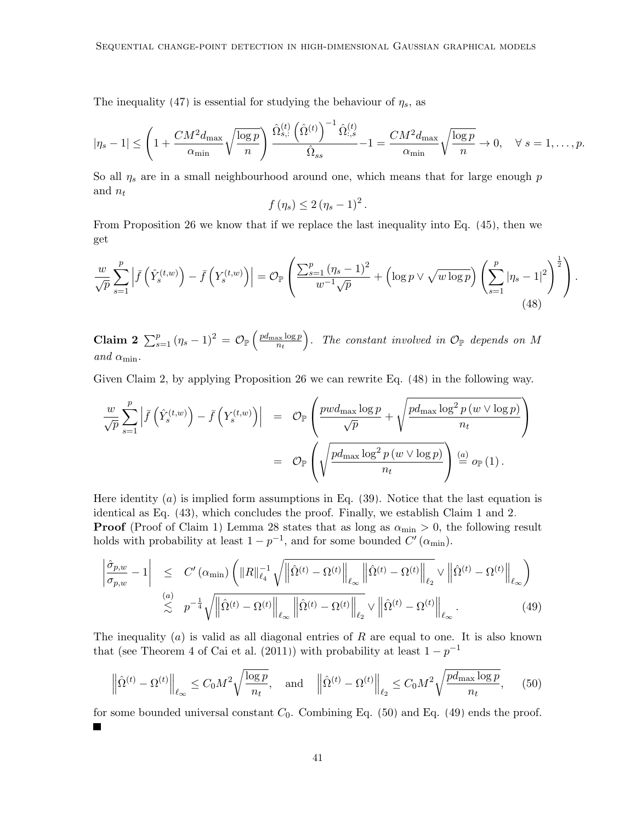The inequality [\(47\)](#page-39-1) is essential for studying the behaviour of  $\eta_s$ , as

$$
|\eta_s - 1| \le \left(1 + \frac{CM^2 d_{\max}}{\alpha_{\min}} \sqrt{\frac{\log p}{n}}\right) \frac{\hat{\Omega}_{s,:}^{(t)} \left(\hat{\Omega}^{(t)}\right)^{-1} \hat{\Omega}_{s,s}^{(t)}}{\hat{\Omega}_{ss}} - 1 = \frac{CM^2 d_{\max}}{\alpha_{\min}} \sqrt{\frac{\log p}{n}} \to 0, \quad \forall \ s = 1, \dots, p.
$$

So all  $\eta_s$  are in a small neighbourhood around one, which means that for large enough p and  $n_t$ 

$$
f(\eta_s) \leq 2(\eta_s - 1)^2.
$$

<span id="page-40-0"></span>From Proposition [26](#page-51-1) we know that if we replace the last inequality into Eq. [\(45\)](#page-39-0), then we get

$$
\frac{w}{\sqrt{p}}\sum_{s=1}^p \left| \bar{f}\left(\hat{Y}_s^{(t,w)}\right) - \bar{f}\left(Y_s^{(t,w)}\right) \right| = \mathcal{O}_{\mathbb{P}}\left(\frac{\sum_{s=1}^p (\eta_s - 1)^2}{w^{-1}\sqrt{p}} + \left(\log p \vee \sqrt{w\log p}\right)\left(\sum_{s=1}^p |\eta_s - 1|^2\right)^{\frac{1}{2}}\right). \tag{48}
$$

<span id="page-40-1"></span> $\textbf{Claim 2} \text{ }\sum_{s=1}^{p} \left(\eta_s-1\right)^2 \text{ }= \text{ } \mathcal{O}_{\mathbb{P}}\left(\frac{pd_{\max}\log p}{n_t}\right)$  $\left(\frac{\partial x \log p}{\partial t}\right)$ . The constant involved in  $\mathcal{O}_{\mathbb{P}}$  depends on M and  $\alpha_{\min}$ .

Given Claim 2, by applying Proposition [26](#page-51-1) we can rewrite Eq. [\(48\)](#page-40-0) in the following way.

$$
\frac{w}{\sqrt{p}} \sum_{s=1}^{p} \left| \bar{f}\left(\hat{Y}_{s}^{(t,w)}\right) - \bar{f}\left(Y_{s}^{(t,w)}\right) \right| = \mathcal{O}_{\mathbb{P}}\left(\frac{pwd_{\max}\log p}{\sqrt{p}} + \sqrt{\frac{pd_{\max}\log^{2}p(w\vee\log p)}{n_{t}}}\right)
$$

$$
= \mathcal{O}_{\mathbb{P}}\left(\sqrt{\frac{pd_{\max}\log^{2}p(w\vee\log p)}{n_{t}}}\right) \stackrel{(a)}{=} o_{\mathbb{P}}(1).
$$

Here identity  $(a)$  is implied form assumptions in Eq. [\(39\)](#page-37-1). Notice that the last equation is identical as Eq. [\(43\)](#page-39-2), which concludes the proof. Finally, we establish Claim [1](#page-38-0) and [2.](#page-40-1) **Proof** (Proof of Claim [1\)](#page-38-0) Lemma [28](#page-53-0) states that as long as  $\alpha_{\min} > 0$ , the following result holds with probability at least  $1 - p^{-1}$ , and for some bounded  $C'(\alpha_{\min})$ .

<span id="page-40-3"></span>
$$
\left| \frac{\hat{\sigma}_{p,w}}{\sigma_{p,w}} - 1 \right| \leq C' \left( \alpha_{\min} \right) \left( \|R\|_{\ell_4}^{-1} \sqrt{\left\| \hat{\Omega}^{(t)} - \Omega^{(t)} \right\|_{\ell_\infty}} \left\| \hat{\Omega}^{(t)} - \Omega^{(t)} \right\|_{\ell_2} \vee \left\| \hat{\Omega}^{(t)} - \Omega^{(t)} \right\|_{\ell_\infty} \right)
$$
\n
$$
\lesssim \rho^{-\frac{1}{4}} \sqrt{\left\| \hat{\Omega}^{(t)} - \Omega^{(t)} \right\|_{\ell_\infty}} \left\| \hat{\Omega}^{(t)} - \Omega^{(t)} \right\|_{\ell_2} \vee \left\| \hat{\Omega}^{(t)} - \Omega^{(t)} \right\|_{\ell_\infty} . \tag{49}
$$

The inequality  $(a)$  is valid as all diagonal entries of R are equal to one. It is also known that (see Theorem 4 of [Cai et al. \(2011\)](#page-55-11)) with probability at least  $1 - p^{-1}$ 

<span id="page-40-2"></span>
$$
\left\| \hat{\Omega}^{(t)} - \Omega^{(t)} \right\|_{\ell_{\infty}} \le C_0 M^2 \sqrt{\frac{\log p}{n_t}}, \quad \text{and} \quad \left\| \hat{\Omega}^{(t)} - \Omega^{(t)} \right\|_{\ell_2} \le C_0 M^2 \sqrt{\frac{p d_{\text{max}} \log p}{n_t}}, \tag{50}
$$

for some bounded universal constant  $C_0$ . Combining Eq. [\(50\)](#page-40-2) and Eq. [\(49\)](#page-40-3) ends the proof.  $\overline{\phantom{0}}$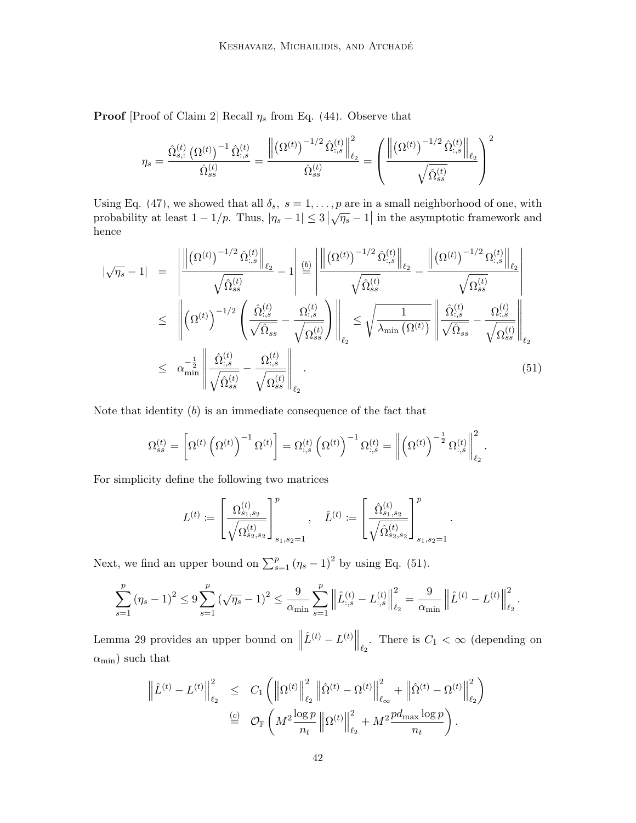**Proof** [Proof of Claim [2\]](#page-40-1) Recall  $\eta_s$  from Eq. [\(44\)](#page-39-3). Observe that

$$
\eta_s = \frac{\hat{\Omega}_{s,:}^{(t)}\left(\Omega^{(t)}\right)^{-1}\hat{\Omega}_{:,s}^{(t)}}{\hat{\Omega}_{ss}^{(t)}} = \frac{\left\|\left(\Omega^{(t)}\right)^{-1/2}\hat{\Omega}_{:,s}^{(t)}\right\|_{\ell_2}^{2}}{\hat{\Omega}_{s}^{(t)}} = \left(\frac{\left\|\left(\Omega^{(t)}\right)^{-1/2}\hat{\Omega}_{:,s}^{(t)}\right\|_{\ell_2}}{\sqrt{\hat{\Omega}_{ss}^{(t)}}}\right)^2
$$

Using Eq. [\(47\)](#page-39-1), we showed that all  $\delta_s$ ,  $s = 1, \ldots, p$  are in a small neighborhood of one, with probability at least  $1 - 1/p$ . Thus,  $|\eta_s - 1| \leq 3 |\sqrt{\eta_s} - 1|$  in the asymptotic framework and hence

<span id="page-41-0"></span>
$$
|\sqrt{\eta_s} - 1| = \left\| \frac{\left\| (\Omega^{(t)})^{-1/2} \hat{\Omega}_{:,s}^{(t)} \right\|_{\ell_2}}{\sqrt{\hat{\Omega}_{ss}^{(t)}}} - 1 \right\|_{\ell_2}^{\ell_2} \frac{\left\| (\Omega^{(t)})^{-1/2} \hat{\Omega}_{:,s}^{(t)} \right\|_{\ell_2}}{\sqrt{\hat{\Omega}_{ss}^{(t)}}} - \frac{\left\| (\Omega^{(t)})^{-1/2} \Omega_{:,s}^{(t)} \right\|_{\ell_2}}{\sqrt{\hat{\Omega}_{ss}^{(t)}}} \right\|_{\ell_2}
$$
\n
$$
\leq \left\| (\Omega^{(t)})^{-1/2} \left( \frac{\hat{\Omega}_{:,s}^{(t)}}{\sqrt{\hat{\Omega}_{ss}}} - \frac{\Omega_{:,s}^{(t)}}{\sqrt{\Omega_{ss}^{(t)}}} \right) \right\|_{\ell_2} \leq \sqrt{\frac{1}{\lambda_{\min} (\Omega^{(t)})}} \left\| \frac{\hat{\Omega}_{:,s}^{(t)}}{\sqrt{\hat{\Omega}_{ss}}} - \frac{\Omega_{:,s}^{(t)}}{\sqrt{\Omega_{ss}^{(t)}}} \right\|_{\ell_2}
$$
\n
$$
\leq \alpha_{\min}^{-\frac{1}{2}} \left\| \frac{\hat{\Omega}_{:,s}^{(t)}}{\sqrt{\hat{\Omega}_{ss}^{(t)}}} - \frac{\Omega_{:,s}^{(t)}}{\sqrt{\Omega_{ss}^{(t)}}} \right\|_{\ell_2}.
$$
\n(51)

Note that identity  $(b)$  is an immediate consequence of the fact that

$$
\Omega_{ss}^{\left(t\right)}=\left[\Omega^{\left(t\right)}\left(\Omega^{\left(t\right)}\right)^{-1}\Omega^{\left(t\right)}\right]=\Omega_{:,s}^{\left(t\right)}\left(\Omega^{\left(t\right)}\right)^{-1}\Omega_{:,s}^{\left(t\right)}=\left\|\left(\Omega^{\left(t\right)}\right)^{-\frac{1}{2}}\Omega_{:,s}^{\left(t\right)}\right\|_{\ell_{2}}^{2}.
$$

For simplicity define the following two matrices

$$
L^{(t)} := \left[\frac{\Omega^{(t)}_{s_1,s_2}}{\sqrt{\Omega^{(t)}_{s_2,s_2}}}\right]_{s_1,s_2=1}^p, \quad \hat{L}^{(t)} := \left[\frac{\hat{\Omega}^{(t)}_{s_1,s_2}}{\sqrt{\hat{\Omega}^{(t)}_{s_2,s_2}}}\right]_{s_1,s_2=1}^p
$$

.

Next, we find an upper bound on  $\sum_{s=1}^{p} (\eta_s - 1)^2$  by using Eq. [\(51\)](#page-41-0).

$$
\sum_{s=1}^p (\eta_s - 1)^2 \le 9 \sum_{s=1}^p (\sqrt{\eta_s} - 1)^2 \le \frac{9}{\alpha_{\min}} \sum_{s=1}^p \left\| \hat{L}_{:,s}^{(t)} - L_{:,s}^{(t)} \right\|_{\ell_2}^2 = \frac{9}{\alpha_{\min}} \left\| \hat{L}^{(t)} - L^{(t)} \right\|_{\ell_2}^2.
$$

Lemma [29](#page-53-1) provides an upper bound on  $\parallel$  $\hat{L}^{(t)} - L^{(t)} \Big\|_{\ell_2}$ . There is  $C_1 < \infty$  (depending on  $\alpha_{\rm min})$  such that

$$
\left\|\hat{L}^{(t)} - L^{(t)}\right\|_{\ell_2}^2 \leq C_1 \left(\left\|\Omega^{(t)}\right\|_{\ell_2}^2 \left\|\hat{\Omega}^{(t)} - \Omega^{(t)}\right\|_{\ell_\infty}^2 + \left\|\hat{\Omega}^{(t)} - \Omega^{(t)}\right\|_{\ell_2}^2\right)
$$
  
\n
$$
\stackrel{(c)}{=} \mathcal{O}_{\mathbb{P}}\left(M^2 \frac{\log p}{n_t} \left\|\Omega^{(t)}\right\|_{\ell_2}^2 + M^2 \frac{pd_{\max}\log p}{n_t}\right).
$$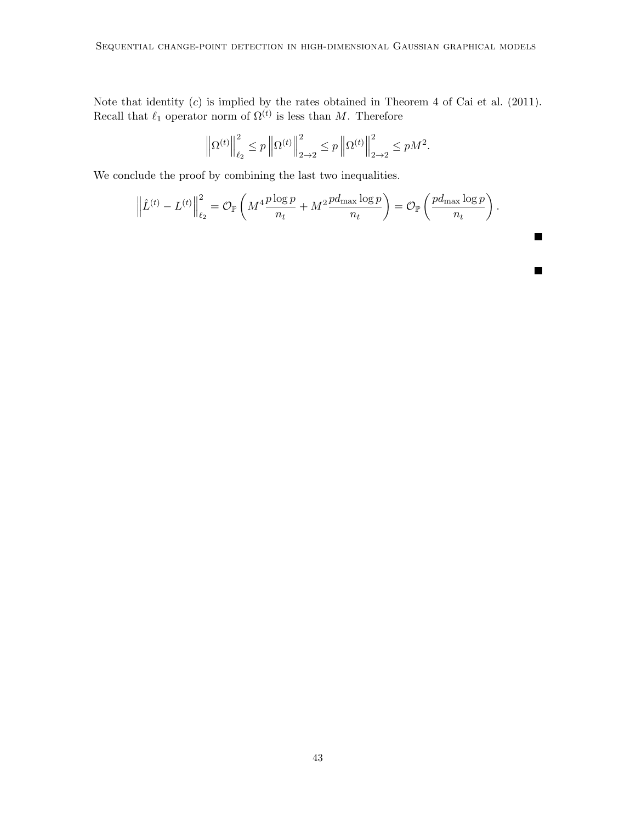Note that identity  $(c)$  is implied by the rates obtained in Theorem 4 of Cai et al.  $(2011)$ . Recall that  $\ell_1$  operator norm of  $\Omega^{(t)}$  is less than M. Therefore

$$
\left\| \Omega^{(t)} \right\|_{\ell_2}^2 \le p \left\| \Omega^{(t)} \right\|_{2 \to 2}^2 \le p \left\| \Omega^{(t)} \right\|_{2 \to 2}^2 \le p M^2.
$$

We conclude the proof by combining the last two inequalities.

$$
\left\|\hat{L}^{(t)} - L^{(t)}\right\|_{\ell_2}^2 = \mathcal{O}_{\mathbb{P}}\left(M^4 \frac{p \log p}{n_t} + M^2 \frac{p d_{\max} \log p}{n_t}\right) = \mathcal{O}_{\mathbb{P}}\left(\frac{p d_{\max} \log p}{n_t}\right).
$$

 $\blacksquare$ 

 $\blacksquare$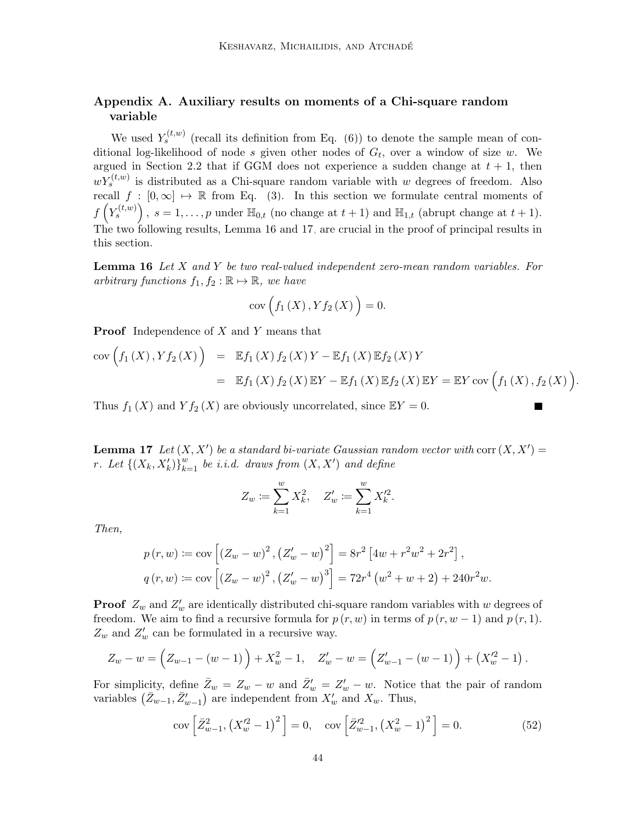## <span id="page-43-0"></span>Appendix A. Auxiliary results on moments of a Chi-square random variable

We used  $Y_s^{(t,w)}$  (recall its definition from Eq. [\(6\)](#page-7-2)) to denote the sample mean of conditional log-likelihood of node s given other nodes of  $G_t$ , over a window of size w. We argued in Section [2.2](#page-6-0) that if GGM does not experience a sudden change at  $t + 1$ , then  $wY_s^{(t,w)}$  is distributed as a Chi-square random variable with w degrees of freedom. Also recall  $f : [0, \infty] \mapsto \mathbb{R}$  from Eq. [\(3\)](#page-6-3). In this section we formulate central moments of  $f\left(Y_s^{(t,w)}\right)$ ,  $s=1,\ldots,p$  under  $\mathbb{H}_{0,t}$  (no change at  $t+1$ ) and  $\mathbb{H}_{1,t}$  (abrupt change at  $t+1$ ). The two following results, Lemma [16](#page-43-2) and [17,](#page-43-1) are crucial in the proof of principal results in this section.

<span id="page-43-2"></span>**Lemma 16** Let  $X$  and  $Y$  be two real-valued independent zero-mean random variables. For arbitrary functions  $f_1, f_2 : \mathbb{R} \mapsto \mathbb{R}$ , we have

$$
cov(f_1(X), Yf_2(X)) = 0.
$$

Proof Independence of X and Y means that

$$
cov(f_1(X), Yf_2(X)) = \mathbb{E}f_1(X) f_2(X) Y - \mathbb{E}f_1(X) \mathbb{E}f_2(X) Y = \mathbb{E}f_1(X) f_2(X) \mathbb{E}Y - \mathbb{E}f_1(X) \mathbb{E}f_2(X) \mathbb{E}Y = \mathbb{E}Y cov(f_1(X), f_2(X)).
$$

П

Thus  $f_1(X)$  and  $Y f_2(X)$  are obviously uncorrelated, since  $\mathbb{E} Y = 0$ .

<span id="page-43-1"></span>**Lemma 17** Let  $(X, X')$  be a standard bi-variate Gaussian random vector with corr  $(X, X') =$ r. Let  $\left\{ \left( X_{k},X_{k}^{\prime}\right) \right\} _{k=1}^{w}$  be i.i.d. draws from  $\left( X,X^{\prime}\right)$  and define

$$
Z_w := \sum_{k=1}^w X_k^2, \quad Z'_w := \sum_{k=1}^w X_k'^2.
$$

Then,

$$
p(r, w) := \text{cov}\left[\left(Z_w - w\right)^2, \left(Z'_w - w\right)^2\right] = 8r^2 \left[4w + r^2 w^2 + 2r^2\right],
$$
  

$$
q(r, w) := \text{cov}\left[\left(Z_w - w\right)^2, \left(Z'_w - w\right)^3\right] = 72r^4 \left(w^2 + w + 2\right) + 240r^2 w.
$$

**Proof**  $Z_w$  and  $Z'_w$  are identically distributed chi-square random variables with w degrees of freedom. We aim to find a recursive formula for  $p(r, w)$  in terms of  $p(r, w - 1)$  and  $p(r, 1)$ .  $Z_w$  and  $Z'_w$  can be formulated in a recursive way.

$$
Z_w - w = \left( Z_{w-1} - (w-1) \right) + X_w^2 - 1, \quad Z_w' - w = \left( Z_{w-1}' - (w-1) \right) + \left( X_w'^2 - 1 \right).
$$

For simplicity, define  $\bar{Z}_w = Z_w - w$  and  $\bar{Z}'_w = Z'_w - w$ . Notice that the pair of random variables  $(\bar{Z}_{w-1}, \bar{Z}_{w-1}')$  are independent from  $X'_{w}$  and  $X_{w}$ . Thus,

<span id="page-43-3"></span>
$$
cov\left[\bar{Z}_{w-1}^{2},\left(X_{w}^{'2}-1\right)^{2}\right]=0, \quad cov\left[\bar{Z}_{w-1}^{'2},\left(X_{w}^{2}-1\right)^{2}\right]=0.
$$
\n(52)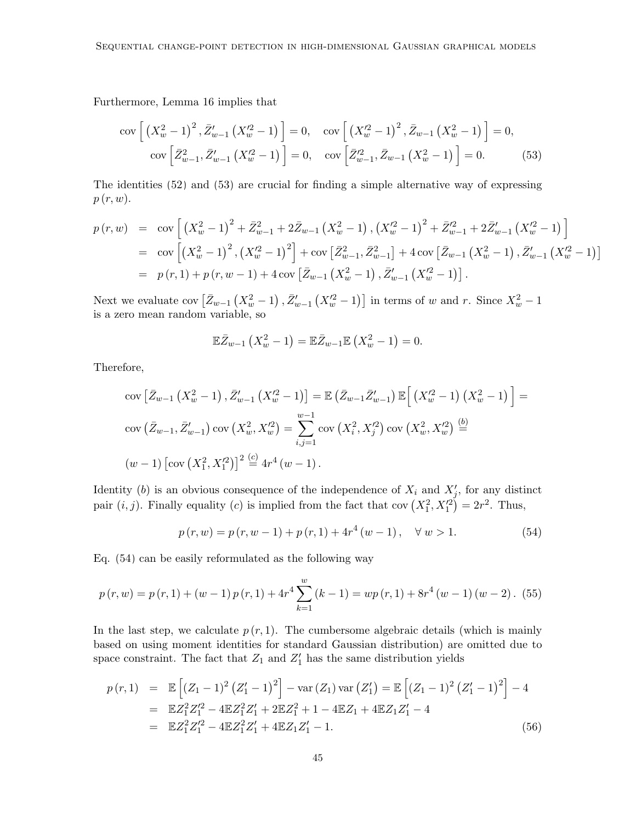Furthermore, Lemma [16](#page-43-2) implies that

<span id="page-44-0"></span>
$$
\text{cov}\left[\left(X_w^2 - 1\right)^2, \bar{Z}_{w-1}'\left(X_w'^2 - 1\right)\right] = 0, \quad \text{cov}\left[\left(X_w'^2 - 1\right)^2, \bar{Z}_{w-1}\left(X_w^2 - 1\right)\right] = 0, \\\text{cov}\left[\bar{Z}_{w-1}^2, \bar{Z}_{w-1}'\left(X_w'^2 - 1\right)\right] = 0, \quad \text{cov}\left[\bar{Z}_{w-1}^{\prime 2}, \bar{Z}_{w-1}\left(X_w^2 - 1\right)\right] = 0. \tag{53}
$$

The identities [\(52\)](#page-43-3) and [\(53\)](#page-44-0) are crucial for finding a simple alternative way of expressing  $p(r, w)$ .

$$
p(r, w) = \text{cov}\left[\left(X_w^2 - 1\right)^2 + \bar{Z}_{w-1}^2 + 2\bar{Z}_{w-1}\left(X_w^2 - 1\right), \left(X_w'^2 - 1\right)^2 + \bar{Z}_{w-1}'^2 + 2\bar{Z}_{w-1}'\left(X_w'^2 - 1\right)\right]
$$
  
\n
$$
= \text{cov}\left[\left(X_w^2 - 1\right)^2, \left(X_w'^2 - 1\right)^2\right] + \text{cov}\left[\bar{Z}_{w-1}^2, \bar{Z}_{w-1}^2\right] + 4\text{cov}\left[\bar{Z}_{w-1}\left(X_w^2 - 1\right), \bar{Z}_{w-1}'\left(X_w'^2 - 1\right)\right]
$$
  
\n
$$
= p(r, 1) + p(r, w - 1) + 4\text{cov}\left[\bar{Z}_{w-1}\left(X_w^2 - 1\right), \bar{Z}_{w-1}'\left(X_w'^2 - 1\right)\right].
$$

Next we evaluate cov  $\left[\bar{Z}_{w-1}\left(X_w^2-1\right), \bar{Z}_{w-1}'\left(X_w'^2-1\right)\right]$  in terms of w and r. Since  $X_w^2-1$ is a zero mean random variable, so

$$
\mathbb{E}\bar{Z}_{w-1}\left(X_w^2-1\right)=\mathbb{E}\bar{Z}_{w-1}\mathbb{E}\left(X_w^2-1\right)=0.
$$

Therefore,

$$
cov\left[\bar{Z}_{w-1}\left(X_w^2 - 1\right), \bar{Z}_{w-1}'\left(X_w'^2 - 1\right)\right] = \mathbb{E}\left(\bar{Z}_{w-1}\bar{Z}_{w-1}'\right)\mathbb{E}\left[\left(X_w'^2 - 1\right)\left(X_w^2 - 1\right)\right] = \text{cov}\left(\bar{Z}_{w-1}, \bar{Z}_{w-1}'\right) \text{cov}\left(X_w^2, X_w'^2\right) = \sum_{i,j=1}^{w-1} cov\left(X_i^2, X_j'^2\right) \text{cov}\left(X_w^2, X_w'^2\right) \stackrel{(b)}{=} \left(w-1\right)\left[\text{cov}\left(X_1^2, X_1'^2\right)\right]^2 \stackrel{(c)}{=} 4r^4\left(w-1\right).
$$

Identity (b) is an obvious consequence of the independence of  $X_i$  and  $X'_j$ , for any distinct pair  $(i, j)$ . Finally equality (c) is implied from the fact that cov  $(X_1^2, X_1'^2) = 2r^2$ . Thus,

<span id="page-44-3"></span><span id="page-44-1"></span>
$$
p(r, w) = p(r, w - 1) + p(r, 1) + 4r4(w - 1), \quad \forall w > 1.
$$
 (54)

Eq. [\(54\)](#page-44-1) can be easily reformulated as the following way

$$
p(r, w) = p(r, 1) + (w - 1) p(r, 1) + 4r4 \sum_{k=1}^{w} (k - 1) = wp(r, 1) + 8r4 (w - 1) (w - 2). (55)
$$

In the last step, we calculate  $p(r, 1)$ . The cumbersome algebraic details (which is mainly based on using moment identities for standard Gaussian distribution) are omitted due to space constraint. The fact that  $Z_1$  and  $Z'_1$  has the same distribution yields

<span id="page-44-2"></span>
$$
p(r,1) = \mathbb{E}\left[ (Z_1 - 1)^2 (Z_1' - 1)^2 \right] - \text{var}(Z_1) \text{var}(Z_1') = \mathbb{E}\left[ (Z_1 - 1)^2 (Z_1' - 1)^2 \right] - 4
$$
  
\n
$$
= \mathbb{E}Z_1^2 Z_1'^2 - 4\mathbb{E}Z_1^2 Z_1' + 2\mathbb{E}Z_1^2 + 1 - 4\mathbb{E}Z_1 + 4\mathbb{E}Z_1 Z_1' - 4
$$
  
\n
$$
= \mathbb{E}Z_1^2 Z_1'^2 - 4\mathbb{E}Z_1^2 Z_1' + 4\mathbb{E}Z_1 Z_1' - 1.
$$
 (56)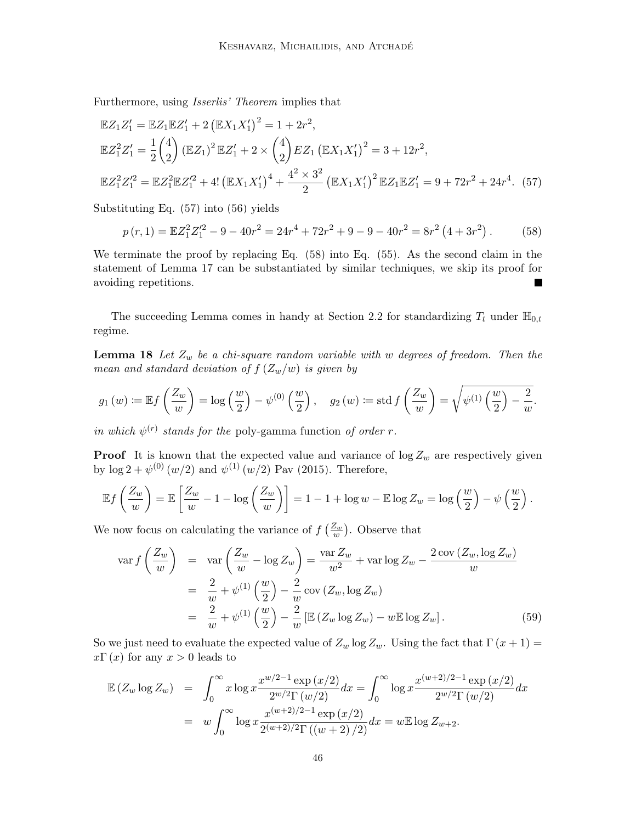Furthermore, using Isserlis' Theorem implies that

$$
\mathbb{E}Z_1 Z_1' = \mathbb{E}Z_1 \mathbb{E}Z_1' + 2 (\mathbb{E}X_1 X_1')^2 = 1 + 2r^2,
$$
  
\n
$$
\mathbb{E}Z_1^2 Z_1' = \frac{1}{2} {4 \choose 2} (\mathbb{E}Z_1)^2 \mathbb{E}Z_1' + 2 \times {4 \choose 2} EZ_1 (\mathbb{E}X_1 X_1')^2 = 3 + 12r^2,
$$
  
\n
$$
\mathbb{E}Z_1^2 Z_1'^2 = \mathbb{E}Z_1^2 \mathbb{E}Z_1'^2 + 4! (\mathbb{E}X_1 X_1')^4 + \frac{4^2 \times 3^2}{2} (\mathbb{E}X_1 X_1')^2 \mathbb{E}Z_1 \mathbb{E}Z_1' = 9 + 72r^2 + 24r^4.
$$
 (57)

Substituting Eq. [\(57\)](#page-45-1) into [\(56\)](#page-44-2) yields

<span id="page-45-2"></span><span id="page-45-1"></span>
$$
p(r,1) = \mathbb{E}Z_1^2 Z_1'^2 - 9 - 40r^2 = 24r^4 + 72r^2 + 9 - 9 - 40r^2 = 8r^2(4+3r^2).
$$
 (58)

We terminate the proof by replacing Eq. [\(58\)](#page-45-2) into Eq. [\(55\)](#page-44-3). As the second claim in the statement of Lemma [17](#page-43-1) can be substantiated by similar techniques, we skip its proof for avoiding repetitions.

The succeeding Lemma comes in handy at Section [2.2](#page-6-0) for standardizing  $T_t$  under  $\mathbb{H}_{0,t}$ regime.

<span id="page-45-0"></span>**Lemma 18** Let  $Z_w$  be a chi-square random variable with w degrees of freedom. Then the mean and standard deviation of  $f\left(\frac{Z_w}{w}\right)$  is given by

$$
g_1(w) := \mathbb{E} f\left(\frac{Z_w}{w}\right) = \log\left(\frac{w}{2}\right) - \psi^{(0)}\left(\frac{w}{2}\right), \quad g_2(w) := \text{std } f\left(\frac{Z_w}{w}\right) = \sqrt{\psi^{(1)}\left(\frac{w}{2}\right) - \frac{2}{w}}.
$$

in which  $\psi^{(r)}$  stands for the poly-gamma function of order r.

**Proof** It is known that the expected value and variance of  $\log Z_w$  are respectively given by  $\log 2 + \psi^{(0)}(w/2)$  and  $\psi^{(1)}(w/2)$  [Pav \(2015\)](#page-56-14). Therefore,

$$
\mathbb{E}f\left(\frac{Z_w}{w}\right) = \mathbb{E}\left[\frac{Z_w}{w} - 1 - \log\left(\frac{Z_w}{w}\right)\right] = 1 - 1 + \log w - \mathbb{E}\log Z_w = \log\left(\frac{w}{2}\right) - \psi\left(\frac{w}{2}\right).
$$

We now focus on calculating the variance of  $f\left(\frac{Z_w}{w}\right)$ . Observe that

<span id="page-45-3"></span>
$$
\operatorname{var} f\left(\frac{Z_w}{w}\right) = \operatorname{var}\left(\frac{Z_w}{w} - \log Z_w\right) = \frac{\operatorname{var} Z_w}{w^2} + \operatorname{var} \log Z_w - \frac{2 \operatorname{cov}\left(Z_w, \log Z_w\right)}{w}
$$

$$
= \frac{2}{w} + \psi^{(1)}\left(\frac{w}{2}\right) - \frac{2}{w} \operatorname{cov}\left(Z_w, \log Z_w\right)
$$

$$
= \frac{2}{w} + \psi^{(1)}\left(\frac{w}{2}\right) - \frac{2}{w} \left[\mathbb{E}\left(Z_w \log Z_w\right) - w \mathbb{E} \log Z_w\right]. \tag{59}
$$

So we just need to evaluate the expected value of  $Z_w \log Z_w$ . Using the fact that  $\Gamma(x+1) =$  $x\Gamma(x)$  for any  $x > 0$  leads to

$$
\mathbb{E}\left(Z_w \log Z_w\right) = \int_0^\infty x \log x \frac{x^{w/2 - 1} \exp\left(x/2\right)}{2^{w/2} \Gamma\left(w/2\right)} dx = \int_0^\infty \log x \frac{x^{(w+2)/2 - 1} \exp\left(x/2\right)}{2^{w/2} \Gamma\left(w/2\right)} dx
$$

$$
= w \int_0^\infty \log x \frac{x^{(w+2)/2 - 1} \exp\left(x/2\right)}{2^{(w+2)/2} \Gamma\left((w+2)/2\right)} dx = w \mathbb{E} \log Z_{w+2}.
$$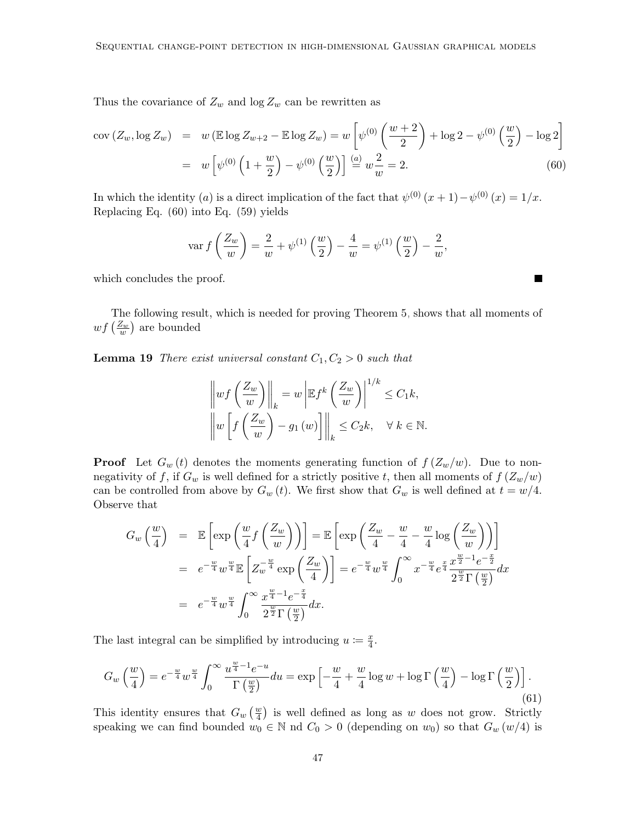Thus the covariance of  $Z_w$  and  $\log Z_w$  can be rewritten as

<span id="page-46-1"></span>
$$
cov(Z_w, \log Z_w) = w (\mathbb{E} \log Z_{w+2} - \mathbb{E} \log Z_w) = w \left[ \psi^{(0)} \left( \frac{w+2}{2} \right) + \log 2 - \psi^{(0)} \left( \frac{w}{2} \right) - \log 2 \right]
$$
  
= 
$$
w \left[ \psi^{(0)} \left( 1 + \frac{w}{2} \right) - \psi^{(0)} \left( \frac{w}{2} \right) \right] \stackrel{(a)}{=} w \frac{2}{w} = 2.
$$
 (60)

In which the identity (a) is a direct implication of the fact that  $\psi^{(0)}(x+1) - \psi^{(0)}(x) = 1/x$ . Replacing Eq. [\(60\)](#page-46-1) into Eq. [\(59\)](#page-45-3) yields

$$
\text{var } f\left(\frac{Z_w}{w}\right) = \frac{2}{w} + \psi^{(1)}\left(\frac{w}{2}\right) - \frac{4}{w} = \psi^{(1)}\left(\frac{w}{2}\right) - \frac{2}{w},
$$

П

which concludes the proof.

The following result, which is needed for proving Theorem [5,](#page-13-2) shows that all moments of  $\mathit{wf}\left(\frac{Z_w}{w}\right)$  are bounded

<span id="page-46-0"></span>**Lemma 19** There exist universal constant  $C_1, C_2 > 0$  such that

$$
\left\| wf\left(\frac{Z_w}{w}\right)\right\|_k = w \left| \mathbb{E} f^k \left(\frac{Z_w}{w}\right) \right|^{1/k} \le C_1 k,
$$
  

$$
\left\| w \left[ f\left(\frac{Z_w}{w}\right) - g_1\left(w\right) \right] \right\|_k \le C_2 k, \quad \forall \ k \in \mathbb{N}.
$$

**Proof** Let  $G_w(t)$  denotes the moments generating function of  $f(Z_w/w)$ . Due to nonnegativity of f, if  $G_w$  is well defined for a strictly positive t, then all moments of  $f(Z_w/w)$ can be controlled from above by  $G_w(t)$ . We first show that  $G_w$  is well defined at  $t = w/4$ . Observe that

<span id="page-46-2"></span>
$$
G_w\left(\frac{w}{4}\right) = \mathbb{E}\left[\exp\left(\frac{w}{4}f\left(\frac{Z_w}{w}\right)\right)\right] = \mathbb{E}\left[\exp\left(\frac{Z_w}{4} - \frac{w}{4} - \frac{w}{4}\log\left(\frac{Z_w}{w}\right)\right)\right]
$$
  
\n
$$
= e^{-\frac{w}{4}}w^{\frac{w}{4}}\mathbb{E}\left[Z_w^{-\frac{w}{4}}\exp\left(\frac{Z_w}{4}\right)\right] = e^{-\frac{w}{4}}w^{\frac{w}{4}}\int_0^\infty x^{-\frac{w}{4}}e^{\frac{x}{4}}\frac{x^{\frac{w}{2}-1}e^{-\frac{x}{2}}}{2^{\frac{w}{2}}\Gamma\left(\frac{w}{2}\right)}dx
$$
  
\n
$$
= e^{-\frac{w}{4}}w^{\frac{w}{4}}\int_0^\infty \frac{x^{\frac{w}{4}-1}e^{-\frac{x}{4}}}{2^{\frac{w}{2}}\Gamma\left(\frac{w}{2}\right)}dx.
$$

The last integral can be simplified by introducing  $u := \frac{x}{4}$  $\frac{x}{4}$ .

$$
G_w\left(\frac{w}{4}\right) = e^{-\frac{w}{4}}w^{\frac{w}{4}} \int_0^\infty \frac{u^{\frac{w}{4}-1}e^{-u}}{\Gamma\left(\frac{w}{2}\right)} du = \exp\left[-\frac{w}{4} + \frac{w}{4}\log w + \log\Gamma\left(\frac{w}{4}\right) - \log\Gamma\left(\frac{w}{2}\right)\right].\tag{61}
$$

This identity ensures that  $G_w(\frac{w}{4})$  is well defined as long as w does not grow. Strictly speaking we can find bounded  $w_0 \in \mathbb{N}$  nd  $C_0 > 0$  (depending on  $w_0$ ) so that  $G_w(w/4)$  is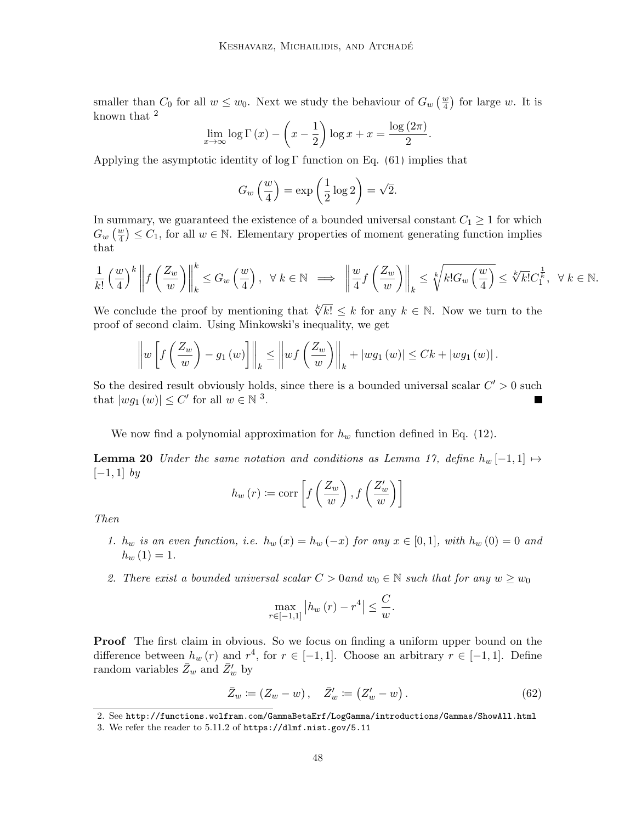smaller than  $C_0$  for all  $w \leq w_0$ . Next we study the behaviour of  $G_w(\frac{w}{4})$  for large w. It is known that [2](#page-47-0)

$$
\lim_{x \to \infty} \log \Gamma(x) - \left(x - \frac{1}{2}\right) \log x + x = \frac{\log(2\pi)}{2}
$$

Applying the asymptotic identity of log Γ function on Eq.  $(61)$  implies that

$$
G_w\left(\frac{w}{4}\right) = \exp\left(\frac{1}{2}\log 2\right) = \sqrt{2}.
$$

In summary, we guaranteed the existence of a bounded universal constant  $C_1 \geq 1$  for which  $G_w\left(\frac{w}{4}\right) \leq C_1$ , for all  $w \in \mathbb{N}$ . Elementary properties of moment generating function implies that

$$
\frac{1}{k!} \left(\frac{w}{4}\right)^k \left\| f\left(\frac{Z_w}{w}\right) \right\|_k^k \le G_w\left(\frac{w}{4}\right), \quad \forall \ k \in \mathbb{N} \implies \left\| \frac{w}{4} f\left(\frac{Z_w}{w}\right) \right\|_k \le \sqrt[k]{k! G_w\left(\frac{w}{4}\right)} \le \sqrt[k]{k! G_k^{\frac{1}{k}}}, \quad \forall \ k \in \mathbb{N}.
$$

.

We conclude the proof by mentioning that  $\sqrt[k]{k!} \leq k$  for any  $k \in \mathbb{N}$ . Now we turn to the proof of second claim. Using Minkowski's inequality, we get

$$
\left\|w\left[f\left(\frac{Z_w}{w}\right)-g_1\left(w\right)\right]\right\|_k \leq \left\|wf\left(\frac{Z_w}{w}\right)\right\|_k + |wg_1\left(w\right)| \leq Ck + |wg_1\left(w\right)|.
$$

So the desired result obviously holds, since there is a bounded universal scalar  $C' > 0$  such that  $|wg_1(w)| \leq C'$  for all  $w \in \mathbb{N}^3$  $w \in \mathbb{N}^3$ .

We now find a polynomial approximation for  $h_w$  function defined in Eq. [\(12\)](#page-9-3).

<span id="page-47-2"></span>**Lemma 20** Under the same notation and conditions as Lemma [17,](#page-43-1) define  $h_w[-1,1] \mapsto$  $[-1, 1]$  by

$$
h_w(r) := \text{corr}\left[f\left(\frac{Z_w}{w}\right), f\left(\frac{Z'_w}{w}\right)\right]
$$

Then

- 1.  $h_w$  is an even function, i.e.  $h_w(x) = h_w(-x)$  for any  $x \in [0,1]$ , with  $h_w(0) = 0$  and  $h_w(1) = 1.$
- 2. There exist a bounded universal scalar  $C > 0$  and  $w_0 \in \mathbb{N}$  such that for any  $w \geq w_0$

$$
\max_{r \in [-1,1]} |h_w(r) - r^4| \le \frac{C}{w}.
$$

**Proof** The first claim in obvious. So we focus on finding a uniform upper bound on the difference between  $h_w(r)$  and  $r^4$ , for  $r \in [-1,1]$ . Choose an arbitrary  $r \in [-1,1]$ . Define random variables  $\bar{Z}_w$  and  $\bar{Z}'_w$  by

$$
\bar{Z}_w := (Z_w - w), \quad \bar{Z}'_w := (Z'_w - w).
$$
\n(62)

<span id="page-47-0"></span><sup>2.</sup> See <http://functions.wolfram.com/GammaBetaErf/LogGamma/introductions/Gammas/ShowAll.html>

<span id="page-47-1"></span><sup>3.</sup> We refer the reader to 5.11.2 of <https://dlmf.nist.gov/5.11>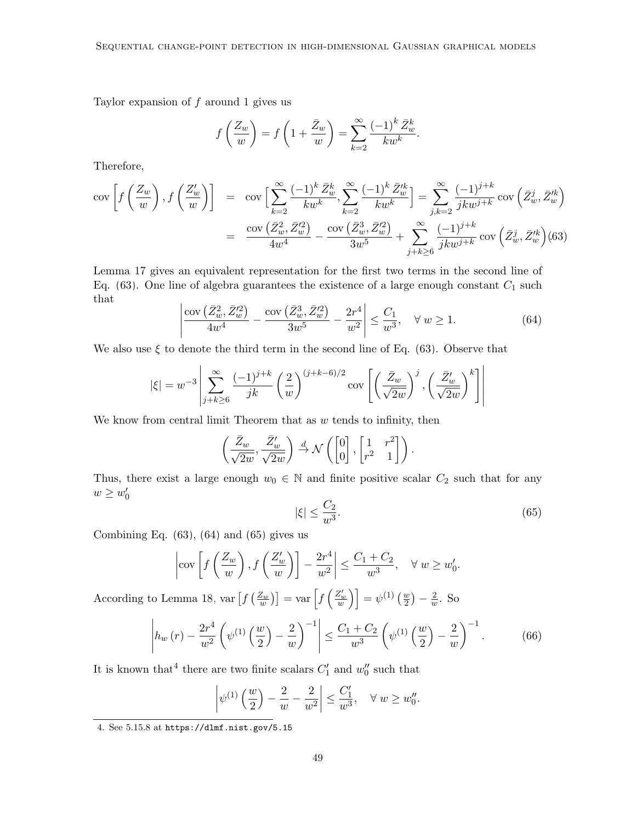Taylor expansion of  $f$  around 1 gives us

$$
f\left(\frac{Z_w}{w}\right) = f\left(1 + \frac{\bar{Z}_w}{w}\right) = \sum_{k=2}^{\infty} \frac{(-1)^k \bar{Z}_w^k}{k w^k}
$$

Therefore,

<span id="page-48-0"></span>
$$
\text{cov}\left[f\left(\frac{Z_w}{w}\right), f\left(\frac{Z'_w}{w}\right)\right] = \text{cov}\left[\sum_{k=2}^{\infty} \frac{(-1)^k \bar{Z}_w^k}{kw^k}, \sum_{k=2}^{\infty} \frac{(-1)^k \bar{Z}_w^{k}}{kw^k}\right] = \sum_{j,k=2}^{\infty} \frac{(-1)^{j+k}}{jkw^{j+k}} \text{cov}\left(\bar{Z}_w^j, \bar{Z}_w'^k\right)
$$

$$
= \frac{\text{cov}\left(\bar{Z}_w^2, \bar{Z}_w'^2\right)}{4w^4} - \frac{\text{cov}\left(\bar{Z}_w^3, \bar{Z}_w'^2\right)}{3w^5} + \sum_{j+k\geq 6}^{\infty} \frac{(-1)^{j+k}}{jkw^{j+k}} \text{cov}\left(\bar{Z}_w^j, \bar{Z}_w'^k\right) \text{(63)}
$$

<span id="page-48-1"></span>Lemma [17](#page-43-1) gives an equivalent representation for the first two terms in the second line of Eq.  $(63)$ . One line of algebra guarantees the existence of a large enough constant  $C_1$  such that

$$
\left| \frac{\text{cov}\left(\bar{Z}_{w}^{2}, \bar{Z}_{w}^{'2}\right)}{4w^{4}} - \frac{\text{cov}\left(\bar{Z}_{w}^{3}, \bar{Z}_{w}^{'2}\right)}{3w^{5}} - \frac{2r^{4}}{w^{2}} \right| \leq \frac{C_{1}}{w^{3}}, \quad \forall w \geq 1.
$$
\n(64)

We also use  $\xi$  to denote the third term in the second line of Eq. [\(63\)](#page-48-0). Observe that

$$
|\xi| = w^{-3} \left| \sum_{j+k \ge 6}^{\infty} \frac{(-1)^{j+k}}{jk} \left(\frac{2}{w}\right)^{(j+k-6)/2} \operatorname{cov}\left[\left(\frac{\bar{Z}_w}{\sqrt{2w}}\right)^j, \left(\frac{\bar{Z}_w'}{\sqrt{2w}}\right)^k\right]\right|
$$

We know from central limit Theorem that as  $w$  tends to infinity, then

$$
\left(\frac{\bar{Z}_w}{\sqrt{2w}}, \frac{\bar{Z}'_w}{\sqrt{2w}}\right) \stackrel{d}{\rightarrow} \mathcal{N}\left(\begin{bmatrix}0\\0\end{bmatrix}, \begin{bmatrix}1 & r^2\\r^2 & 1\end{bmatrix}\right).
$$

<span id="page-48-2"></span>Thus, there exist a large enough  $w_0 \in \mathbb{N}$  and finite positive scalar  $C_2$  such that for any  $w \geq w'_0$ 

<span id="page-48-4"></span>
$$
|\xi| \le \frac{C_2}{w^3}.\tag{65}
$$

.

Combining Eq.  $(63)$ ,  $(64)$  and  $(65)$  gives us

$$
\left|\text{cov}\left[f\left(\frac{Z_w}{w}\right), f\left(\frac{Z'_w}{w}\right)\right] - \frac{2r^4}{w^2}\right| \le \frac{C_1 + C_2}{w^3}, \quad \forall w \ge w'_0.
$$

According to Lemma [18,](#page-45-0) var  $\left[f\left(\frac{Z_w}{w}\right)\right] = \text{var}\left[f\left(\frac{Z'_w}{w}\right)\right] = \psi^{(1)}\left(\frac{w}{2}\right) - \frac{2}{w}$  $\frac{2}{w}$ . So

$$
\left| h_w(r) - \frac{2r^4}{w^2} \left( \psi^{(1)}\left(\frac{w}{2}\right) - \frac{2}{w} \right)^{-1} \right| \le \frac{C_1 + C_2}{w^3} \left( \psi^{(1)}\left(\frac{w}{2}\right) - \frac{2}{w} \right)^{-1} . \tag{66}
$$

It is known that<sup>[4](#page-48-3)</sup> there are two finite scalars  $C'_1$  and  $w''_0$  such that

$$
\left|\psi^{(1)}\left(\frac{w}{2}\right) - \frac{2}{w} - \frac{2}{w^2}\right| \le \frac{C_1'}{w^3}, \quad \forall w \ge w_0''.
$$

<span id="page-48-3"></span><sup>4.</sup> See 5.15.8 at <https://dlmf.nist.gov/5.15>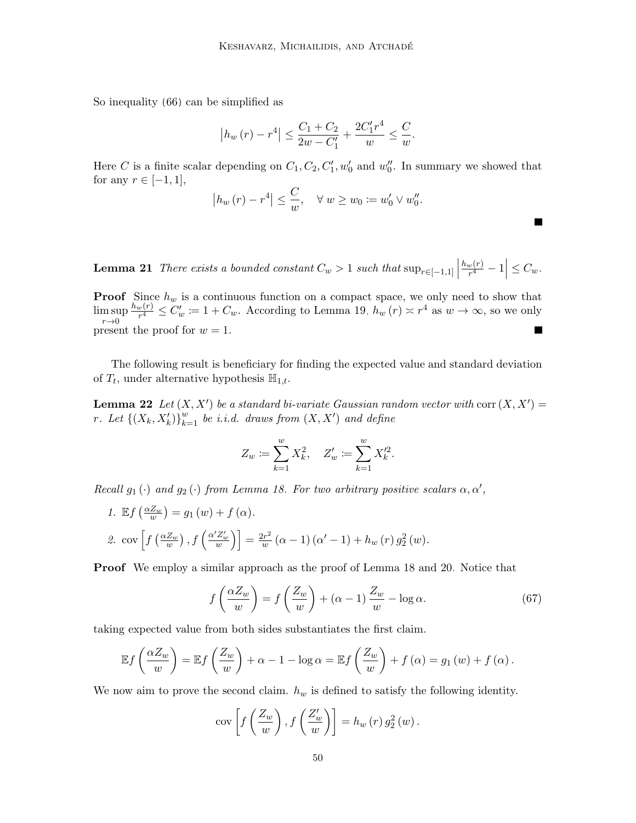So inequality [\(66\)](#page-48-4) can be simplified as

$$
|h_w(r) - r^4| \le \frac{C_1 + C_2}{2w - C_1'} + \frac{2C_1'r^4}{w} \le \frac{C}{w}.
$$

Here C is a finite scalar depending on  $C_1, C_2, C'_1, w'_0$  and  $w''_0$ . In summary we showed that for any  $r \in [-1, 1]$ ,

$$
\left| h_w(r) - r^4 \right| \leq \frac{C}{w}, \quad \forall \ w \geq w_0 \coloneqq w'_0 \vee w''_0.
$$

<span id="page-49-2"></span>**Lemma 21** There exists a bounded constant  $C_w > 1$  such that  $\sup_{r \in [-1,1]}$  $h_w(r)$  $\left| \frac{w(r)}{r^4} - 1 \right| \leq C_w.$ 

**Proof** Since  $h_w$  is a continuous function on a compact space, we only need to show that  $h_w(r)$  $\frac{f_w(r)}{r^4} \leq C'_w := 1 + C_w$ . According to Lemma [19,](#page-46-0)  $h_w(r) \approx r^4$  as  $w \to \infty$ , so we only lim sup  $r\rightarrow 0$ present the proof for  $w = 1$ .  $\overline{\phantom{a}}$ 

The following result is beneficiary for finding the expected value and standard deviation of  $T_t$ , under alternative hypothesis  $\mathbb{H}_{1,t}$ .

<span id="page-49-0"></span>**Lemma 22** Let  $(X, X')$  be a standard bi-variate Gaussian random vector with corr  $(X, X') =$ r. Let  $\left\{ \left( X_k, X'_k \right) \right\}_{k=1}^w$  be i.i.d. draws from  $\left( X, X' \right)$  and define

<span id="page-49-1"></span>
$$
Z_w := \sum_{k=1}^w X_k^2, \quad Z'_w := \sum_{k=1}^w X_k'^2.
$$

Recall  $g_1(\cdot)$  and  $g_2(\cdot)$  from Lemma [18.](#page-45-0) For two arbitrary positive scalars  $\alpha, \alpha',$ 

1.  $\mathbb{E} f\left(\frac{\alpha Z_w}{w}\right) = g_1(w) + f(\alpha)$ . 2. cov $\left[ f\left(\frac{\alpha Z_w}{w}\right), f\left(\frac{\alpha' Z'_w}{w}\right) \right] = \frac{2r^2}{w}$  $\frac{dx^{2}}{w}(\alpha-1)(\alpha' - 1) + h_{w}(r) g_{2}^{2}(w).$ 

Proof We employ a similar approach as the proof of Lemma [18](#page-45-0) and [20.](#page-47-2) Notice that

$$
f\left(\frac{\alpha Z_w}{w}\right) = f\left(\frac{Z_w}{w}\right) + (\alpha - 1)\frac{Z_w}{w} - \log \alpha.
$$
 (67)

taking expected value from both sides substantiates the first claim.

$$
\mathbb{E} f\left(\frac{\alpha Z_w}{w}\right) = \mathbb{E} f\left(\frac{Z_w}{w}\right) + \alpha - 1 - \log \alpha = \mathbb{E} f\left(\frac{Z_w}{w}\right) + f\left(\alpha\right) = g_1\left(w\right) + f\left(\alpha\right).
$$

We now aim to prove the second claim.  $h_w$  is defined to satisfy the following identity.

$$
cov\left[f\left(\frac{Z_w}{w}\right), f\left(\frac{Z'_w}{w}\right)\right] = h_w(r) g_2^2(w).
$$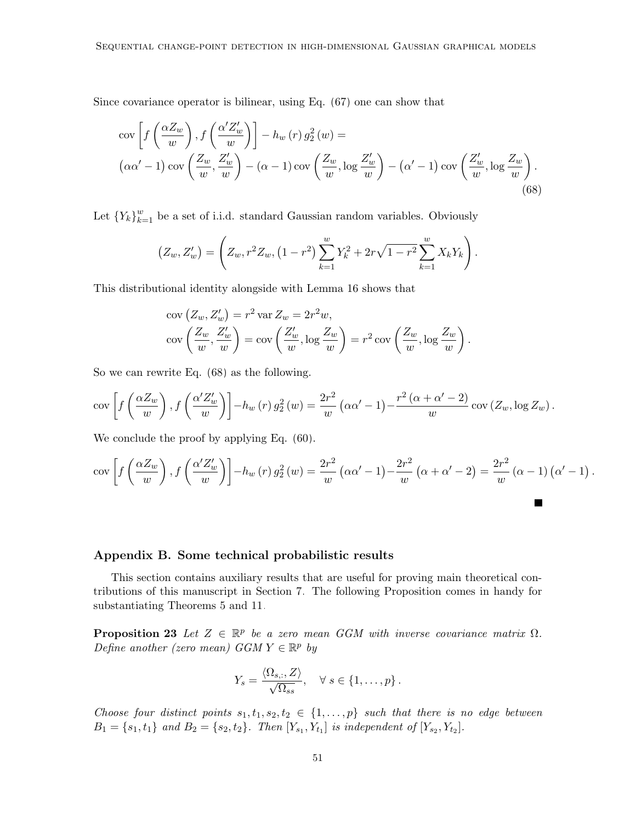Since covariance operator is bilinear, using Eq. [\(67\)](#page-49-1) one can show that

<span id="page-50-2"></span>
$$
\operatorname{cov}\left[f\left(\frac{\alpha Z_w}{w}\right), f\left(\frac{\alpha' Z'_w}{w}\right)\right] - h_w(r) g_2^2(w) =
$$
\n
$$
\left(\alpha\alpha' - 1\right)\operatorname{cov}\left(\frac{Z_w}{w}, \frac{Z'_w}{w}\right) - \left(\alpha - 1\right)\operatorname{cov}\left(\frac{Z_w}{w}, \log\frac{Z'_w}{w}\right) - \left(\alpha' - 1\right)\operatorname{cov}\left(\frac{Z'_w}{w}, \log\frac{Z_w}{w}\right). \tag{68}
$$

Let  ${Y_k}_{k=1}^w$  be a set of i.i.d. standard Gaussian random variables. Obviously

$$
(Z_w, Z'_w) = \left(Z_w, r^2 Z_w, (1 - r^2) \sum_{k=1}^w Y_k^2 + 2r\sqrt{1 - r^2} \sum_{k=1}^w X_k Y_k\right).
$$

This distributional identity alongside with Lemma [16](#page-43-2) shows that

$$
cov\left(Z_w, Z'_w\right) = r^2 var Z_w = 2r^2 w,
$$
  
\n
$$
cov\left(\frac{Z_w}{w}, \frac{Z'_w}{w}\right) = cov\left(\frac{Z'_w}{w}, \log \frac{Z_w}{w}\right) = r^2 cov\left(\frac{Z_w}{w}, \log \frac{Z_w}{w}\right).
$$

So we can rewrite Eq. [\(68\)](#page-50-2) as the following.

$$
\text{cov}\left[f\left(\frac{\alpha Z_w}{w}\right), f\left(\frac{\alpha' Z'_w}{w}\right)\right] - h_w\left(r\right)g_2^2\left(w\right) = \frac{2r^2}{w}\left(\alpha\alpha' - 1\right) - \frac{r^2\left(\alpha + \alpha' - 2\right)}{w}\text{cov}\left(Z_w, \log Z_w\right).
$$

We conclude the proof by applying Eq.  $(60)$ .

$$
\text{cov}\left[f\left(\frac{\alpha Z_w}{w}\right), f\left(\frac{\alpha' Z_w'}{w}\right)\right] - h_w\left(r\right)g_2^2\left(w\right) = \frac{2r^2}{w}\left(\alpha\alpha' - 1\right) - \frac{2r^2}{w}\left(\alpha + \alpha' - 2\right) = \frac{2r^2}{w}\left(\alpha - 1\right)\left(\alpha' - 1\right).
$$

### <span id="page-50-0"></span>Appendix B. Some technical probabilistic results

This section contains auxiliary results that are useful for proving main theoretical contributions of this manuscript in Section [7.](#page-31-0) The following Proposition comes in handy for substantiating Theorems [5](#page-13-2) and [11.](#page-20-1)

<span id="page-50-1"></span>**Proposition 23** Let  $Z \in \mathbb{R}^p$  be a zero mean GGM with inverse covariance matrix  $\Omega$ . Define another (zero mean)  $GGM Y \in \mathbb{R}^p$  by

$$
Y_s = \frac{\langle \Omega_{s,:}, Z \rangle}{\sqrt{\Omega_{ss}}}, \quad \forall s \in \{1, \dots, p\}.
$$

Choose four distinct points  $s_1, t_1, s_2, t_2 \in \{1, \ldots, p\}$  such that there is no edge between  $B_1 = \{s_1, t_1\}$  and  $B_2 = \{s_2, t_2\}$ . Then  $[Y_{s_1}, Y_{t_1}]$  is independent of  $[Y_{s_2}, Y_{t_2}]$ .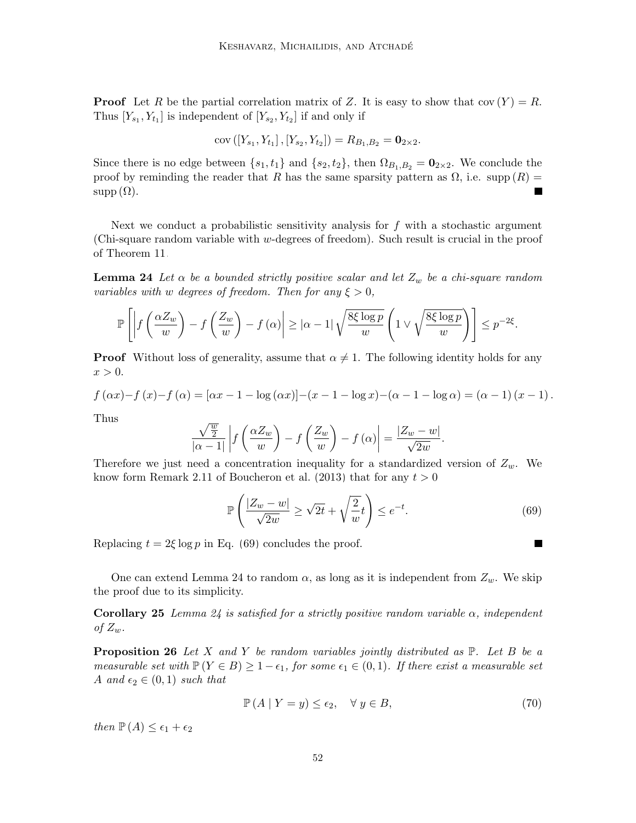**Proof** Let R be the partial correlation matrix of Z. It is easy to show that  $cov(Y) = R$ . Thus  $[Y_{s_1}, Y_{t_1}]$  is independent of  $[Y_{s_2}, Y_{t_2}]$  if and only if

$$
cov([Y_{s_1}, Y_{t_1}], [Y_{s_2}, Y_{t_2}]) = R_{B_1, B_2} = \mathbf{0}_{2 \times 2}.
$$

Since there is no edge between  $\{s_1, t_1\}$  and  $\{s_2, t_2\}$ , then  $\Omega_{B_1, B_2} = \mathbf{0}_{2 \times 2}$ . We conclude the proof by reminding the reader that R has the same sparsity pattern as  $\Omega$ , i.e. supp  $(R)$  =  $supp(\Omega)$ . П

Next we conduct a probabilistic sensitivity analysis for  $f$  with a stochastic argument (Chi-square random variable with w-degrees of freedom). Such result is crucial in the proof of Theorem [11.](#page-20-1)

<span id="page-51-3"></span>**Lemma 24** Let  $\alpha$  be a bounded strictly positive scalar and let  $Z_w$  be a chi-square random variables with w degrees of freedom. Then for any  $\xi > 0$ ,

$$
\mathbb{P}\left[\left|f\left(\frac{\alpha Z_w}{w}\right) - f\left(\frac{Z_w}{w}\right) - f\left(\alpha\right)\right| \geq |\alpha - 1| \sqrt{\frac{8\xi\log p}{w}} \left(1 \vee \sqrt{\frac{8\xi\log p}{w}}\right)\right] \leq p^{-2\xi}.
$$

**Proof** Without loss of generality, assume that  $\alpha \neq 1$ . The following identity holds for any  $x > 0$ .

$$
f(\alpha x) - f(x) - f(\alpha) = [\alpha x - 1 - \log(\alpha x)] - (x - 1 - \log x) - (\alpha - 1 - \log \alpha) = (\alpha - 1)(x - 1).
$$

Thus

$$
\frac{\sqrt{\frac{w}{2}}}{|\alpha - 1|} \left| f\left(\frac{\alpha Z_w}{w}\right) - f\left(\frac{Z_w}{w}\right) - f(\alpha) \right| = \frac{|Z_w - w|}{\sqrt{2w}}.
$$

Therefore we just need a concentration inequality for a standardized version of  $Z_w$ . We know form Remark 2.11 of [Boucheron et al. \(2013\)](#page-55-14) that for any  $t > 0$ 

<span id="page-51-0"></span>
$$
\mathbb{P}\left(\frac{|Z_w - w|}{\sqrt{2w}} \ge \sqrt{2t} + \sqrt{\frac{2}{w}}t\right) \le e^{-t}.\tag{69}
$$

<span id="page-51-2"></span> $\blacksquare$ 

Replacing  $t = 2\xi \log p$  in Eq. [\(69\)](#page-51-2) concludes the proof.

One can extend Lemma [24](#page-51-3) to random  $\alpha$ , as long as it is independent from  $Z_w$ . We skip the proof due to its simplicity.

**Corollary 25** Lemma [24](#page-51-3) is satisfied for a strictly positive random variable  $\alpha$ , independent of  $Z_w$ .

<span id="page-51-1"></span>**Proposition 26** Let X and Y be random variables jointly distributed as  $\mathbb{P}$ . Let B be a measurable set with  $\mathbb{P}(Y \in B) \geq 1 - \epsilon_1$ , for some  $\epsilon_1 \in (0,1)$ . If there exist a measurable set A and  $\epsilon_2 \in (0,1)$  such that

<span id="page-51-4"></span>
$$
\mathbb{P}\left(A \mid Y=y\right) \le \epsilon_2, \quad \forall \ y \in B,\tag{70}
$$

then  $\mathbb{P}(A) \leq \epsilon_1 + \epsilon_2$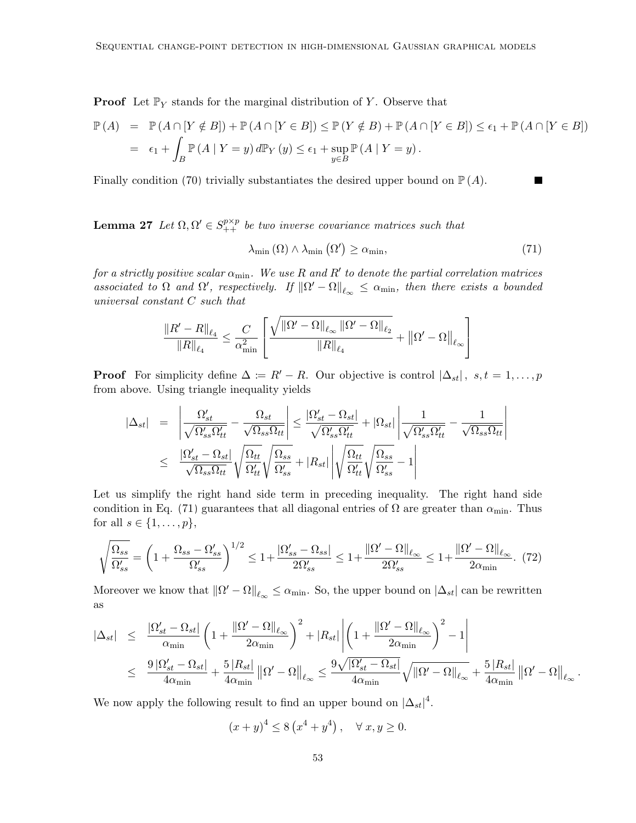**Proof** Let  $\mathbb{P}_Y$  stands for the marginal distribution of Y. Observe that

$$
\mathbb{P}(A) = \mathbb{P}(A \cap [Y \notin B]) + \mathbb{P}(A \cap [Y \in B]) \le \mathbb{P}(Y \notin B) + \mathbb{P}(A \cap [Y \in B]) \le \epsilon_1 + \mathbb{P}(A \cap [Y \in B])
$$
  
=  $\epsilon_1 + \int_B \mathbb{P}(A \mid Y = y) d\mathbb{P}_Y(y) \le \epsilon_1 + \sup_{y \in B} \mathbb{P}(A \mid Y = y).$ 

Finally condition [\(70\)](#page-51-4) trivially substantiates the desired upper bound on  $\mathbb{P}(A)$ .

<span id="page-52-1"></span>**Lemma 27** Let  $\Omega, \Omega' \in S_{++}^{p \times p}$  be two inverse covariance matrices such that

<span id="page-52-0"></span>
$$
\lambda_{\min}(\Omega) \wedge \lambda_{\min}(\Omega') \ge \alpha_{\min},\tag{71}
$$

for a strictly positive scalar  $\alpha_{\min}$ . We use R and R' to denote the partial correlation matrices associated to  $\Omega$  and  $\Omega'$ , respectively. If  $\|\Omega' - \Omega\|_{\ell_{\infty}} \leq \alpha_{\min}$ , then there exists a bounded universal constant C such that

$$
\frac{\left\|R'-R\right\|_{\ell_4}}{\left\|R\right\|_{\ell_4}} \leq \frac{C}{\alpha^2_{\min}}\left[\frac{\sqrt{\left\|\Omega'-\Omega\right\|_{\ell_\infty}\left\|\Omega'-\Omega\right\|_{\ell_2}}}{\left\|R\right\|_{\ell_4}}+\left\|\Omega'-\Omega\right\|_{\ell_\infty}\right]
$$

**Proof** For simplicity define  $\Delta := R' - R$ . Our objective is control  $|\Delta_{st}|$ ,  $s, t = 1, ..., p$ from above. Using triangle inequality yields

$$
|\Delta_{st}| = \left| \frac{\Omega'_{st}}{\sqrt{\Omega'_{ss}\Omega'_{tt}}} - \frac{\Omega_{st}}{\sqrt{\Omega_{ss}\Omega_{tt}}} \right| \leq \frac{|\Omega'_{st} - \Omega_{st}|}{\sqrt{\Omega'_{ss}\Omega'_{tt}}} + |\Omega_{st}| \left| \frac{1}{\sqrt{\Omega'_{ss}\Omega'_{tt}}} - \frac{1}{\sqrt{\Omega_{ss}\Omega_{tt}}} \right|
$$
  

$$
\leq \frac{|\Omega'_{st} - \Omega_{st}|}{\sqrt{\Omega_{ss}\Omega_{tt}}} \sqrt{\frac{\Omega_{tt}}{\Omega'_{tt}}} \sqrt{\frac{\Omega_{ss}}{\Omega'_{ss}}} + |R_{st}| \left| \sqrt{\frac{\Omega_{tt}}{\Omega'_{tt}}} \sqrt{\frac{\Omega_{ss}}{\Omega'_{ss}}} - 1 \right|
$$

Let us simplify the right hand side term in preceding inequality. The right hand side condition in Eq. [\(71\)](#page-52-0) guarantees that all diagonal entries of  $\Omega$  are greater than  $\alpha_{\min}$ . Thus for all  $s \in \{1, \ldots, p\},\$ 

<span id="page-52-2"></span>
$$
\sqrt{\frac{\Omega_{ss}}{\Omega_{ss}'}} = \left(1 + \frac{\Omega_{ss} - \Omega_{ss}'}{\Omega_{ss}'}\right)^{1/2} \le 1 + \frac{|\Omega_{ss}' - \Omega_{ss}|}{2\Omega_{ss}'} \le 1 + \frac{||\Omega' - \Omega||_{\ell_{\infty}}}{2\Omega_{ss}'} \le 1 + \frac{||\Omega' - \Omega||_{\ell_{\infty}}}{2\alpha_{\min}}.\tag{72}
$$

Moreover we know that  $\|\Omega' - \Omega\|_{\ell_{\infty}} \leq \alpha_{\min}$ . So, the upper bound on  $|\Delta_{st}|$  can be rewritten as

$$
\begin{array}{rcl}\n\left|\Delta_{st}\right| & \leq & \dfrac{\left|\Omega'_{st}-\Omega_{st}\right|}{\alpha_{\min}}\left(1+\dfrac{\left\|\Omega'-\Omega\right\|_{\ell_{\infty}}}{2\alpha_{\min}}\right)^2+\left|R_{st}\right|\left|\left(1+\dfrac{\left\|\Omega'-\Omega\right\|_{\ell_{\infty}}}{2\alpha_{\min}}\right)^2-1\right| \\
& \leq & \dfrac{9\left|\Omega'_{st}-\Omega_{st}\right|}{4\alpha_{\min}}+\dfrac{5\left|R_{st}\right|}{4\alpha_{\min}}\left\|\Omega'-\Omega\right\|_{\ell_{\infty}}\leq\dfrac{9\sqrt{\left|\Omega'_{st}-\Omega_{st}\right|}}{4\alpha_{\min}}\sqrt{\left\|\Omega'-\Omega\right\|_{\ell_{\infty}}}+\dfrac{5\left|R_{st}\right|}{4\alpha_{\min}}\left\|\Omega'-\Omega\right\|_{\ell_{\infty}}.\n\end{array}
$$

We now apply the following result to find an upper bound on  $|\Delta_{st}|^4$ .

$$
(x+y)^4 \le 8(x^4+y^4), \quad \forall x, y \ge 0.
$$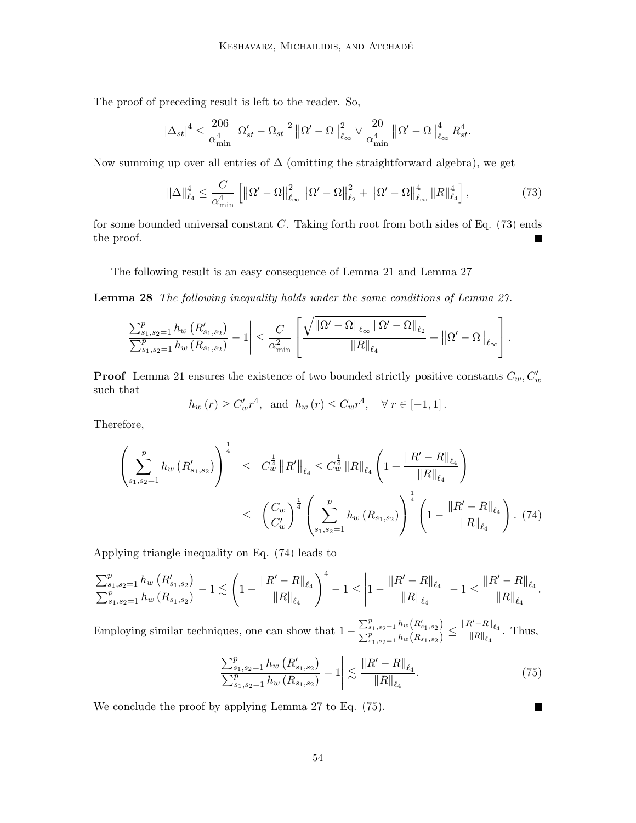The proof of preceding result is left to the reader. So,

$$
\left|\Delta_{st}\right|^4 \leq \frac{206}{\alpha_{\min}^4} \left|\Omega'_{st} - \Omega_{st}\right|^2 \left\|\Omega' - \Omega\right\|_{\ell_\infty}^2 \vee \frac{20}{\alpha_{\min}^4} \left\|\Omega' - \Omega\right\|_{\ell_\infty}^4 R_{st}^4.
$$

Now summing up over all entries of  $\Delta$  (omitting the straightforward algebra), we get

<span id="page-53-2"></span>
$$
\|\Delta\|_{\ell_4}^4 \le \frac{C}{\alpha_{\min}^4} \left[ \left\|\Omega' - \Omega\right\|_{\ell_\infty}^2 \left\|\Omega' - \Omega\right\|_{\ell_2}^2 + \left\|\Omega' - \Omega\right\|_{\ell_\infty}^4 \left\|R\right\|_{\ell_4}^4 \right],\tag{73}
$$

for some bounded universal constant C. Taking forth root from both sides of Eq.  $(73)$  ends the proof.

The following result is an easy consequence of Lemma [21](#page-49-2) and Lemma [27.](#page-52-1)

<span id="page-53-0"></span>Lemma 28 The following inequality holds under the same conditions of Lemma [27.](#page-52-1)

$$
\left|\frac{\sum_{s_1,s_2=1}^p h_w(R'_{s_1,s_2})}{\sum_{s_1,s_2=1}^p h_w(R_{s_1,s_2})}-1\right|\leq \frac{C}{\alpha_{\min}^2}\left[\frac{\sqrt{\|\Omega'-\Omega\|_{\ell_{\infty}}\|\Omega'-\Omega\|_{\ell_2}}}{\|R\|_{\ell_4}}+\left\|\Omega'-\Omega\right\|_{\ell_{\infty}}\right].
$$

**Proof** Lemma [21](#page-49-2) ensures the existence of two bounded strictly positive constants  $C_w, C'_w$ such that

$$
h_w(r) \ge C'_w r^4
$$
, and  $h_w(r) \le C_w r^4$ ,  $\forall r \in [-1, 1]$ .

Therefore,

<span id="page-53-3"></span>
$$
\left(\sum_{s_1, s_2=1}^p h_w\left(R'_{s_1, s_2}\right)\right)^{\frac{1}{4}} \leq C_w^{\frac{1}{4}} \|R'\|_{\ell_4} \leq C_w^{\frac{1}{4}} \|R\|_{\ell_4} \left(1 + \frac{\|R' - R\|_{\ell_4}}{\|R\|_{\ell_4}}\right)
$$

$$
\leq \left(\frac{C_w}{C_w'}\right)^{\frac{1}{4}} \left(\sum_{s_1, s_2=1}^p h_w\left(R_{s_1, s_2}\right)\right)^{\frac{1}{4}} \left(1 - \frac{\|R' - R\|_{\ell_4}}{\|R\|_{\ell_4}}\right). (74)
$$

Applying triangle inequality on Eq. [\(74\)](#page-53-3) leads to

$$
\frac{\sum_{s_1,s_2=1}^p h_w\left(R'_{s_1,s_2}\right)}{\sum_{s_1,s_2=1}^p h_w\left(R_{s_1,s_2}\right)} - 1 \lesssim \left(1 - \frac{\|R' - R\|_{\ell_4}}{\|R\|_{\ell_4}}\right)^4 - 1 \le \left|1 - \frac{\|R' - R\|_{\ell_4}}{\|R\|_{\ell_4}}\right| - 1 \le \frac{\|R' - R\|_{\ell_4}}{\|R\|_{\ell_4}}.
$$

Employing similar techniques, one can show that  $1 - \frac{\sum_{s_1,s_2=1}^{p} h_w(R'_{s_1,s_2})}{\sum_{s_1,s_2=1}^{p} h_w(R'_{s_1,s_2})}$  $\frac{\sum_{s_1,s_2=1}^p h_w\big(R_{s_1,s_2}'\big)}{\sum_{s_1,s_2=1}^p h_w\big(R_{s_1,s_2}\big)} \leq \frac{\|R'-R\|_{\ell_4}}{\|R\|_{\ell_4}}$  $\frac{\epsilon}{\|R\|_{\ell_4}}$ . Thus,

$$
\left| \frac{\sum_{s_1, s_2=1}^p h_w\left(R_{s_1, s_2}'\right)}{\sum_{s_1, s_2=1}^p h_w\left(R_{s_1, s_2}\right)} - 1 \right| \lesssim \frac{\left\|R' - R\right\|_{\ell_4}}{\left\|R\right\|_{\ell_4}}.\tag{75}
$$

<span id="page-53-4"></span>П

<span id="page-53-1"></span>We conclude the proof by applying Lemma [27](#page-52-1) to Eq. [\(75\)](#page-53-4).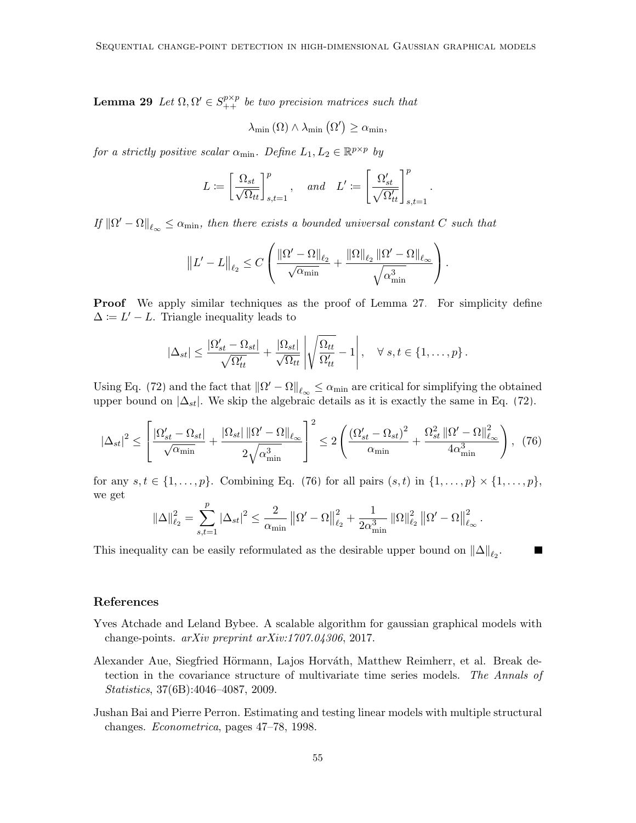**Lemma 29** Let  $\Omega, \Omega' \in S_{++}^{p \times p}$  be two precision matrices such that

$$
\lambda_{\min}(\Omega) \wedge \lambda_{\min}(\Omega') \geq \alpha_{\min},
$$

for a strictly positive scalar  $\alpha_{\min}$ . Define  $L_1, L_2 \in \mathbb{R}^{p \times p}$  by

$$
L:=\left[\frac{\Omega_{st}}{\sqrt{\Omega_{tt}}}\right]_{s,t=1}^p, \quad \textit{and} \quad L':=\left[\frac{\Omega_{st}'}{\sqrt{\Omega_{tt}'}}\right]_{s,t=1}^p.
$$

If  $||\Omega' - \Omega||_{\ell_{\infty}} \leq \alpha_{\min}$ , then there exists a bounded universal constant C such that

$$
||L' - L||_{\ell_2} \leq C \left( \frac{||\Omega' - \Omega||_{\ell_2}}{\sqrt{\alpha_{\min}}} + \frac{||\Omega||_{\ell_2} ||\Omega' - \Omega||_{\ell_{\infty}}}{\sqrt{\alpha_{\min}^3}} \right).
$$

**Proof** We apply similar techniques as the proof of Lemma [27.](#page-52-1) For simplicity define  $\Delta := L' - L$ . Triangle inequality leads to

<span id="page-54-3"></span>
$$
|\Delta_{st}| \leq \frac{|\Omega'_{st} - \Omega_{st}|}{\sqrt{\Omega'_{tt}}} + \frac{|\Omega_{st}|}{\sqrt{\Omega_{tt}}} \left| \sqrt{\frac{\Omega_{tt}}{\Omega'_{tt}}} - 1 \right|, \quad \forall s, t \in \{1, \dots, p\}.
$$

Using Eq. [\(72\)](#page-52-2) and the fact that  $\|\Omega' - \Omega\|_{\ell_{\infty}} \le \alpha_{\min}$  are critical for simplifying the obtained upper bound on  $|\Delta_{st}|$ . We skip the algebraic details as it is exactly the same in Eq. [\(72\)](#page-52-2).

$$
|\Delta_{st}|^2 \le \left[ \frac{|\Omega_{st}' - \Omega_{st}|}{\sqrt{\alpha_{\min}}} + \frac{|\Omega_{st}| \|\Omega' - \Omega\|_{\ell_{\infty}}}{2\sqrt{\alpha_{\min}^3}} \right]^2 \le 2 \left( \frac{(\Omega_{st}' - \Omega_{st})^2}{\alpha_{\min}} + \frac{\Omega_{st}^2 \|\Omega' - \Omega\|_{\ell_{\infty}}^2}{4\alpha_{\min}^3} \right), (76)
$$

for any  $s, t \in \{1, ..., p\}$ . Combining Eq. [\(76\)](#page-54-3) for all pairs  $(s, t)$  in  $\{1, ..., p\} \times \{1, ..., p\}$ , we get

$$
\|\Delta\|_{\ell_2}^2=\sum_{s,t=1}^p|\Delta_{st}|^2\leq\frac{2}{\alpha_{\min}}\left\|\Omega'-\Omega\right\|_{\ell_2}^2+\frac{1}{2\alpha_{\min}^3}\left\|\Omega\right\|_{\ell_2}^2\left\|\Omega'-\Omega\right\|_{\ell_\infty}^2.
$$

This inequality can be easily reformulated as the desirable upper bound on  $\|\Delta\|_{\ell_2}$ .

## References

- <span id="page-54-1"></span>Yves Atchade and Leland Bybee. A scalable algorithm for gaussian graphical models with change-points. arXiv preprint arXiv:1707.04306, 2017.
- <span id="page-54-2"></span>Alexander Aue, Siegfried Hörmann, Lajos Horváth, Matthew Reimherr, et al. Break detection in the covariance structure of multivariate time series models. The Annals of Statistics, 37(6B):4046–4087, 2009.
- <span id="page-54-0"></span>Jushan Bai and Pierre Perron. Estimating and testing linear models with multiple structural changes. Econometrica, pages 47–78, 1998.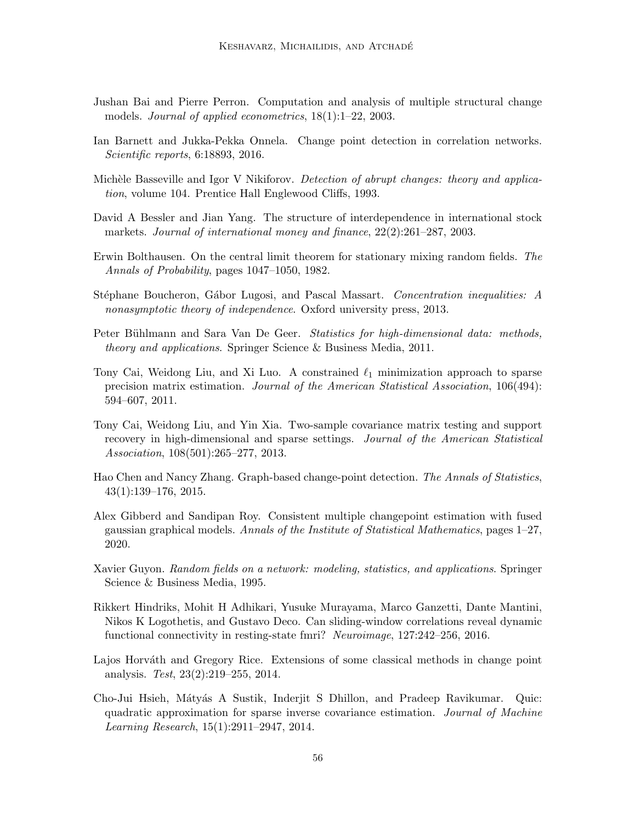- <span id="page-55-3"></span>Jushan Bai and Pierre Perron. Computation and analysis of multiple structural change models. *Journal of applied econometrics*,  $18(1):1-22$ , 2003.
- <span id="page-55-4"></span>Ian Barnett and Jukka-Pekka Onnela. Change point detection in correlation networks. Scientific reports, 6:18893, 2016.
- <span id="page-55-5"></span>Michèle Basseville and Igor V Nikiforov. Detection of abrupt changes: theory and application, volume 104. Prentice Hall Englewood Cliffs, 1993.
- <span id="page-55-0"></span>David A Bessler and Jian Yang. The structure of interdependence in international stock markets. Journal of international money and finance, 22(2):261–287, 2003.
- <span id="page-55-12"></span>Erwin Bolthausen. On the central limit theorem for stationary mixing random fields. The Annals of Probability, pages 1047–1050, 1982.
- <span id="page-55-14"></span>Stéphane Boucheron, Gábor Lugosi, and Pascal Massart. Concentration inequalities: A nonasymptotic theory of independence. Oxford university press, 2013.
- <span id="page-55-1"></span>Peter Bühlmann and Sara Van De Geer. Statistics for high-dimensional data: methods, theory and applications. Springer Science & Business Media, 2011.
- <span id="page-55-11"></span>Tony Cai, Weidong Liu, and Xi Luo. A constrained  $\ell_1$  minimization approach to sparse precision matrix estimation. Journal of the American Statistical Association, 106(494): 594–607, 2011.
- <span id="page-55-7"></span>Tony Cai, Weidong Liu, and Yin Xia. Two-sample covariance matrix testing and support recovery in high-dimensional and sparse settings. Journal of the American Statistical Association, 108(501):265–277, 2013.
- <span id="page-55-9"></span>Hao Chen and Nancy Zhang. Graph-based change-point detection. The Annals of Statistics, 43(1):139–176, 2015.
- <span id="page-55-8"></span>Alex Gibberd and Sandipan Roy. Consistent multiple changepoint estimation with fused gaussian graphical models. Annals of the Institute of Statistical Mathematics, pages 1–27, 2020.
- <span id="page-55-13"></span>Xavier Guyon. Random fields on a network: modeling, statistics, and applications. Springer Science & Business Media, 1995.
- <span id="page-55-2"></span>Rikkert Hindriks, Mohit H Adhikari, Yusuke Murayama, Marco Ganzetti, Dante Mantini, Nikos K Logothetis, and Gustavo Deco. Can sliding-window correlations reveal dynamic functional connectivity in resting-state fmri? Neuroimage, 127:242–256, 2016.
- <span id="page-55-6"></span>Lajos Horváth and Gregory Rice. Extensions of some classical methods in change point analysis. Test, 23(2):219–255, 2014.
- <span id="page-55-10"></span>Cho-Jui Hsieh, M´aty´as A Sustik, Inderjit S Dhillon, and Pradeep Ravikumar. Quic: quadratic approximation for sparse inverse covariance estimation. Journal of Machine Learning Research, 15(1):2911–2947, 2014.